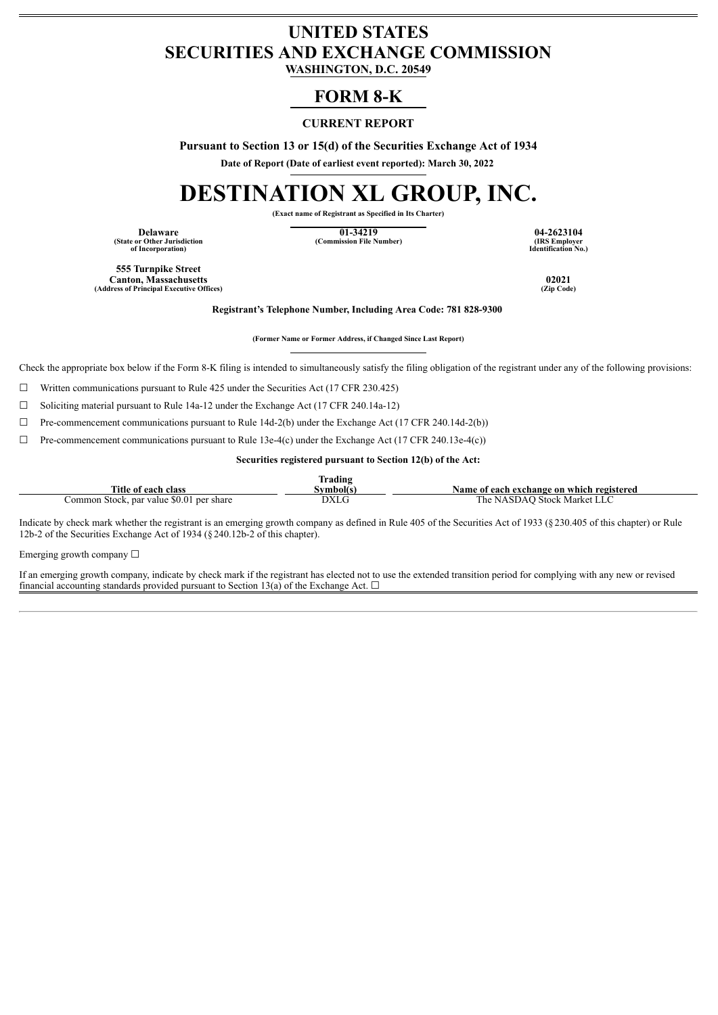# **UNITED STATES SECURITIES AND EXCHANGE COMMISSION**

**WASHINGTON, D.C. 20549**

# **FORM 8-K**

# **CURRENT REPORT**

**Pursuant to Section 13 or 15(d) of the Securities Exchange Act of 1934**

**Date of Report (Date of earliest event reported): March 30, 2022**

# **DESTINATION XL GROUP, INC.**

**(Exact name of Registrant as Specified in Its Charter)**

**(State or Other Jurisdiction of Incorporation)**

**Delaware 01-34219 04-2623104 (Commission File Number)** 

**Identification No.)**

**555 Turnpike Street Canton, Massachusetts 02021 (Address of Principal Executive Offices) (Zip Code)**

**Registrant's Telephone Number, Including Area Code: 781 828-9300**

**(Former Name or Former Address, if Changed Since Last Report)**

Check the appropriate box below if the Form 8-K filing is intended to simultaneously satisfy the filing obligation of the registrant under any of the following provisions:

 $\Box$  Written communications pursuant to Rule 425 under the Securities Act (17 CFR 230.425)

 $\Box$  Soliciting material pursuant to Rule 14a-12 under the Exchange Act (17 CFR 240.14a-12)

 $\Box$  Pre-commencement communications pursuant to Rule 14d-2(b) under the Exchange Act (17 CFR 240.14d-2(b))

 $\Box$  Pre-commencement communications pursuant to Rule 13e-4(c) under the Exchange Act (17 CFR 240.13e-4(c))

#### **Securities registered pursuant to Section 12(b) of the Act:**

|                                                          | Fradıng |                                                |
|----------------------------------------------------------|---------|------------------------------------------------|
| Title<br>ot each<br>class                                | svmbolt | n exchange on which registered<br>Name of each |
| : \$0.01<br>Common Stock.<br>. par value<br>per<br>share | DXLG    | NASDAO<br>Stock:<br>Market<br>. he             |

Indicate by check mark whether the registrant is an emerging growth company as defined in Rule 405 of the Securities Act of 1933 (§230.405 of this chapter) or Rule 12b-2 of the Securities Exchange Act of 1934 (§240.12b-2 of this chapter).

Emerging growth company  $\Box$ 

If an emerging growth company, indicate by check mark if the registrant has elected not to use the extended transition period for complying with any new or revised financial accounting standards provided pursuant to Section 13(a) of the Exchange Act.  $\Box$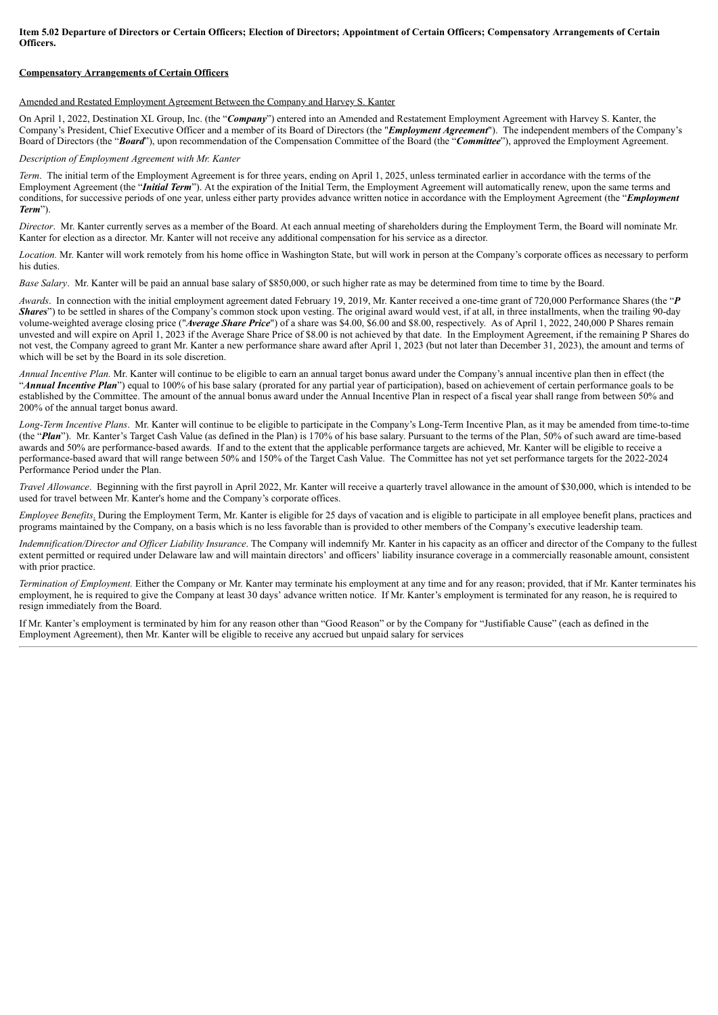Item 5.02 Departure of Directors or Certain Officers; Election of Directors; Appointment of Certain Officers; Compensatory Arrangements of Certain **Officers.**

#### **Compensatory Arrangements of Certain Officers**

#### Amended and Restated Employment Agreement Between the Company and Harvey S. Kanter

On April 1, 2022, Destination XL Group, Inc. (the "*Company*") entered into an Amended and Restatement Employment Agreement with Harvey S. Kanter, the Company's President, Chief Executive Officer and a member of its Board of Directors (the "*Employment Agreement*"). The independent members of the Company's Board of Directors (the "*Board*"), upon recommendation of the Compensation Committee of the Board (the "*Committee*"), approved the Employment Agreement.

#### *Description of Employment Agreement with Mr. Kanter*

*Term*. The initial term of the Employment Agreement is for three years, ending on April 1, 2025, unless terminated earlier in accordance with the terms of the Employment Agreement (the "*Initial Term*"). At the expiration of the Initial Term, the Employment Agreement will automatically renew, upon the same terms and conditions, for successive periods of one year, unless either party provides advance written notice in accordance with the Employment Agreement (the "*Employment Term*").

*Director*. Mr. Kanter currently serves as a member of the Board. At each annual meeting of shareholders during the Employment Term, the Board will nominate Mr. Kanter for election as a director. Mr. Kanter will not receive any additional compensation for his service as a director.

*Location.* Mr. Kanter will work remotely from his home office in Washington State, but will work in person at the Company's corporate offices as necessary to perform his duties.

*Base Salary*. Mr. Kanter will be paid an annual base salary of \$850,000, or such higher rate as may be determined from time to time by the Board.

*Awards*. In connection with the initial employment agreement dated February 19, 2019, Mr. Kanter received a one-time grant of 720,000 Performance Shares (the "*P Shares*") to be settled in shares of the Company's common stock upon vesting. The original award would vest, if at all, in three installments, when the trailing 90-day volume-weighted average closing price ("*Average Share Price*") of a share was \$4.00, \$6.00 and \$8.00, respectively. As of April 1, 2022, 240,000 P Shares remain unvested and will expire on April 1, 2023 if the Average Share Price of \$8.00 is not achieved by that date. In the Employment Agreement, if the remaining P Shares do not vest, the Company agreed to grant Mr. Kanter a new performance share award after April 1, 2023 (but not later than December 31, 2023), the amount and terms of which will be set by the Board in its sole discretion.

*Annual Incentive Plan.* Mr. Kanter will continue to be eligible to earn an annual target bonus award under the Company's annual incentive plan then in effect (the "*Annual Incentive Plan*") equal to 100% of his base salary (prorated for any partial year of participation), based on achievement of certain performance goals to be established by the Committee. The amount of the annual bonus award under the Annual Incentive Plan in respect of a fiscal year shall range from between 50% and 200% of the annual target bonus award.

*Long-Term Incentive Plans*. Mr. Kanter will continue to be eligible to participate in the Company's Long-Term Incentive Plan, as it may be amended from time-to-time (the "*Plan*"). Mr. Kanter's Target Cash Value (as defined in the Plan) is 170% of his base salary. Pursuant to the terms of the Plan, 50% of such award are time-based awards and 50% are performance-based awards. If and to the extent that the applicable performance targets are achieved, Mr. Kanter will be eligible to receive a performance-based award that will range between 50% and 150% of the Target Cash Value. The Committee has not yet set performance targets for the 2022-2024 Performance Period under the Plan.

*Travel Allowance*. Beginning with the first payroll in April 2022, Mr. Kanter will receive a quarterly travel allowance in the amount of \$30,000, which is intended to be used for travel between Mr. Kanter's home and the Company's corporate offices.

*Employee Benefits*. During the Employment Term, Mr. Kanter is eligible for 25 days of vacation and is eligible to participate in all employee benefit plans, practices and programs maintained by the Company, on a basis which is no less favorable than is provided to other members of the Company's executive leadership team.

*Indemnification/Director and Of icer Liability Insurance*. The Company will indemnify Mr. Kanter in his capacity as an officer and director of the Company to the fullest extent permitted or required under Delaware law and will maintain directors' and officers' liability insurance coverage in a commercially reasonable amount, consistent with prior practice.

*Termination of Employment.* Either the Company or Mr. Kanter may terminate his employment at any time and for any reason; provided, that if Mr. Kanter terminates his employment, he is required to give the Company at least 30 days' advance written notice. If Mr. Kanter's employment is terminated for any reason, he is required to resign immediately from the Board.

If Mr. Kanter's employment is terminated by him for any reason other than "Good Reason" or by the Company for "Justifiable Cause" (each as defined in the Employment Agreement), then Mr. Kanter will be eligible to receive any accrued but unpaid salary for services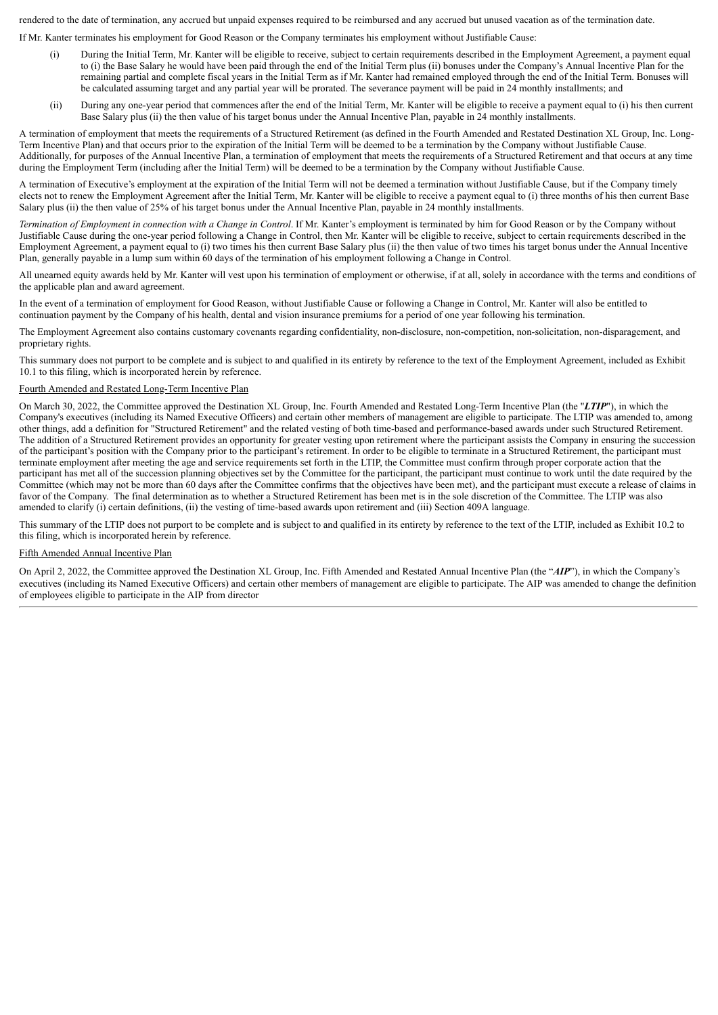rendered to the date of termination, any accrued but unpaid expenses required to be reimbursed and any accrued but unused vacation as of the termination date.

If Mr. Kanter terminates his employment for Good Reason or the Company terminates his employment without Justifiable Cause:

- (i) During the Initial Term, Mr. Kanter will be eligible to receive, subject to certain requirements described in the Employment Agreement, a payment equal to (i) the Base Salary he would have been paid through the end of the Initial Term plus (ii) bonuses under the Company's Annual Incentive Plan for the remaining partial and complete fiscal years in the Initial Term as if Mr. Kanter had remained employed through the end of the Initial Term. Bonuses will be calculated assuming target and any partial year will be prorated. The severance payment will be paid in 24 monthly installments; and
- (ii) During any one-year period that commences after the end of the Initial Term, Mr. Kanter will be eligible to receive a payment equal to (i) his then current Base Salary plus (ii) the then value of his target bonus under the Annual Incentive Plan, payable in 24 monthly installments.

A termination of employment that meets the requirements of a Structured Retirement (as defined in the Fourth Amended and Restated Destination XL Group, Inc. Long-Term Incentive Plan) and that occurs prior to the expiration of the Initial Term will be deemed to be a termination by the Company without Justifiable Cause. Additionally, for purposes of the Annual Incentive Plan, a termination of employment that meets the requirements of a Structured Retirement and that occurs at any time during the Employment Term (including after the Initial Term) will be deemed to be a termination by the Company without Justifiable Cause.

A termination of Executive's employment at the expiration of the Initial Term will not be deemed a termination without Justifiable Cause, but if the Company timely elects not to renew the Employment Agreement after the Initial Term, Mr. Kanter will be eligible to receive a payment equal to (i) three months of his then current Base Salary plus (ii) the then value of 25% of his target bonus under the Annual Incentive Plan, payable in 24 monthly installments.

Termination of Employment in connection with a Change in Control. If Mr. Kanter's employment is terminated by him for Good Reason or by the Company without Justifiable Cause during the one-year period following a Change in Control, then Mr. Kanter will be eligible to receive, subject to certain requirements described in the Employment Agreement, a payment equal to (i) two times his then current Base Salary plus (ii) the then value of two times his target bonus under the Annual Incentive Plan, generally payable in a lump sum within 60 days of the termination of his employment following a Change in Control.

All unearned equity awards held by Mr. Kanter will vest upon his termination of employment or otherwise, if at all, solely in accordance with the terms and conditions of the applicable plan and award agreement.

In the event of a termination of employment for Good Reason, without Justifiable Cause or following a Change in Control, Mr. Kanter will also be entitled to continuation payment by the Company of his health, dental and vision insurance premiums for a period of one year following his termination.

The Employment Agreement also contains customary covenants regarding confidentiality, non-disclosure, non-competition, non-solicitation, non-disparagement, and proprietary rights.

This summary does not purport to be complete and is subject to and qualified in its entirety by reference to the text of the Employment Agreement, included as Exhibit 10.1 to this filing, which is incorporated herein by reference.

#### Fourth Amended and Restated Long-Term Incentive Plan

On March 30, 2022, the Committee approved the Destination XL Group, Inc. Fourth Amended and Restated Long-Term Incentive Plan (the "*LTIP*"), in which the Company's executives (including its Named Executive Officers) and certain other members of management are eligible to participate. The LTIP was amended to, among other things, add a definition for "Structured Retirement" and the related vesting of both time-based and performance-based awards under such Structured Retirement. The addition of a Structured Retirement provides an opportunity for greater vesting upon retirement where the participant assists the Company in ensuring the succession of the participant's position with the Company prior to the participant's retirement. In order to be eligible to terminate in a Structured Retirement, the participant must terminate employment after meeting the age and service requirements set forth in the LTIP, the Committee must confirm through proper corporate action that the participant has met all of the succession planning objectives set by the Committee for the participant, the participant must continue to work until the date required by the Committee (which may not be more than 60 days after the Committee confirms that the objectives have been met), and the participant must execute a release of claims in favor of the Company. The final determination as to whether a Structured Retirement has been met is in the sole discretion of the Committee. The LTIP was also amended to clarify (i) certain definitions, (ii) the vesting of time-based awards upon retirement and (iii) Section 409A language.

This summary of the LTIP does not purport to be complete and is subject to and qualified in its entirety by reference to the text of the LTIP, included as Exhibit 10.2 to this filing, which is incorporated herein by reference.

#### Fifth Amended Annual Incentive Plan

On April 2, 2022, the Committee approved the Destination XL Group, Inc. Fifth Amended and Restated Annual Incentive Plan (the "*AIP*"), in which the Company's executives (including its Named Executive Officers) and certain other members of management are eligible to participate. The AIP was amended to change the definition of employees eligible to participate in the AIP from director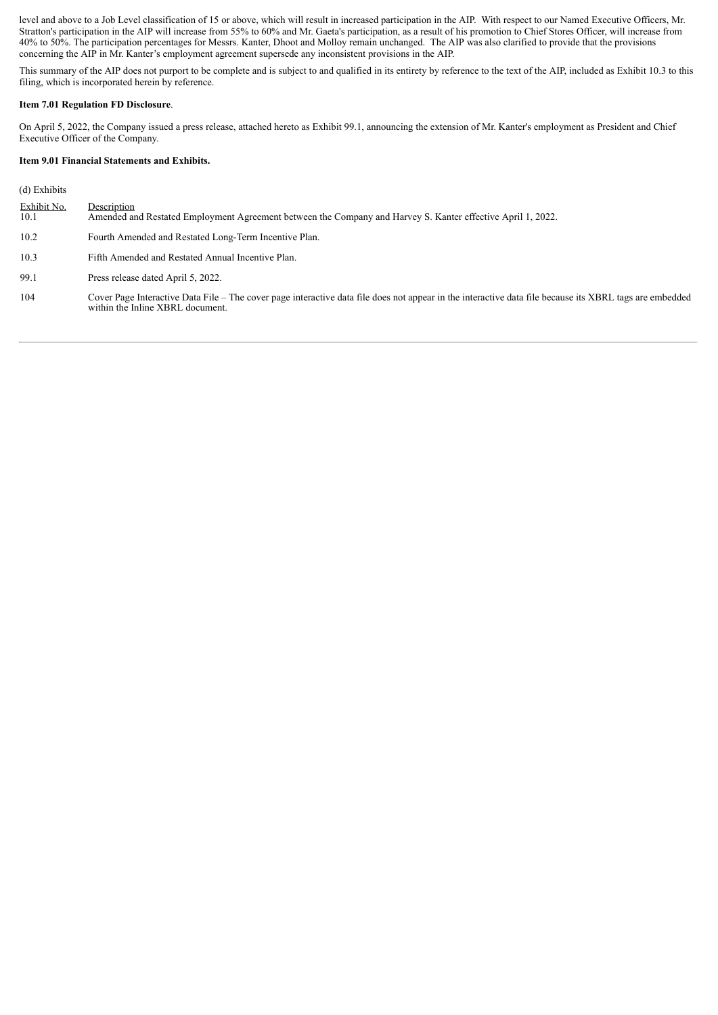level and above to a Job Level classification of 15 or above, which will result in increased participation in the AIP. With respect to our Named Executive Officers, Mr. Stratton's participation in the AIP will increase from 55% to 60% and Mr. Gaeta's participation, as a result of his promotion to Chief Stores Officer, will increase from 40% to 50%. The participation percentages for Messrs. Kanter, Dhoot and Molloy remain unchanged. The AIP was also clarified to provide that the provisions concerning the AIP in Mr. Kanter's employment agreement supersede any inconsistent provisions in the AIP.

This summary of the AIP does not purport to be complete and is subject to and qualified in its entirety by reference to the text of the AIP, included as Exhibit 10.3 to this filing, which is incorporated herein by reference.

#### **Item 7.01 Regulation FD Disclosure**.

On April 5, 2022, the Company issued a press release, attached hereto as Exhibit 99.1, announcing the extension of Mr. Kanter's employment as President and Chief Executive Officer of the Company.

#### **Item 9.01 Financial Statements and Exhibits.**

(d) Exhibits

| Exhibit No.<br>10.1 | Description<br>Amended and Restated Employment Agreement between the Company and Harvey S. Kanter effective April 1, 2022.                                                                  |
|---------------------|---------------------------------------------------------------------------------------------------------------------------------------------------------------------------------------------|
| 10.2                | Fourth Amended and Restated Long-Term Incentive Plan.                                                                                                                                       |
| 10.3                | Fifth Amended and Restated Annual Incentive Plan.                                                                                                                                           |
| 99.1                | Press release dated April 5, 2022.                                                                                                                                                          |
| 104                 | Cover Page Interactive Data File – The cover page interactive data file does not appear in the interactive data file because its XBRL tags are embedded<br>within the Inline XBRL document. |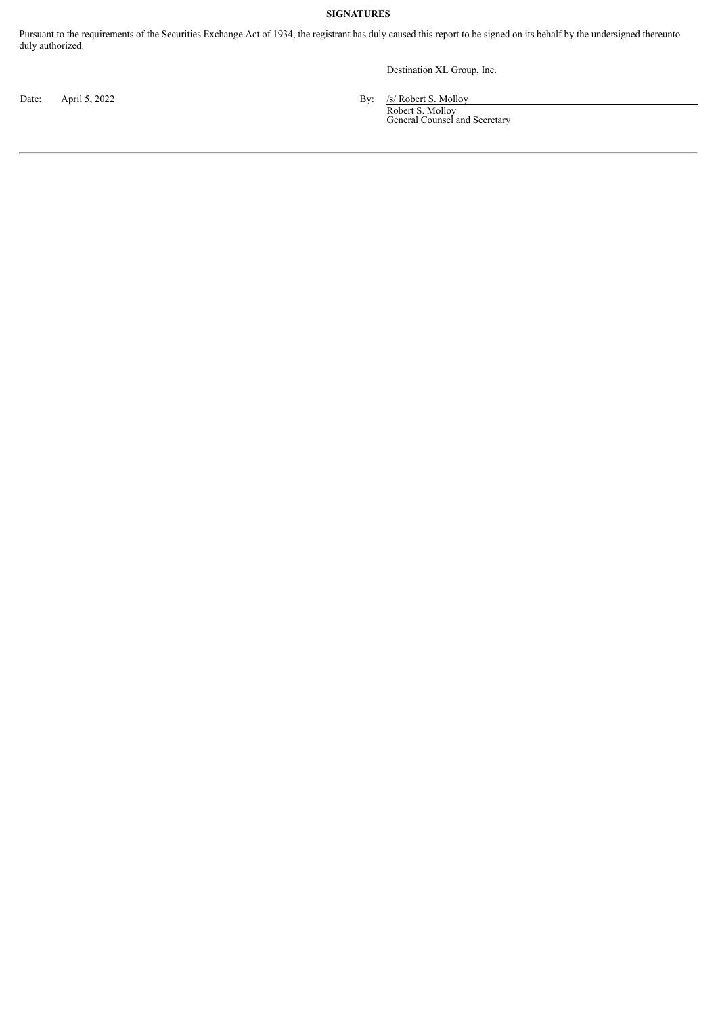# **SIGNATURES**

Pursuant to the requirements of the Securities Exchange Act of 1934, the registrant has duly caused this report to be signed on its behalf by the undersigned thereunto duly authorized.

Destination XL Group, Inc.

Date: April 5, 2022 By: /s/ Robert S. Molloy Robert S. Molloy General Counsel and Secretary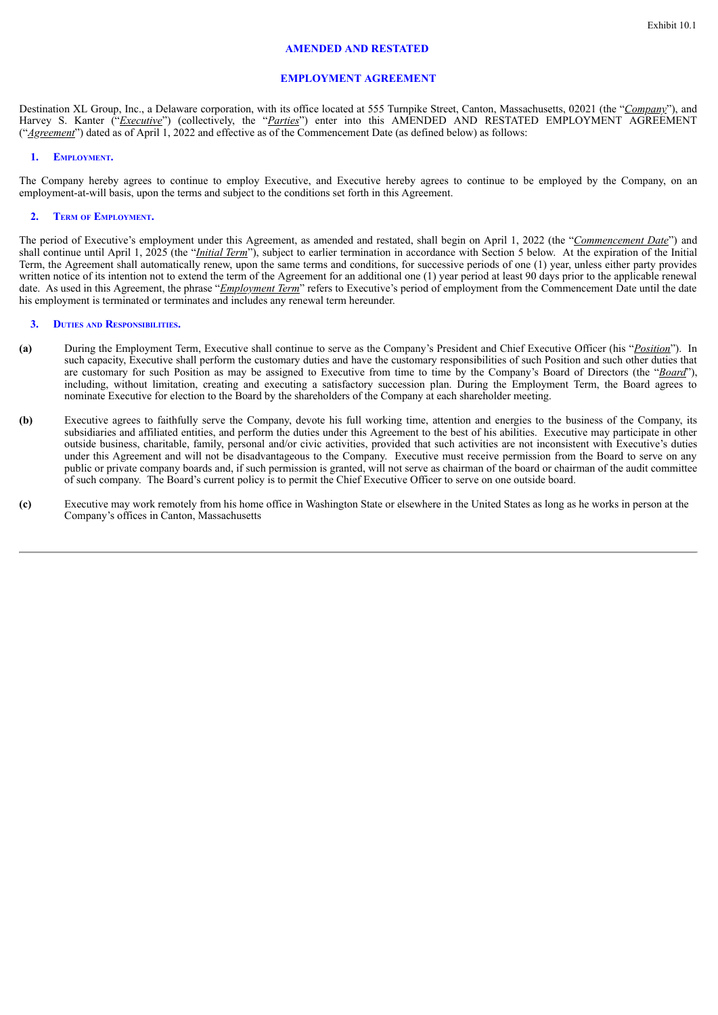#### **AMENDED AND RESTATED**

#### **EMPLOYMENT AGREEMENT**

Destination XL Group, Inc., a Delaware corporation, with its office located at 555 Turnpike Street, Canton, Massachusetts, 02021 (the "*Company*"), and Harvey S. Kanter ("*Executive*") (collectively, the "*Parties*") enter into this AMENDED AND RESTATED EMPLOYMENT AGREEMENT ("*Agreement*") dated as of April 1, 2022 and effective as of the Commencement Date (as defined below) as follows:

#### **1. EMPLOYMENT.**

The Company hereby agrees to continue to employ Executive, and Executive hereby agrees to continue to be employed by the Company, on an employment-at-will basis, upon the terms and subject to the conditions set forth in this Agreement.

#### **2. TERM OF EMPLOYMENT.**

The period of Executive's employment under this Agreement, as amended and restated, shall begin on April 1, 2022 (the "*Commencement Date*") and shall continue until April 1, 2025 (the "*Initial Term*"), subject to earlier termination in accordance with Section 5 below. At the expiration of the Initial Term, the Agreement shall automatically renew, upon the same terms and conditions, for successive periods of one (1) year, unless either party provides written notice of its intention not to extend the term of the Agreement for an additional one (1) year period at least 90 days prior to the applicable renewal date. As used in this Agreement, the phrase "*Employment Term*" refers to Executive's period of employment from the Commencement Date until the date his employment is terminated or terminates and includes any renewal term hereunder.

#### **3. DUTIES AND RESPONSIBILITIES.**

- **(a)** During the Employment Term, Executive shall continue to serve as the Company's President and Chief Executive Officer (his "*Position*"). In such capacity, Executive shall perform the customary duties and have the customary responsibilities of such Position and such other duties that are customary for such Position as may be assigned to Executive from time to time by the Company's Board of Directors (the "*Board*"), including, without limitation, creating and executing a satisfactory succession plan. During the Employment Term, the Board agrees to nominate Executive for election to the Board by the shareholders of the Company at each shareholder meeting.
- **(b)** Executive agrees to faithfully serve the Company, devote his full working time, attention and energies to the business of the Company, its subsidiaries and affiliated entities, and perform the duties under this Agreement to the best of his abilities. Executive may participate in other outside business, charitable, family, personal and/or civic activities, provided that such activities are not inconsistent with Executive's duties under this Agreement and will not be disadvantageous to the Company. Executive must receive permission from the Board to serve on any public or private company boards and, if such permission is granted, will not serve as chairman of the board or chairman of the audit committee of such company. The Board's current policy is to permit the Chief Executive Officer to serve on one outside board.
- **(c)** Executive may work remotely from his home office in Washington State or elsewhere in the United States as long as he works in person at the Company's offices in Canton, Massachusetts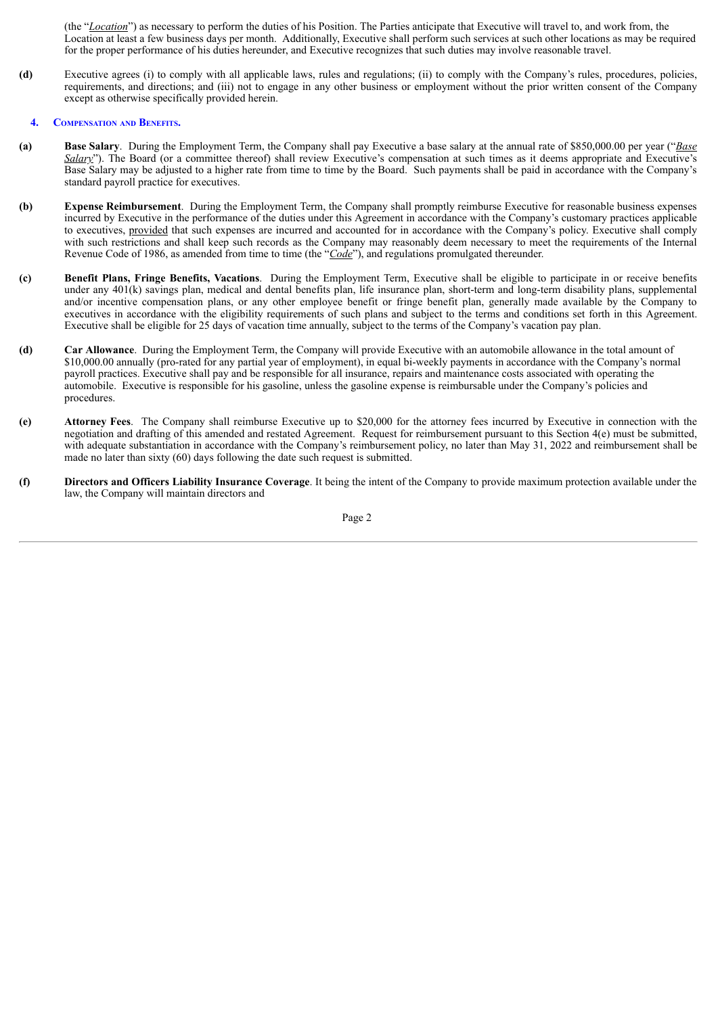(the "*Location*") as necessary to perform the duties of his Position. The Parties anticipate that Executive will travel to, and work from, the Location at least a few business days per month. Additionally, Executive shall perform such services at such other locations as may be required for the proper performance of his duties hereunder, and Executive recognizes that such duties may involve reasonable travel.

**(d)** Executive agrees (i) to comply with all applicable laws, rules and regulations; (ii) to comply with the Company's rules, procedures, policies, requirements, and directions; and (iii) not to engage in any other business or employment without the prior written consent of the Company except as otherwise specifically provided herein.

#### **4. COMPENSATION AND BENEFITS.**

- **(a) Base Salary**. During the Employment Term, the Company shall pay Executive a base salary at the annual rate of \$850,000.00 per year ("*Base Salary*"). The Board (or a committee thereof) shall review Executive's compensation at such times as it deems appropriate and Executive's Base Salary may be adjusted to a higher rate from time to time by the Board. Such payments shall be paid in accordance with the Company's standard payroll practice for executives.
- **(b) Expense Reimbursement**. During the Employment Term, the Company shall promptly reimburse Executive for reasonable business expenses incurred by Executive in the performance of the duties under this Agreement in accordance with the Company's customary practices applicable to executives, provided that such expenses are incurred and accounted for in accordance with the Company's policy. Executive shall comply with such restrictions and shall keep such records as the Company may reasonably deem necessary to meet the requirements of the Internal Revenue Code of 1986, as amended from time to time (the "*Code*"), and regulations promulgated thereunder.
- **(c) Benefit Plans, Fringe Benefits, Vacations**. During the Employment Term, Executive shall be eligible to participate in or receive benefits under any 401(k) savings plan, medical and dental benefits plan, life insurance plan, short-term and long-term disability plans, supplemental and/or incentive compensation plans, or any other employee benefit or fringe benefit plan, generally made available by the Company to executives in accordance with the eligibility requirements of such plans and subject to the terms and conditions set forth in this Agreement. Executive shall be eligible for 25 days of vacation time annually, subject to the terms of the Company's vacation pay plan.
- **(d) Car Allowance**. During the Employment Term, the Company will provide Executive with an automobile allowance in the total amount of \$10,000.00 annually (pro-rated for any partial year of employment), in equal bi-weekly payments in accordance with the Company's normal payroll practices. Executive shall pay and be responsible for all insurance, repairs and maintenance costs associated with operating the automobile. Executive is responsible for his gasoline, unless the gasoline expense is reimbursable under the Company's policies and procedures.
- **(e) Attorney Fees**. The Company shall reimburse Executive up to \$20,000 for the attorney fees incurred by Executive in connection with the negotiation and drafting of this amended and restated Agreement. Request for reimbursement pursuant to this Section 4(e) must be submitted, with adequate substantiation in accordance with the Company's reimbursement policy, no later than May 31, 2022 and reimbursement shall be made no later than sixty (60) days following the date such request is submitted.
- **(f) Directors and Officers Liability Insurance Coverage**. It being the intent of the Company to provide maximum protection available under the law, the Company will maintain directors and

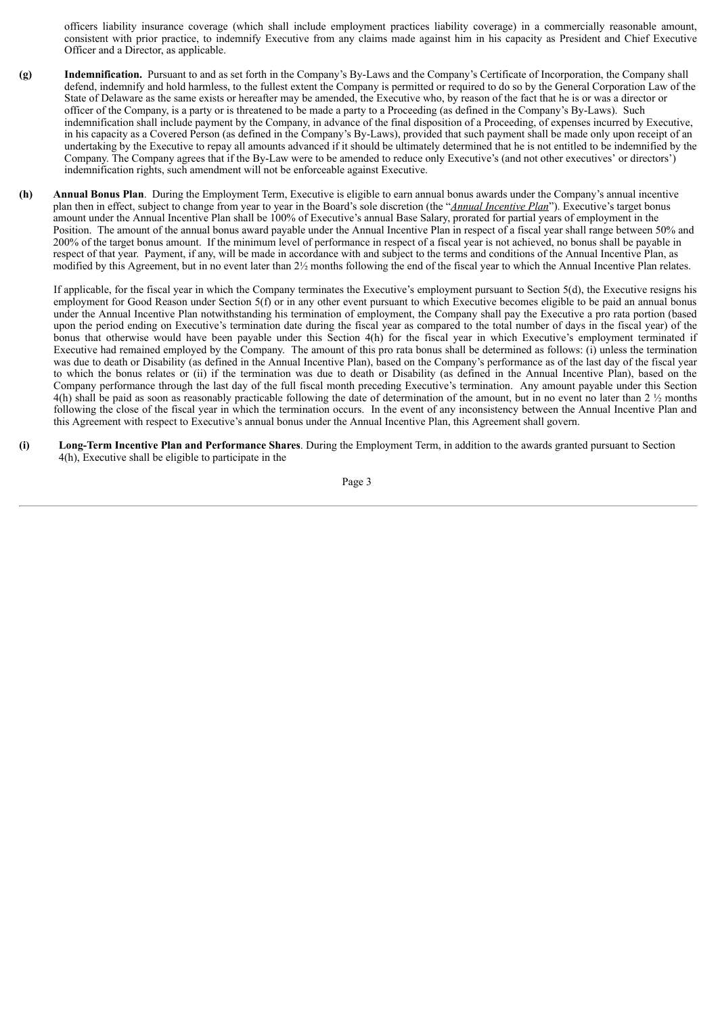officers liability insurance coverage (which shall include employment practices liability coverage) in a commercially reasonable amount, consistent with prior practice, to indemnify Executive from any claims made against him in his capacity as President and Chief Executive Officer and a Director, as applicable.

- **(g) Indemnification.** Pursuant to and as set forth in the Company's By-Laws and the Company's Certificate of Incorporation, the Company shall defend, indemnify and hold harmless, to the fullest extent the Company is permitted or required to do so by the General Corporation Law of the State of Delaware as the same exists or hereafter may be amended, the Executive who, by reason of the fact that he is or was a director or officer of the Company, is a party or is threatened to be made a party to a Proceeding (as defined in the Company's By-Laws). Such indemnification shall include payment by the Company, in advance of the final disposition of a Proceeding, of expenses incurred by Executive, in his capacity as a Covered Person (as defined in the Company's By-Laws), provided that such payment shall be made only upon receipt of an undertaking by the Executive to repay all amounts advanced if it should be ultimately determined that he is not entitled to be indemnified by the Company. The Company agrees that if the By-Law were to be amended to reduce only Executive's (and not other executives' or directors') indemnification rights, such amendment will not be enforceable against Executive.
- **(h) Annual Bonus Plan**. During the Employment Term, Executive is eligible to earn annual bonus awards under the Company's annual incentive plan then in effect, subject to change from year to year in the Board's sole discretion (the "*Annual Incentive Plan*"). Executive's target bonus amount under the Annual Incentive Plan shall be 100% of Executive's annual Base Salary, prorated for partial years of employment in the Position. The amount of the annual bonus award payable under the Annual Incentive Plan in respect of a fiscal year shall range between 50% and 200% of the target bonus amount. If the minimum level of performance in respect of a fiscal year is not achieved, no bonus shall be payable in respect of that year. Payment, if any, will be made in accordance with and subject to the terms and conditions of the Annual Incentive Plan, as modified by this Agreement, but in no event later than 2½ months following the end of the fiscal year to which the Annual Incentive Plan relates.

If applicable, for the fiscal year in which the Company terminates the Executive's employment pursuant to Section 5(d), the Executive resigns his employment for Good Reason under Section 5(f) or in any other event pursuant to which Executive becomes eligible to be paid an annual bonus under the Annual Incentive Plan notwithstanding his termination of employment, the Company shall pay the Executive a pro rata portion (based upon the period ending on Executive's termination date during the fiscal year as compared to the total number of days in the fiscal year) of the bonus that otherwise would have been payable under this Section 4(h) for the fiscal year in which Executive's employment terminated if Executive had remained employed by the Company. The amount of this pro rata bonus shall be determined as follows:  $(i)$  unless the termination was due to death or Disability (as defined in the Annual Incentive Plan), based on the Company's performance as of the last day of the fiscal year to which the bonus relates or (ii) if the termination was due to death or Disability (as defined in the Annual Incentive Plan), based on the Company performance through the last day of the full fiscal month preceding Executive's termination. Any amount payable under this Section  $4(h)$  shall be paid as soon as reasonably practicable following the date of determination of the amount, but in no event no later than 2  $\frac{1}{2}$  months following the close of the fiscal year in which the termination occurs. In the event of any inconsistency between the Annual Incentive Plan and this Agreement with respect to Executive's annual bonus under the Annual Incentive Plan, this Agreement shall govern.

**(i) Long-Term Incentive Plan and Performance Shares**. During the Employment Term, in addition to the awards granted pursuant to Section 4(h), Executive shall be eligible to participate in the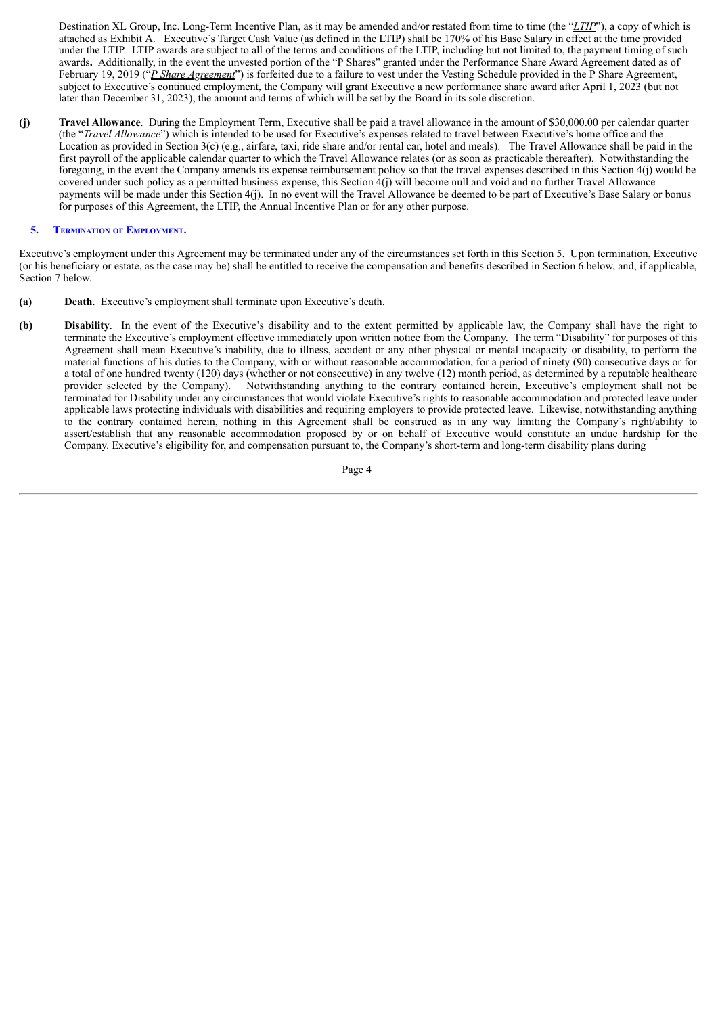Destination XL Group, Inc. Long-Term Incentive Plan, as it may be amended and/or restated from time to time (the "*LTIP*"), a copy of which is attached as Exhibit A. Executive's Target Cash Value (as defined in the LTIP) shall be 170% of his Base Salary in effect at the time provided under the LTIP. LTIP awards are subject to all of the terms and conditions of the LTIP, including but not limited to, the payment timing of such awards**.** Additionally, in the event the unvested portion of the "P Shares" granted under the Performance Share Award Agreement dated as of February 19, 2019 ("*P Share Agreement*") is forfeited due to a failure to vest under the Vesting Schedule provided in the P Share Agreement, subject to Executive's continued employment, the Company will grant Executive a new performance share award after April 1, 2023 (but not later than December 31, 2023), the amount and terms of which will be set by the Board in its sole discretion.

**(j) Travel Allowance**. During the Employment Term, Executive shall be paid a travel allowance in the amount of \$30,000.00 per calendar quarter (the "*Travel Allowance*") which is intended to be used for Executive's expenses related to travel between Executive's home office and the Location as provided in Section 3(c) (e.g., airfare, taxi, ride share and/or rental car, hotel and meals). The Travel Allowance shall be paid in the first payroll of the applicable calendar quarter to which the Travel Allowance relates (or as soon as practicable thereafter). Notwithstanding the foregoing, in the event the Company amends its expense reimbursement policy so that the travel expenses described in this Section 4(j) would be covered under such policy as a permitted business expense, this Section  $\frac{4}{1}$  will become null and void and no further Travel Allowance payments will be made under this Section 4(j). In no event will the Travel Allowance be deemed to be part of Executive's Base Salary or bonus for purposes of this Agreement, the LTIP, the Annual Incentive Plan or for any other purpose.

#### **5. TERMINATION OF EMPLOYMENT.**

Executive's employment under this Agreement may be terminated under any of the circumstances set forth in this Section 5. Upon termination, Executive (or his beneficiary or estate, as the case may be) shall be entitled to receive the compensation and benefits described in Section 6 below, and, if applicable, Section 7 below.

- **(a) Death**. Executive's employment shall terminate upon Executive's death.
- **(b) Disability**. In the event of the Executive's disability and to the extent permitted by applicable law, the Company shall have the right to terminate the Executive's employment effective immediately upon written notice from the Company. The term "Disability" for purposes of this Agreement shall mean Executive's inability, due to illness, accident or any other physical or mental incapacity or disability, to perform the material functions of his duties to the Company, with or without reasonable accommodation, for a period of ninety (90) consecutive days or for a total of one hundred twenty (120) days (whether or not consecutive) in any twelve (12) month period, as determined by a reputable healthcare provider selected by the Company). Notwithstanding anything to the contrary contained herein, Executive's employment shall not be terminated for Disability under any circumstances that would violate Executive's rights to reasonable accommodation and protected leave under applicable laws protecting individuals with disabilities and requiring employers to provide protected leave. Likewise, notwithstanding anything to the contrary contained herein, nothing in this Agreement shall be construed as in any way limiting the Company's right/ability to assert/establish that any reasonable accommodation proposed by or on behalf of Executive would constitute an undue hardship for the Company. Executive's eligibility for, and compensation pursuant to, the Company's short-term and long-term disability plans during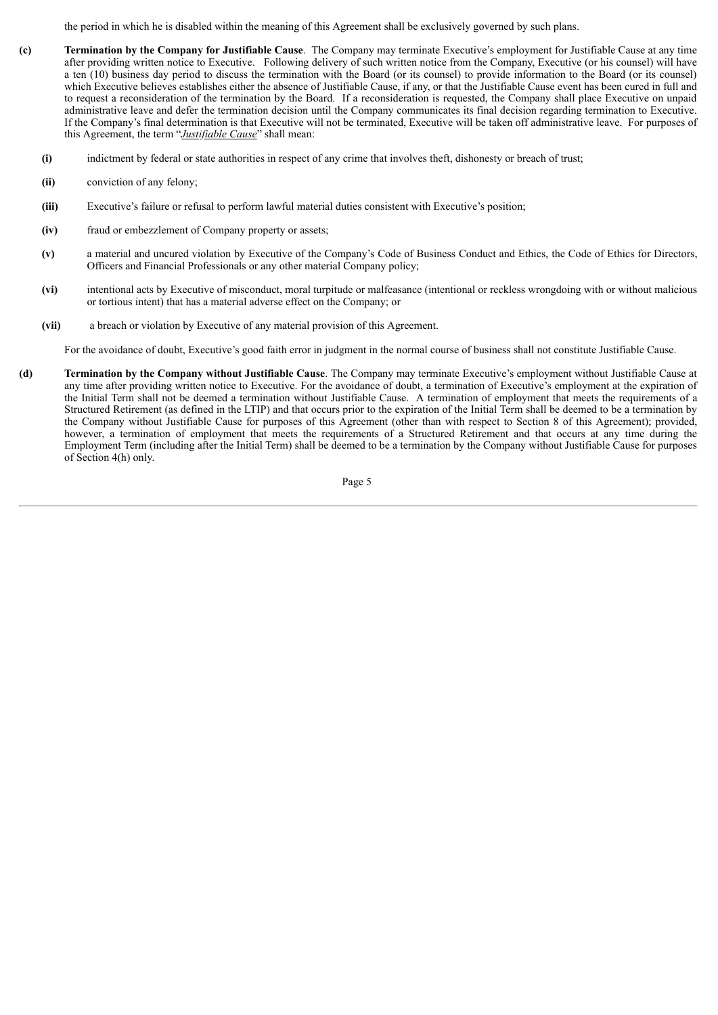the period in which he is disabled within the meaning of this Agreement shall be exclusively governed by such plans.

- **(c) Termination by the Company for Justifiable Cause**. The Company may terminate Executive's employment for Justifiable Cause at any time after providing written notice to Executive. Following delivery of such written notice from the Company, Executive (or his counsel) will have a ten (10) business day period to discuss the termination with the Board (or its counsel) to provide information to the Board (or its counsel) which Executive believes establishes either the absence of Justifiable Cause, if any, or that the Justifiable Cause event has been cured in full and to request a reconsideration of the termination by the Board. If a reconsideration is requested, the Company shall place Executive on unpaid administrative leave and defer the termination decision until the Company communicates its final decision regarding termination to Executive. If the Company's final determination is that Executive will not be terminated, Executive will be taken off administrative leave. For purposes of this Agreement, the term "*Justifiable Cause*" shall mean:
	- **(i)** indictment by federal or state authorities in respect of any crime that involves theft, dishonesty or breach of trust;
	- **(ii)** conviction of any felony;
	- **(iii)** Executive's failure or refusal to perform lawful material duties consistent with Executive's position;
	- **(iv)** fraud or embezzlement of Company property or assets;
	- **(v)** a material and uncured violation by Executive of the Company's Code of Business Conduct and Ethics, the Code of Ethics for Directors, Officers and Financial Professionals or any other material Company policy;
	- **(vi)** intentional acts by Executive of misconduct, moral turpitude or malfeasance (intentional or reckless wrongdoing with or without malicious or tortious intent) that has a material adverse effect on the Company; or
	- **(vii)** a breach or violation by Executive of any material provision of this Agreement.

For the avoidance of doubt, Executive's good faith error in judgment in the normal course of business shall not constitute Justifiable Cause.

**(d) Termination by the Company without Justifiable Cause**. The Company may terminate Executive's employment without Justifiable Cause at any time after providing written notice to Executive. For the avoidance of doubt, a termination of Executive's employment at the expiration of the Initial Term shall not be deemed a termination without Justifiable Cause. A termination of employment that meets the requirements of a Structured Retirement (as defined in the LTIP) and that occurs prior to the expiration of the Initial Term shall be deemed to be a termination by the Company without Justifiable Cause for purposes of this Agreement (other than with respect to Section 8 of this Agreement); provided, however, a termination of employment that meets the requirements of a Structured Retirement and that occurs at any time during the Employment Term (including after the Initial Term) shall be deemed to be a termination by the Company without Justifiable Cause for purposes of Section 4(h) only.

Page 5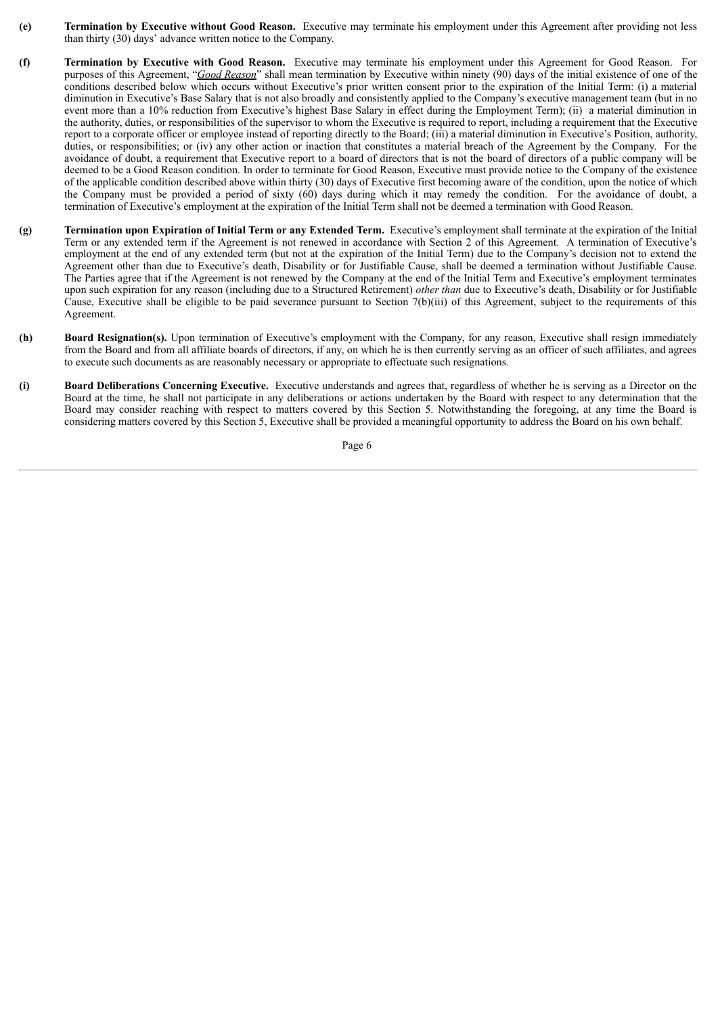- **(e) Termination by Executive without Good Reason.** Executive may terminate his employment under this Agreement after providing not less than thirty (30) days' advance written notice to the Company.
- **(f) Termination by Executive with Good Reason.** Executive may terminate his employment under this Agreement for Good Reason. For purposes of this Agreement, "*Good Reason*" shall mean termination by Executive within ninety (90) days of the initial existence of one of the conditions described below which occurs without Executive's prior written consent prior to the expiration of the Initial Term: (i) a material diminution in Executive's Base Salary that is not also broadly and consistently applied to the Company's executive management team (but in no event more than a 10% reduction from Executive's highest Base Salary in effect during the Employment Term); (ii) a material diminution in the authority, duties, or responsibilities of the supervisor to whom the Executive is required to report, including a requirement that the Executive report to a corporate officer or employee instead of reporting directly to the Board; (iii) a material diminution in Executive's Position, authority, duties, or responsibilities; or (iv) any other action or inaction that constitutes a material breach of the Agreement by the Company. For the avoidance of doubt, a requirement that Executive report to a board of directors that is not the board of directors of a public company will be deemed to be a Good Reason condition. In order to terminate for Good Reason, Executive must provide notice to the Company of the existence of the applicable condition described above within thirty (30) days of Executive first becoming aware of the condition, upon the notice of which the Company must be provided a period of sixty (60) days during which it may remedy the condition. For the avoidance of doubt, a termination of Executive's employment at the expiration of the Initial Term shall not be deemed a termination with Good Reason.
- **(g) Termination upon Expiration of Initial Term or any Extended Term.** Executive's employment shall terminate at the expiration of the Initial Term or any extended term if the Agreement is not renewed in accordance with Section 2 of this Agreement. A termination of Executive's employment at the end of any extended term (but not at the expiration of the Initial Term) due to the Company's decision not to extend the Agreement other than due to Executive's death, Disability or for Justifiable Cause, shall be deemed a termination without Justifiable Cause. The Parties agree that if the Agreement is not renewed by the Company at the end of the Initial Term and Executive's employment terminates upon such expiration for any reason (including due to a Structured Retirement) *other than* due to Executive's death, Disability or for Justifiable Cause, Executive shall be eligible to be paid severance pursuant to Section 7(b)(iii) of this Agreement, subject to the requirements of this Agreement.
- **(h) Board Resignation(s).** Upon termination of Executive's employment with the Company, for any reason, Executive shall resign immediately from the Board and from all affiliate boards of directors, if any, on which he is then currently serving as an officer of such affiliates, and agrees to execute such documents as are reasonably necessary or appropriate to effectuate such resignations.
- **(i) Board Deliberations Concerning Executive.** Executive understands and agrees that, regardless of whether he is serving as a Director on the Board at the time, he shall not participate in any deliberations or actions undertaken by the Board with respect to any determination that the Board may consider reaching with respect to matters covered by this Section 5. Notwithstanding the foregoing, at any time the Board is considering matters covered by this Section 5, Executive shall be provided a meaningful opportunity to address the Board on his own behalf.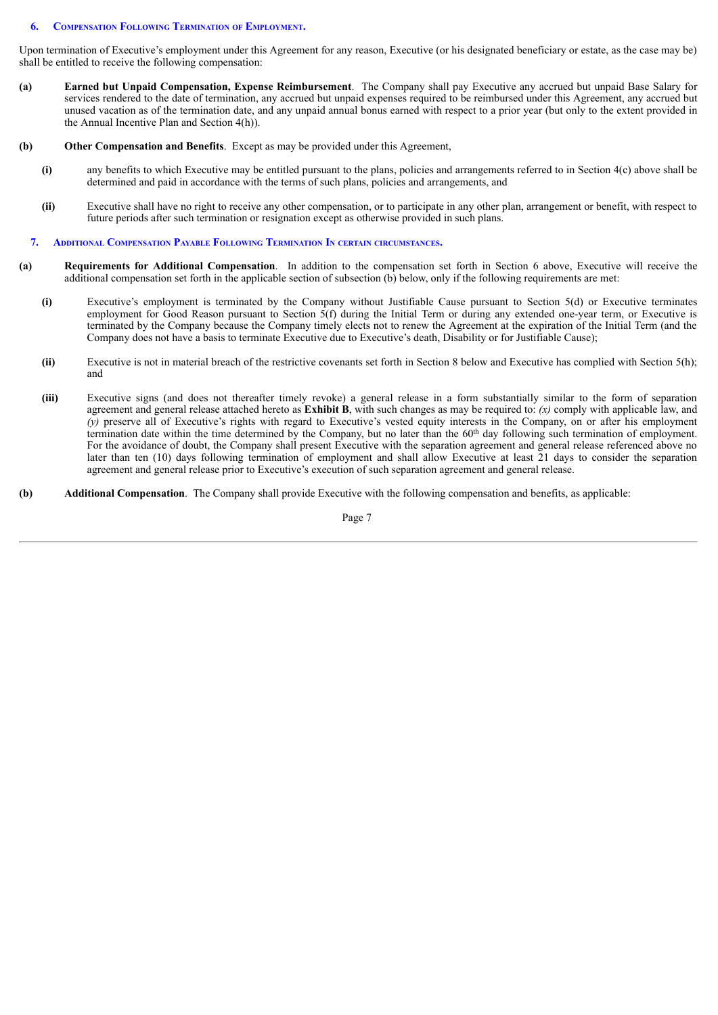#### **6. COMPENSATION FOLLOWING TERMINATION OF EMPLOYMENT.**

Upon termination of Executive's employment under this Agreement for any reason, Executive (or his designated beneficiary or estate, as the case may be) shall be entitled to receive the following compensation:

- **(a) Earned but Unpaid Compensation, Expense Reimbursement**. The Company shall pay Executive any accrued but unpaid Base Salary for services rendered to the date of termination, any accrued but unpaid expenses required to be reimbursed under this Agreement, any accrued but unused vacation as of the termination date, and any unpaid annual bonus earned with respect to a prior year (but only to the extent provided in the Annual Incentive Plan and Section 4(h)).
- **(b) Other Compensation and Benefits**. Except as may be provided under this Agreement,
	- **(i)** any benefits to which Executive may be entitled pursuant to the plans, policies and arrangements referred to in Section 4(c) above shall be determined and paid in accordance with the terms of such plans, policies and arrangements, and
	- **(ii)** Executive shall have no right to receive any other compensation, or to participate in any other plan, arrangement or benefit, with respect to future periods after such termination or resignation except as otherwise provided in such plans.

#### **7. ADDITIONAL COMPENSATION PAYABLE FOLLOWING TERMINATION I<sup>N</sup> CERTAIN CIRCUMSTANCES.**

- **(a) Requirements for Additional Compensation**. In addition to the compensation set forth in Section 6 above, Executive will receive the additional compensation set forth in the applicable section of subsection (b) below, only if the following requirements are met:
	- **(i)** Executive's employment is terminated by the Company without Justifiable Cause pursuant to Section 5(d) or Executive terminates employment for Good Reason pursuant to Section 5(f) during the Initial Term or during any extended one-year term, or Executive is terminated by the Company because the Company timely elects not to renew the Agreement at the expiration of the Initial Term (and the Company does not have a basis to terminate Executive due to Executive's death, Disability or for Justifiable Cause);
	- **(ii)** Executive is not in material breach of the restrictive covenants set forth in Section 8 below and Executive has complied with Section 5(h); and
	- **(iii)** Executive signs (and does not thereafter timely revoke) a general release in a form substantially similar to the form of separation agreement and general release attached hereto as **Exhibit B**, with such changes as may be required to: *(x)* comply with applicable law, and *(y)* preserve all of Executive's rights with regard to Executive's vested equity interests in the Company, on or after his employment termination date within the time determined by the Company, but no later than the 60<sup>th</sup> day following such termination of employment. For the avoidance of doubt, the Company shall present Executive with the separation agreement and general release referenced above no later than ten (10) days following termination of employment and shall allow Executive at least 21 days to consider the separation agreement and general release prior to Executive's execution of such separation agreement and general release.
- **(b) Additional Compensation**. The Company shall provide Executive with the following compensation and benefits, as applicable: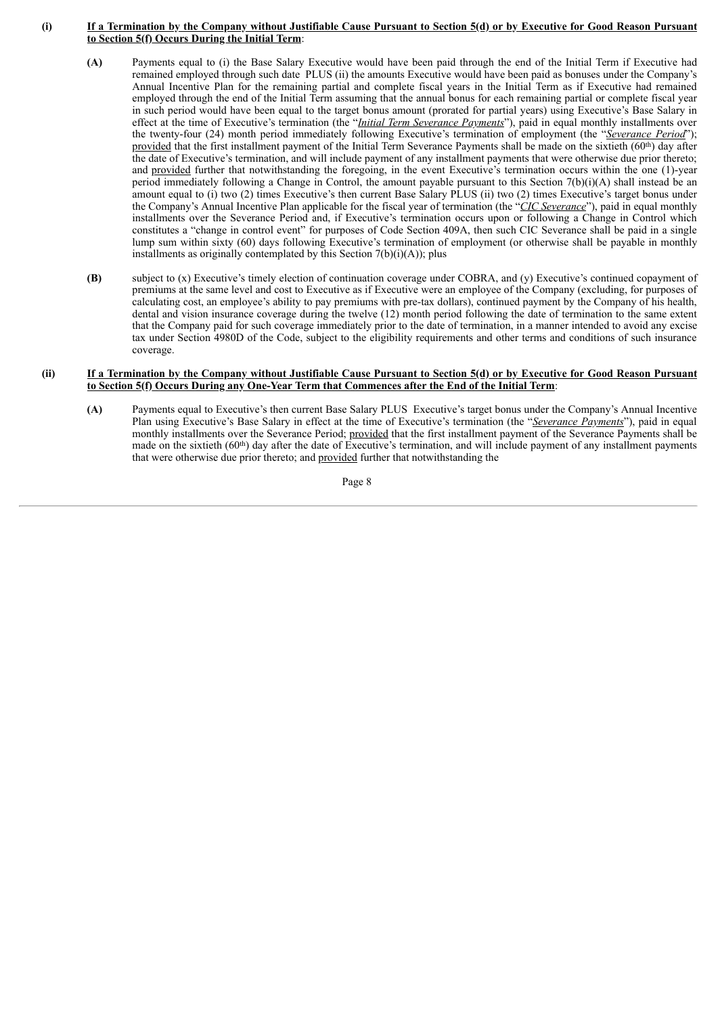#### (i) If a Termination by the Company without Justifiable Cause Pursuant to Section 5(d) or by Executive for Good Reason Pursuant **to Section 5(f) Occurs During the Initial Term**:

- **(A)** Payments equal to (i) the Base Salary Executive would have been paid through the end of the Initial Term if Executive had remained employed through such date PLUS (ii) the amounts Executive would have been paid as bonuses under the Company's Annual Incentive Plan for the remaining partial and complete fiscal years in the Initial Term as if Executive had remained employed through the end of the Initial Term assuming that the annual bonus for each remaining partial or complete fiscal year in such period would have been equal to the target bonus amount (prorated for partial years) using Executive's Base Salary in effect at the time of Executive's termination (the "*Initial Term Severance Payments*"), paid in equal monthly installments over the twenty-four (24) month period immediately following Executive's termination of employment (the "*Severance Period*"); provided that the first installment payment of the Initial Term Severance Payments shall be made on the sixtieth  $(60<sup>th</sup>)$  day after the date of Executive's termination, and will include payment of any installment payments that were otherwise due prior thereto; and provided further that notwithstanding the foregoing, in the event Executive's termination occurs within the one (1)-year period immediately following a Change in Control, the amount payable pursuant to this Section  $7(b)(i)$ (A) shall instead be an amount equal to (i) two (2) times Executive's then current Base Salary PLUS (ii) two (2) times Executive's target bonus under the Company's Annual Incentive Plan applicable for the fiscal year of termination (the "*CIC Severance*"), paid in equal monthly installments over the Severance Period and, if Executive's termination occurs upon or following a Change in Control which constitutes a "change in control event" for purposes of Code Section 409A, then such CIC Severance shall be paid in a single lump sum within sixty (60) days following Executive's termination of employment (or otherwise shall be payable in monthly installments as originally contemplated by this Section  $7(b)(i)(A)$ ; plus
- **(B)** subject to (x) Executive's timely election of continuation coverage under COBRA, and (y) Executive's continued copayment of premiums at the same level and cost to Executive as if Executive were an employee of the Company (excluding, for purposes of calculating cost, an employee's ability to pay premiums with pre-tax dollars), continued payment by the Company of his health, dental and vision insurance coverage during the twelve (12) month period following the date of termination to the same extent that the Company paid for such coverage immediately prior to the date of termination, in a manner intended to avoid any excise tax under Section 4980D of the Code, subject to the eligibility requirements and other terms and conditions of such insurance coverage.

#### (ii) If a Termination by the Company without Justifiable Cause Pursuant to Section 5(d) or by Executive for Good Reason Pursuant **to Section 5(f) Occurs During any One-Year Term that Commences after the End of the Initial Term**:

**(A)** Payments equal to Executive's then current Base Salary PLUS Executive's target bonus under the Company's Annual Incentive Plan using Executive's Base Salary in effect at the time of Executive's termination (the "*Severance Payments*"), paid in equal monthly installments over the Severance Period; provided that the first installment payment of the Severance Payments shall be made on the sixtieth (60<sup>th</sup>) day after the date of Executive's termination, and will include payment of any installment payments that were otherwise due prior thereto; and provided further that notwithstanding the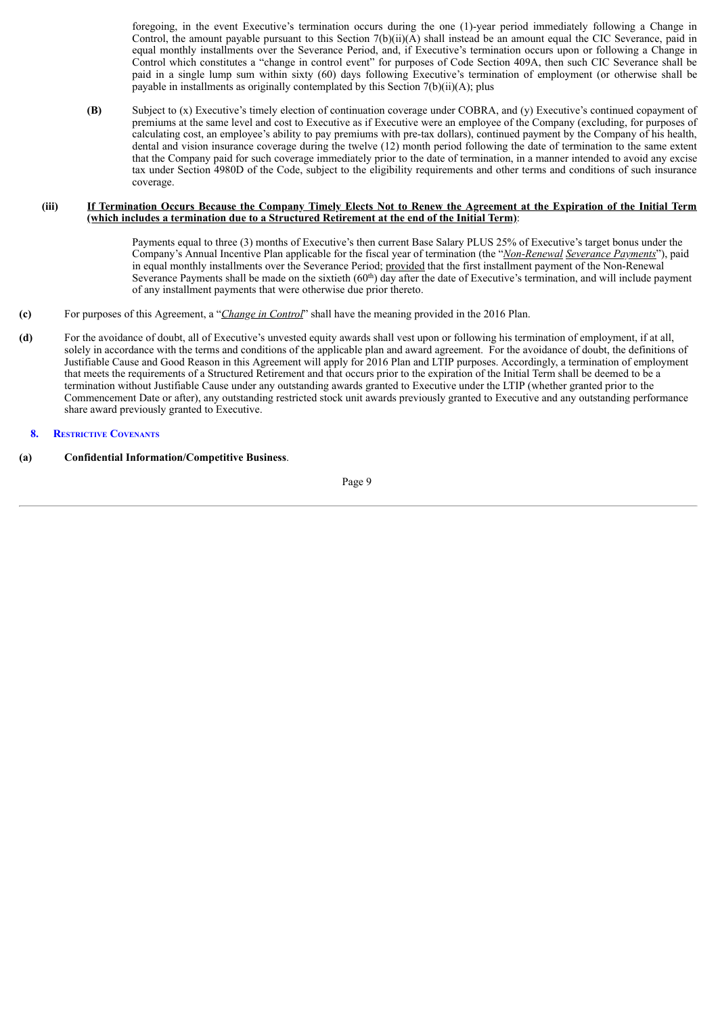foregoing, in the event Executive's termination occurs during the one (1)-year period immediately following a Change in Control, the amount payable pursuant to this Section  $7(b)(ii)(A)$  shall instead be an amount equal the CIC Severance, paid in equal monthly installments over the Severance Period, and, if Executive's termination occurs upon or following a Change in Control which constitutes a "change in control event" for purposes of Code Section 409A, then such CIC Severance shall be paid in a single lump sum within sixty (60) days following Executive's termination of employment (or otherwise shall be payable in installments as originally contemplated by this Section 7(b)(ii)(A); plus

**(B)** Subject to (x) Executive's timely election of continuation coverage under COBRA, and (y) Executive's continued copayment of premiums at the same level and cost to Executive as if Executive were an employee of the Company (excluding, for purposes of calculating cost, an employee's ability to pay premiums with pre-tax dollars), continued payment by the Company of his health, dental and vision insurance coverage during the twelve (12) month period following the date of termination to the same extent that the Company paid for such coverage immediately prior to the date of termination, in a manner intended to avoid any excise tax under Section 4980D of the Code, subject to the eligibility requirements and other terms and conditions of such insurance coverage.

#### (iii) If Termination Occurs Because the Company Timely Elects Not to Renew the Agreement at the Expiration of the Initial Term **(which includes a termination due to a Structured Retirement at the end of the Initial Term)**:

Payments equal to three (3) months of Executive's then current Base Salary PLUS 25% of Executive's target bonus under the Company's Annual Incentive Plan applicable for the fiscal year of termination (the "*Non-Renewal Severance Payments*"), paid in equal monthly installments over the Severance Period; provided that the first installment payment of the Non-Renewal Severance Payments shall be made on the sixtieth (60<sup>th</sup>) day after the date of Executive's termination, and will include payment of any installment payments that were otherwise due prior thereto.

- **(c)** For purposes of this Agreement, a "*Change in Control*" shall have the meaning provided in the 2016 Plan.
- **(d)** For the avoidance of doubt, all of Executive's unvested equity awards shall vest upon or following his termination of employment, if at all, solely in accordance with the terms and conditions of the applicable plan and award agreement. For the avoidance of doubt, the definitions of Justifiable Cause and Good Reason in this Agreement will apply for 2016 Plan and LTIP purposes. Accordingly, a termination of employment that meets the requirements of a Structured Retirement and that occurs prior to the expiration of the Initial Term shall be deemed to be a termination without Justifiable Cause under any outstanding awards granted to Executive under the LTIP (whether granted prior to the Commencement Date or after), any outstanding restricted stock unit awards previously granted to Executive and any outstanding performance share award previously granted to Executive.

#### **8. RESTRICTIVE COVENANTS**

**(a) Confidential Information/Competitive Business**.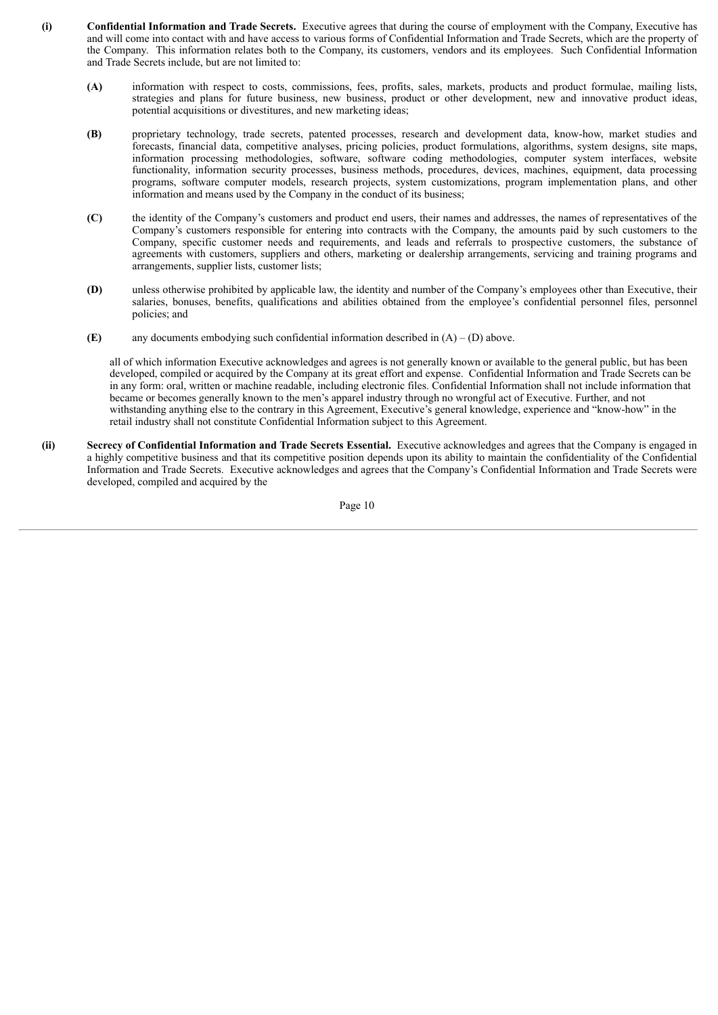- **(i) Confidential Information and Trade Secrets.** Executive agrees that during the course of employment with the Company, Executive has and will come into contact with and have access to various forms of Confidential Information and Trade Secrets, which are the property of the Company. This information relates both to the Company, its customers, vendors and its employees. Such Confidential Information and Trade Secrets include, but are not limited to:
	- **(A)** information with respect to costs, commissions, fees, profits, sales, markets, products and product formulae, mailing lists, strategies and plans for future business, new business, product or other development, new and innovative product ideas, potential acquisitions or divestitures, and new marketing ideas;
	- **(B)** proprietary technology, trade secrets, patented processes, research and development data, know-how, market studies and forecasts, financial data, competitive analyses, pricing policies, product formulations, algorithms, system designs, site maps, information processing methodologies, software, software coding methodologies, computer system interfaces, website functionality, information security processes, business methods, procedures, devices, machines, equipment, data processing programs, software computer models, research projects, system customizations, program implementation plans, and other information and means used by the Company in the conduct of its business;
	- **(C)** the identity of the Company's customers and product end users, their names and addresses, the names of representatives of the Company's customers responsible for entering into contracts with the Company, the amounts paid by such customers to the Company, specific customer needs and requirements, and leads and referrals to prospective customers, the substance of agreements with customers, suppliers and others, marketing or dealership arrangements, servicing and training programs and arrangements, supplier lists, customer lists;
	- **(D)** unless otherwise prohibited by applicable law, the identity and number of the Company's employees other than Executive, their salaries, bonuses, benefits, qualifications and abilities obtained from the employee's confidential personnel files, personnel policies; and
	- **(E)** any documents embodying such confidential information described in  $(A) (D)$  above.

all of which information Executive acknowledges and agrees is not generally known or available to the general public, but has been developed, compiled or acquired by the Company at its great effort and expense. Confidential Information and Trade Secrets can be in any form: oral, written or machine readable, including electronic files. Confidential Information shall not include information that became or becomes generally known to the men's apparel industry through no wrongful act of Executive. Further, and not withstanding anything else to the contrary in this Agreement, Executive's general knowledge, experience and "know-how" in the retail industry shall not constitute Confidential Information subject to this Agreement.

**(ii) Secrecy of Confidential Information and Trade Secrets Essential.** Executive acknowledges and agrees that the Company is engaged in a highly competitive business and that its competitive position depends upon its ability to maintain the confidentiality of the Confidential Information and Trade Secrets. Executive acknowledges and agrees that the Company's Confidential Information and Trade Secrets were developed, compiled and acquired by the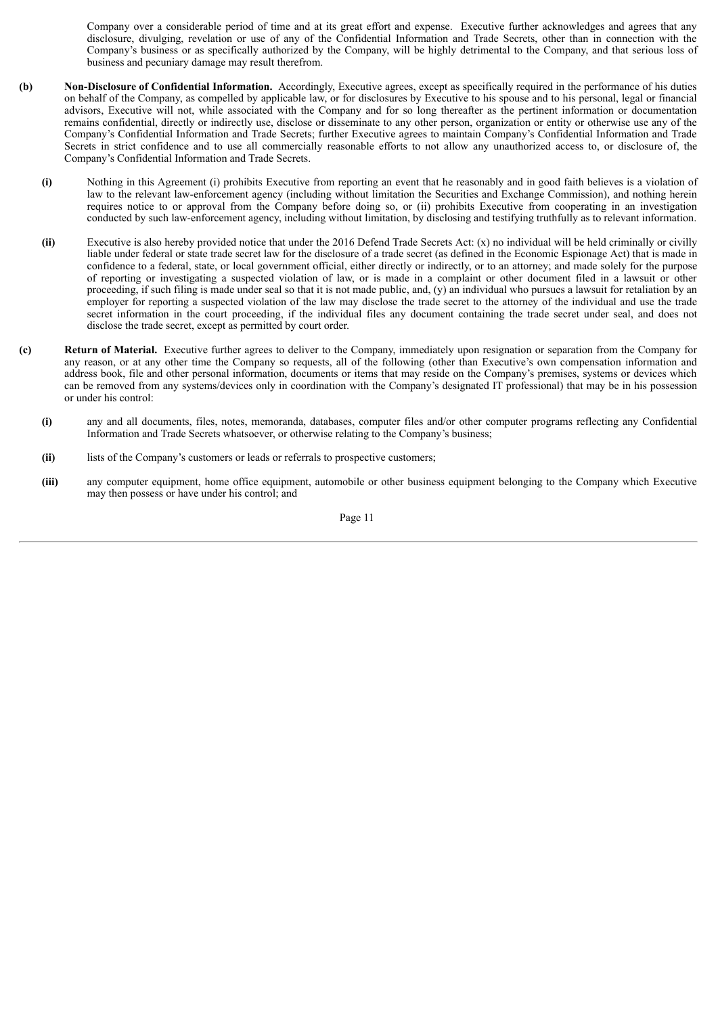Company over a considerable period of time and at its great effort and expense. Executive further acknowledges and agrees that any disclosure, divulging, revelation or use of any of the Confidential Information and Trade Secrets, other than in connection with the Company's business or as specifically authorized by the Company, will be highly detrimental to the Company, and that serious loss of business and pecuniary damage may result therefrom.

- **(b) Non-Disclosure of Confidential Information.** Accordingly, Executive agrees, except as specifically required in the performance of his duties on behalf of the Company, as compelled by applicable law, or for disclosures by Executive to his spouse and to his personal, legal or financial advisors, Executive will not, while associated with the Company and for so long thereafter as the pertinent information or documentation remains confidential, directly or indirectly use, disclose or disseminate to any other person, organization or entity or otherwise use any of the Company's Confidential Information and Trade Secrets; further Executive agrees to maintain Company's Confidential Information and Trade Secrets in strict confidence and to use all commercially reasonable efforts to not allow any unauthorized access to, or disclosure of, the Company's Confidential Information and Trade Secrets.
	- **(i)** Nothing in this Agreement (i) prohibits Executive from reporting an event that he reasonably and in good faith believes is a violation of law to the relevant law-enforcement agency (including without limitation the Securities and Exchange Commission), and nothing herein requires notice to or approval from the Company before doing so, or (ii) prohibits Executive from cooperating in an investigation conducted by such law-enforcement agency, including without limitation, by disclosing and testifying truthfully as to relevant information.
	- **(ii)** Executive is also hereby provided notice that under the 2016 Defend Trade Secrets Act: (x) no individual will be held criminally or civilly liable under federal or state trade secret law for the disclosure of a trade secret (as defined in the Economic Espionage Act) that is made in confidence to a federal, state, or local government official, either directly or indirectly, or to an attorney; and made solely for the purpose of reporting or investigating a suspected violation of law, or is made in a complaint or other document filed in a lawsuit or other proceeding, if such filing is made under seal so that it is not made public, and, (y) an individual who pursues a lawsuit for retaliation by an employer for reporting a suspected violation of the law may disclose the trade secret to the attorney of the individual and use the trade secret information in the court proceeding, if the individual files any document containing the trade secret under seal, and does not disclose the trade secret, except as permitted by court order.
- **(c) Return of Material.** Executive further agrees to deliver to the Company, immediately upon resignation or separation from the Company for any reason, or at any other time the Company so requests, all of the following (other than Executive's own compensation information and address book, file and other personal information, documents or items that may reside on the Company's premises, systems or devices which can be removed from any systems/devices only in coordination with the Company's designated IT professional) that may be in his possession or under his control:
	- **(i)** any and all documents, files, notes, memoranda, databases, computer files and/or other computer programs reflecting any Confidential Information and Trade Secrets whatsoever, or otherwise relating to the Company's business;
	- **(ii)** lists of the Company's customers or leads or referrals to prospective customers;
	- **(iii)** any computer equipment, home office equipment, automobile or other business equipment belonging to the Company which Executive may then possess or have under his control; and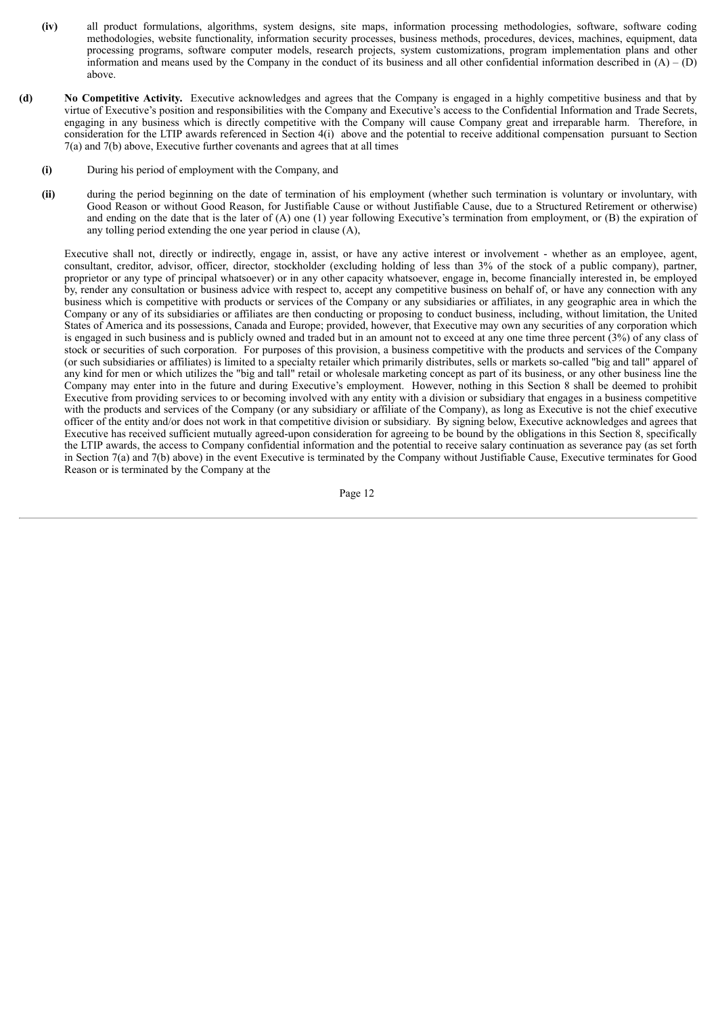- **(iv)** all product formulations, algorithms, system designs, site maps, information processing methodologies, software, software coding methodologies, website functionality, information security processes, business methods, procedures, devices, machines, equipment, data processing programs, software computer models, research projects, system customizations, program implementation plans and other information and means used by the Company in the conduct of its business and all other confidential information described in  $(A) - (D)$ above.
- **(d) No Competitive Activity.** Executive acknowledges and agrees that the Company is engaged in a highly competitive business and that by virtue of Executive's position and responsibilities with the Company and Executive's access to the Confidential Information and Trade Secrets, engaging in any business which is directly competitive with the Company will cause Company great and irreparable harm. Therefore, in consideration for the LTIP awards referenced in Section 4(i) above and the potential to receive additional compensation pursuant to Section 7(a) and 7(b) above, Executive further covenants and agrees that at all times
	- **(i)** During his period of employment with the Company, and
	- **(ii)** during the period beginning on the date of termination of his employment (whether such termination is voluntary or involuntary, with Good Reason or without Good Reason, for Justifiable Cause or without Justifiable Cause, due to a Structured Retirement or otherwise) and ending on the date that is the later of (A) one (1) year following Executive's termination from employment, or (B) the expiration of any tolling period extending the one year period in clause (A),

Executive shall not, directly or indirectly, engage in, assist, or have any active interest or involvement - whether as an employee, agent, consultant, creditor, advisor, officer, director, stockholder (excluding holding of less than 3% of the stock of a public company), partner, proprietor or any type of principal whatsoever) or in any other capacity whatsoever, engage in, become financially interested in, be employed by, render any consultation or business advice with respect to, accept any competitive business on behalf of, or have any connection with any business which is competitive with products or services of the Company or any subsidiaries or affiliates, in any geographic area in which the Company or any of its subsidiaries or affiliates are then conducting or proposing to conduct business, including, without limitation, the United States of America and its possessions, Canada and Europe; provided, however, that Executive may own any securities of any corporation which is engaged in such business and is publicly owned and traded but in an amount not to exceed at any one time three percent (3%) of any class of stock or securities of such corporation. For purposes of this provision, a business competitive with the products and services of the Company (or such subsidiaries or affiliates) is limited to a specialty retailer which primarily distributes, sells or markets so-called "big and tall" apparel of any kind for men or which utilizes the "big and tall" retail or wholesale marketing concept as part of its business, or any other business line the Company may enter into in the future and during Executive's employment. However, nothing in this Section 8 shall be deemed to prohibit Executive from providing services to or becoming involved with any entity with a division or subsidiary that engages in a business competitive with the products and services of the Company (or any subsidiary or affiliate of the Company), as long as Executive is not the chief executive officer of the entity and/or does not work in that competitive division or subsidiary. By signing below, Executive acknowledges and agrees that Executive has received sufficient mutually agreed-upon consideration for agreeing to be bound by the obligations in this Section 8, specifically the LTIP awards, the access to Company confidential information and the potential to receive salary continuation as severance pay (as set forth in Section 7(a) and 7(b) above) in the event Executive is terminated by the Company without Justifiable Cause, Executive terminates for Good Reason or is terminated by the Company at the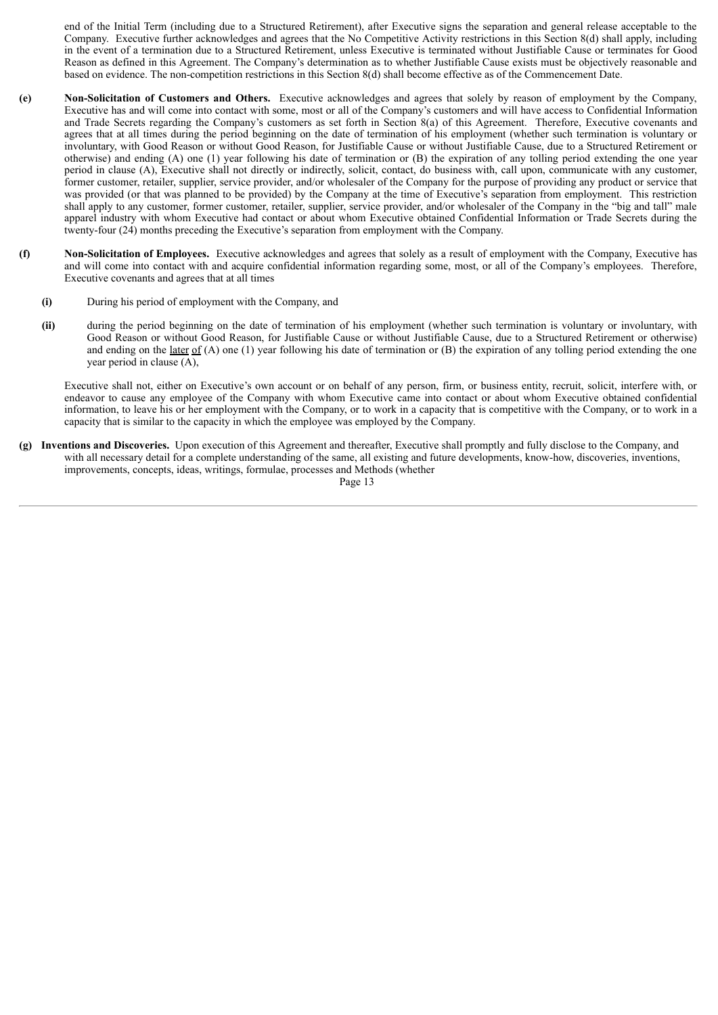end of the Initial Term (including due to a Structured Retirement), after Executive signs the separation and general release acceptable to the Company. Executive further acknowledges and agrees that the No Competitive Activity restrictions in this Section 8(d) shall apply, including in the event of a termination due to a Structured Retirement, unless Executive is terminated without Justifiable Cause or terminates for Good Reason as defined in this Agreement. The Company's determination as to whether Justifiable Cause exists must be objectively reasonable and based on evidence. The non-competition restrictions in this Section 8(d) shall become effective as of the Commencement Date.

- **(e) Non-Solicitation of Customers and Others.** Executive acknowledges and agrees that solely by reason of employment by the Company, Executive has and will come into contact with some, most or all of the Company's customers and will have access to Confidential Information and Trade Secrets regarding the Company's customers as set forth in Section 8(a) of this Agreement. Therefore, Executive covenants and agrees that at all times during the period beginning on the date of termination of his employment (whether such termination is voluntary or involuntary, with Good Reason or without Good Reason, for Justifiable Cause or without Justifiable Cause, due to a Structured Retirement or otherwise) and ending (A) one (1) year following his date of termination or (B) the expiration of any tolling period extending the one year period in clause (A), Executive shall not directly or indirectly, solicit, contact, do business with, call upon, communicate with any customer, former customer, retailer, supplier, service provider, and/or wholesaler of the Company for the purpose of providing any product or service that was provided (or that was planned to be provided) by the Company at the time of Executive's separation from employment. This restriction shall apply to any customer, former customer, retailer, supplier, service provider, and/or wholesaler of the Company in the "big and tall" male apparel industry with whom Executive had contact or about whom Executive obtained Confidential Information or Trade Secrets during the twenty-four (24) months preceding the Executive's separation from employment with the Company.
- **(f) Non-Solicitation of Employees.** Executive acknowledges and agrees that solely as a result of employment with the Company, Executive has and will come into contact with and acquire confidential information regarding some, most, or all of the Company's employees. Therefore, Executive covenants and agrees that at all times
	- **(i)** During his period of employment with the Company, and
	- **(ii)** during the period beginning on the date of termination of his employment (whether such termination is voluntary or involuntary, with Good Reason or without Good Reason, for Justifiable Cause or without Justifiable Cause, due to a Structured Retirement or otherwise) and ending on the <u>later of</u> (A) one (1) year following his date of termination or (B) the expiration of any tolling period extending the one year period in clause (A),

Executive shall not, either on Executive's own account or on behalf of any person, firm, or business entity, recruit, solicit, interfere with, or endeavor to cause any employee of the Company with whom Executive came into contact or about whom Executive obtained confidential information, to leave his or her employment with the Company, or to work in a capacity that is competitive with the Company, or to work in a capacity that is similar to the capacity in which the employee was employed by the Company.

**(g) Inventions and Discoveries.** Upon execution of this Agreement and thereafter, Executive shall promptly and fully disclose to the Company, and with all necessary detail for a complete understanding of the same, all existing and future developments, know-how, discoveries, inventions, improvements, concepts, ideas, writings, formulae, processes and Methods (whether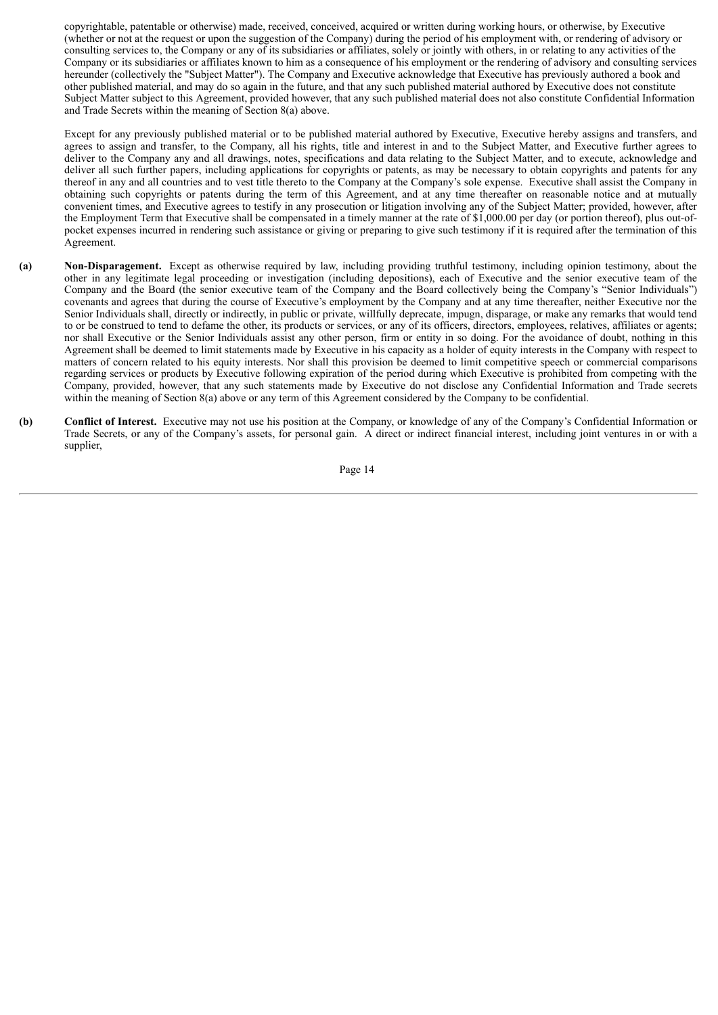copyrightable, patentable or otherwise) made, received, conceived, acquired or written during working hours, or otherwise, by Executive (whether or not at the request or upon the suggestion of the Company) during the period of his employment with, or rendering of advisory or consulting services to, the Company or any of its subsidiaries or affiliates, solely or jointly with others, in or relating to any activities of the Company or its subsidiaries or affiliates known to him as a consequence of his employment or the rendering of advisory and consulting services hereunder (collectively the "Subject Matter"). The Company and Executive acknowledge that Executive has previously authored a book and other published material, and may do so again in the future, and that any such published material authored by Executive does not constitute Subject Matter subject to this Agreement, provided however, that any such published material does not also constitute Confidential Information and Trade Secrets within the meaning of Section 8(a) above.

Except for any previously published material or to be published material authored by Executive, Executive hereby assigns and transfers, and agrees to assign and transfer, to the Company, all his rights, title and interest in and to the Subject Matter, and Executive further agrees to deliver to the Company any and all drawings, notes, specifications and data relating to the Subject Matter, and to execute, acknowledge and deliver all such further papers, including applications for copyrights or patents, as may be necessary to obtain copyrights and patents for any thereof in any and all countries and to vest title thereto to the Company at the Company's sole expense. Executive shall assist the Company in obtaining such copyrights or patents during the term of this Agreement, and at any time thereafter on reasonable notice and at mutually convenient times, and Executive agrees to testify in any prosecution or litigation involving any of the Subject Matter; provided, however, after the Employment Term that Executive shall be compensated in a timely manner at the rate of \$1,000.00 per day (or portion thereof), plus out-ofpocket expenses incurred in rendering such assistance or giving or preparing to give such testimony if it is required after the termination of this Agreement.

- **(a) Non-Disparagement.** Except as otherwise required by law, including providing truthful testimony, including opinion testimony, about the other in any legitimate legal proceeding or investigation (including depositions), each of Executive and the senior executive team of the Company and the Board (the senior executive team of the Company and the Board collectively being the Company's "Senior Individuals") covenants and agrees that during the course of Executive's employment by the Company and at any time thereafter, neither Executive nor the Senior Individuals shall, directly or indirectly, in public or private, willfully deprecate, impugn, disparage, or make any remarks that would tend to or be construed to tend to defame the other, its products or services, or any of its officers, directors, employees, relatives, affiliates or agents; nor shall Executive or the Senior Individuals assist any other person, firm or entity in so doing. For the avoidance of doubt, nothing in this Agreement shall be deemed to limit statements made by Executive in his capacity as a holder of equity interests in the Company with respect to matters of concern related to his equity interests. Nor shall this provision be deemed to limit competitive speech or commercial comparisons regarding services or products by Executive following expiration of the period during which Executive is prohibited from competing with the Company, provided, however, that any such statements made by Executive do not disclose any Confidential Information and Trade secrets within the meaning of Section 8(a) above or any term of this Agreement considered by the Company to be confidential.
- **(b) Conflict of Interest.** Executive may not use his position at the Company, or knowledge of any of the Company's Confidential Information or Trade Secrets, or any of the Company's assets, for personal gain. A direct or indirect financial interest, including joint ventures in or with a supplier,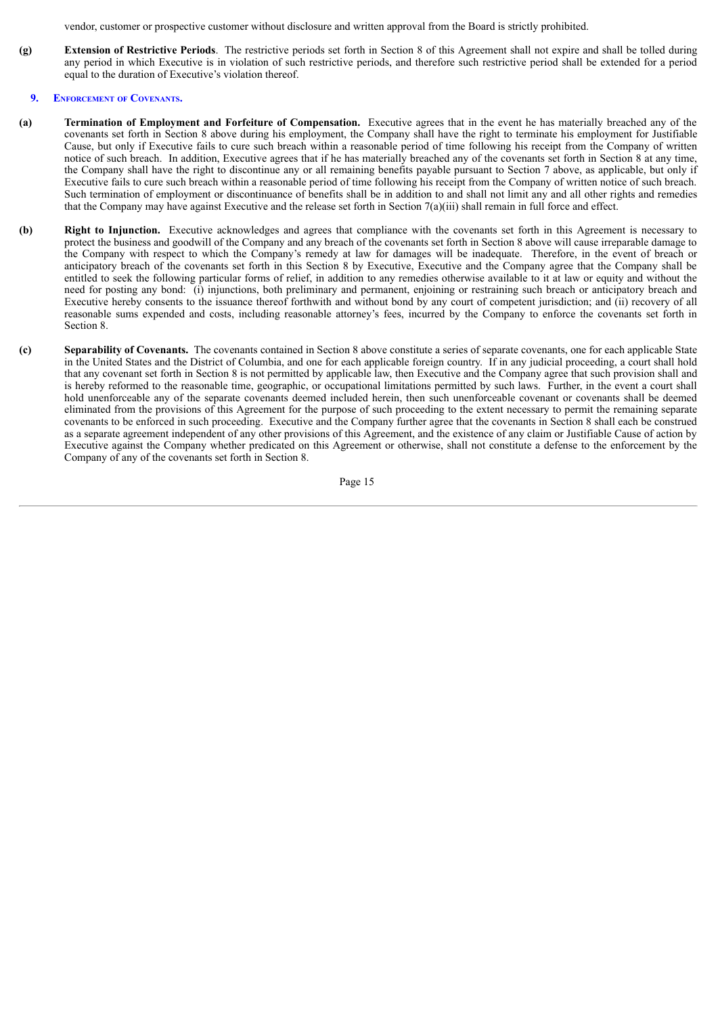vendor, customer or prospective customer without disclosure and written approval from the Board is strictly prohibited.

**(g) Extension of Restrictive Periods**. The restrictive periods set forth in Section 8 of this Agreement shall not expire and shall be tolled during any period in which Executive is in violation of such restrictive periods, and therefore such restrictive period shall be extended for a period equal to the duration of Executive's violation thereof.

# **9. ENFORCEMENT OF COVENANTS.**

- **(a) Termination of Employment and Forfeiture of Compensation.** Executive agrees that in the event he has materially breached any of the covenants set forth in Section 8 above during his employment, the Company shall have the right to terminate his employment for Justifiable Cause, but only if Executive fails to cure such breach within a reasonable period of time following his receipt from the Company of written notice of such breach. In addition, Executive agrees that if he has materially breached any of the covenants set forth in Section 8 at any time, the Company shall have the right to discontinue any or all remaining benefits payable pursuant to Section 7 above, as applicable, but only if Executive fails to cure such breach within a reasonable period of time following his receipt from the Company of written notice of such breach. Such termination of employment or discontinuance of benefits shall be in addition to and shall not limit any and all other rights and remedies that the Company may have against Executive and the release set forth in Section 7(a)(iii) shall remain in full force and effect.
- **(b) Right to Injunction.** Executive acknowledges and agrees that compliance with the covenants set forth in this Agreement is necessary to protect the business and goodwill of the Company and any breach of the covenants set forth in Section 8 above will cause irreparable damage to the Company with respect to which the Company's remedy at law for damages will be inadequate. Therefore, in the event of breach or anticipatory breach of the covenants set forth in this Section 8 by Executive, Executive and the Company agree that the Company shall be entitled to seek the following particular forms of relief, in addition to any remedies otherwise available to it at law or equity and without the need for posting any bond: (i) injunctions, both preliminary and permanent, enjoining or restraining such breach or anticipatory breach and Executive hereby consents to the issuance thereof forthwith and without bond by any court of competent jurisdiction; and (ii) recovery of all reasonable sums expended and costs, including reasonable attorney's fees, incurred by the Company to enforce the covenants set forth in Section 8.
- **(c) Separability of Covenants.** The covenants contained in Section 8 above constitute a series of separate covenants, one for each applicable State in the United States and the District of Columbia, and one for each applicable foreign country. If in any judicial proceeding, a court shall hold that any covenant set forth in Section 8 is not permitted by applicable law, then Executive and the Company agree that such provision shall and is hereby reformed to the reasonable time, geographic, or occupational limitations permitted by such laws. Further, in the event a court shall hold unenforceable any of the separate covenants deemed included herein, then such unenforceable covenant or covenants shall be deemed eliminated from the provisions of this Agreement for the purpose of such proceeding to the extent necessary to permit the remaining separate covenants to be enforced in such proceeding. Executive and the Company further agree that the covenants in Section 8 shall each be construed as a separate agreement independent of any other provisions of this Agreement, and the existence of any claim or Justifiable Cause of action by Executive against the Company whether predicated on this Agreement or otherwise, shall not constitute a defense to the enforcement by the Company of any of the covenants set forth in Section 8.

Page 15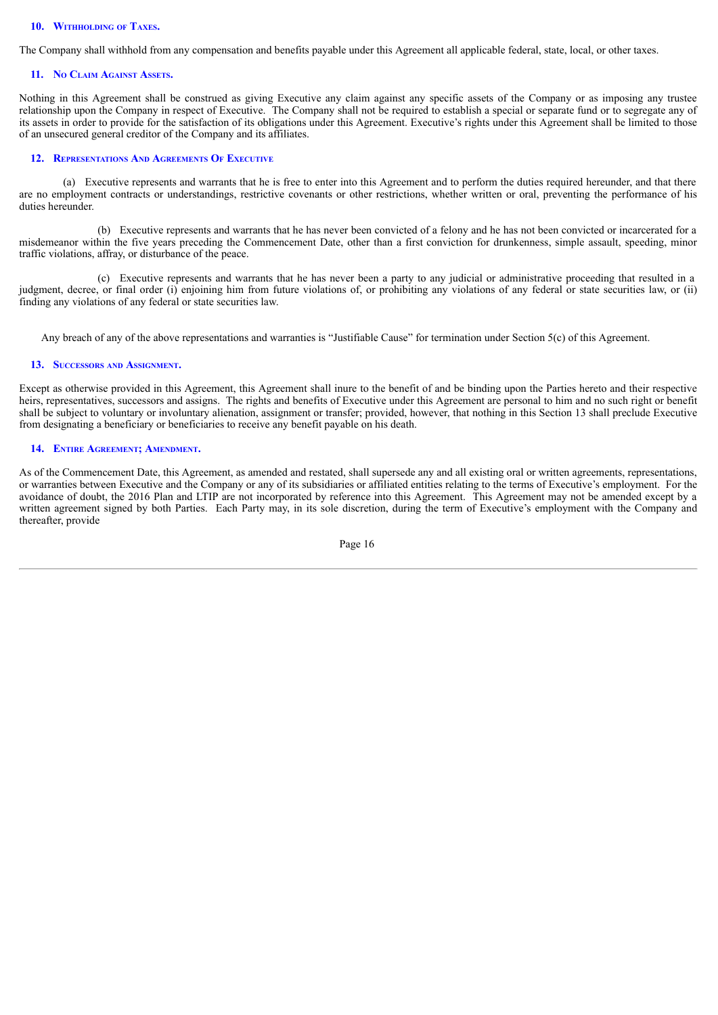#### **10. WITHHOLDING OF TAXES.**

The Company shall withhold from any compensation and benefits payable under this Agreement all applicable federal, state, local, or other taxes.

#### **11. N<sup>O</sup> CLAIM AGAINST ASSETS.**

Nothing in this Agreement shall be construed as giving Executive any claim against any specific assets of the Company or as imposing any trustee relationship upon the Company in respect of Executive. The Company shall not be required to establish a special or separate fund or to segregate any of its assets in order to provide for the satisfaction of its obligations under this Agreement. Executive's rights under this Agreement shall be limited to those of an unsecured general creditor of the Company and its affiliates.

#### **12. REPRESENTATIONS AND AGREEMENTS O<sup>F</sup> EXECUTIVE**

(a) Executive represents and warrants that he is free to enter into this Agreement and to perform the duties required hereunder, and that there are no employment contracts or understandings, restrictive covenants or other restrictions, whether written or oral, preventing the performance of his duties hereunder.

(b) Executive represents and warrants that he has never been convicted of a felony and he has not been convicted or incarcerated for a misdemeanor within the five years preceding the Commencement Date, other than a first conviction for drunkenness, simple assault, speeding, minor traffic violations, affray, or disturbance of the peace.

(c) Executive represents and warrants that he has never been a party to any judicial or administrative proceeding that resulted in a judgment, decree, or final order (i) enjoining him from future violations of, or prohibiting any violations of any federal or state securities law, or (ii) finding any violations of any federal or state securities law.

Any breach of any of the above representations and warranties is "Justifiable Cause" for termination under Section 5(c) of this Agreement.

#### **13. SUCCESSORS AND ASSIGNMENT.**

Except as otherwise provided in this Agreement, this Agreement shall inure to the benefit of and be binding upon the Parties hereto and their respective heirs, representatives, successors and assigns. The rights and benefits of Executive under this Agreement are personal to him and no such right or benefit shall be subject to voluntary or involuntary alienation, assignment or transfer; provided, however, that nothing in this Section 13 shall preclude Executive from designating a beneficiary or beneficiaries to receive any benefit payable on his death.

#### **14. ENTIRE AGREEMENT; AMENDMENT.**

As of the Commencement Date, this Agreement, as amended and restated, shall supersede any and all existing oral or written agreements, representations, or warranties between Executive and the Company or any of its subsidiaries or affiliated entities relating to the terms of Executive's employment. For the avoidance of doubt, the 2016 Plan and LTIP are not incorporated by reference into this Agreement. This Agreement may not be amended except by a written agreement signed by both Parties. Each Party may, in its sole discretion, during the term of Executive's employment with the Company and thereafter, provide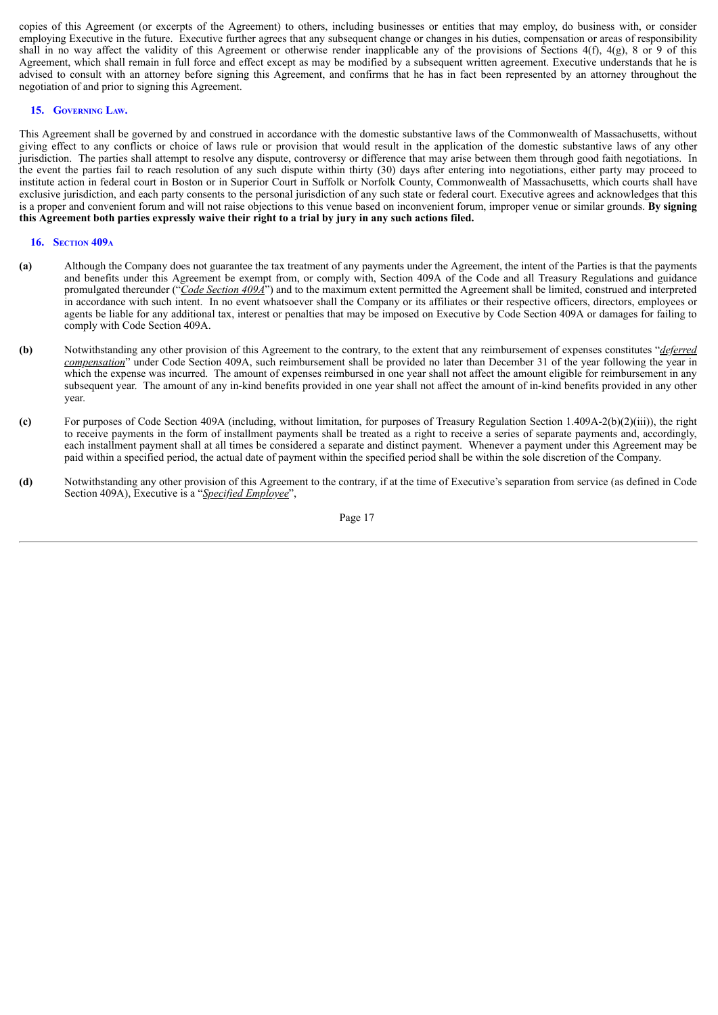copies of this Agreement (or excerpts of the Agreement) to others, including businesses or entities that may employ, do business with, or consider employing Executive in the future. Executive further agrees that any subsequent change or changes in his duties, compensation or areas of responsibility shall in no way affect the validity of this Agreement or otherwise render inapplicable any of the provisions of Sections  $4(f)$ ,  $4(g)$ , 8 or 9 of this Agreement, which shall remain in full force and effect except as may be modified by a subsequent written agreement. Executive understands that he is advised to consult with an attorney before signing this Agreement, and confirms that he has in fact been represented by an attorney throughout the negotiation of and prior to signing this Agreement.

#### **15. GOVERNING LAW.**

This Agreement shall be governed by and construed in accordance with the domestic substantive laws of the Commonwealth of Massachusetts, without giving effect to any conflicts or choice of laws rule or provision that would result in the application of the domestic substantive laws of any other jurisdiction. The parties shall attempt to resolve any dispute, controversy or difference that may arise between them through good faith negotiations. In the event the parties fail to reach resolution of any such dispute within thirty (30) days after entering into negotiations, either party may proceed to institute action in federal court in Boston or in Superior Court in Suffolk or Norfolk County, Commonwealth of Massachusetts, which courts shall have exclusive jurisdiction, and each party consents to the personal jurisdiction of any such state or federal court. Executive agrees and acknowledges that this is a proper and convenient forum and will not raise objections to this venue based on inconvenient forum, improper venue or similar grounds. **By signing** this Agreement both parties expressly waive their right to a trial by jury in any such actions filed.

#### **16. SECTION 409<sup>A</sup>**

- **(a)** Although the Company does not guarantee the tax treatment of any payments under the Agreement, the intent of the Parties is that the payments and benefits under this Agreement be exempt from, or comply with, Section 409A of the Code and all Treasury Regulations and guidance promulgated thereunder ("*Code Section 409A*") and to the maximum extent permitted the Agreement shall be limited, construed and interpreted in accordance with such intent. In no event whatsoever shall the Company or its affiliates or their respective officers, directors, employees or agents be liable for any additional tax, interest or penalties that may be imposed on Executive by Code Section 409A or damages for failing to comply with Code Section 409A.
- **(b)** Notwithstanding any other provision of this Agreement to the contrary, to the extent that any reimbursement of expenses constitutes "*deferred compensation*" under Code Section 409A, such reimbursement shall be provided no later than December 31 of the year following the year in which the expense was incurred. The amount of expenses reimbursed in one year shall not affect the amount eligible for reimbursement in any subsequent year. The amount of any in-kind benefits provided in one year shall not affect the amount of in-kind benefits provided in any other year.
- **(c)** For purposes of Code Section 409A (including, without limitation, for purposes of Treasury Regulation Section 1.409A-2(b)(2)(iii)), the right to receive payments in the form of installment payments shall be treated as a right to receive a series of separate payments and, accordingly, each installment payment shall at all times be considered a separate and distinct payment. Whenever a payment under this Agreement may be paid within a specified period, the actual date of payment within the specified period shall be within the sole discretion of the Company.
- **(d)** Notwithstanding any other provision of this Agreement to the contrary, if at the time of Executive's separation from service (as defined in Code Section 409A), Executive is a "*Specified Employee*",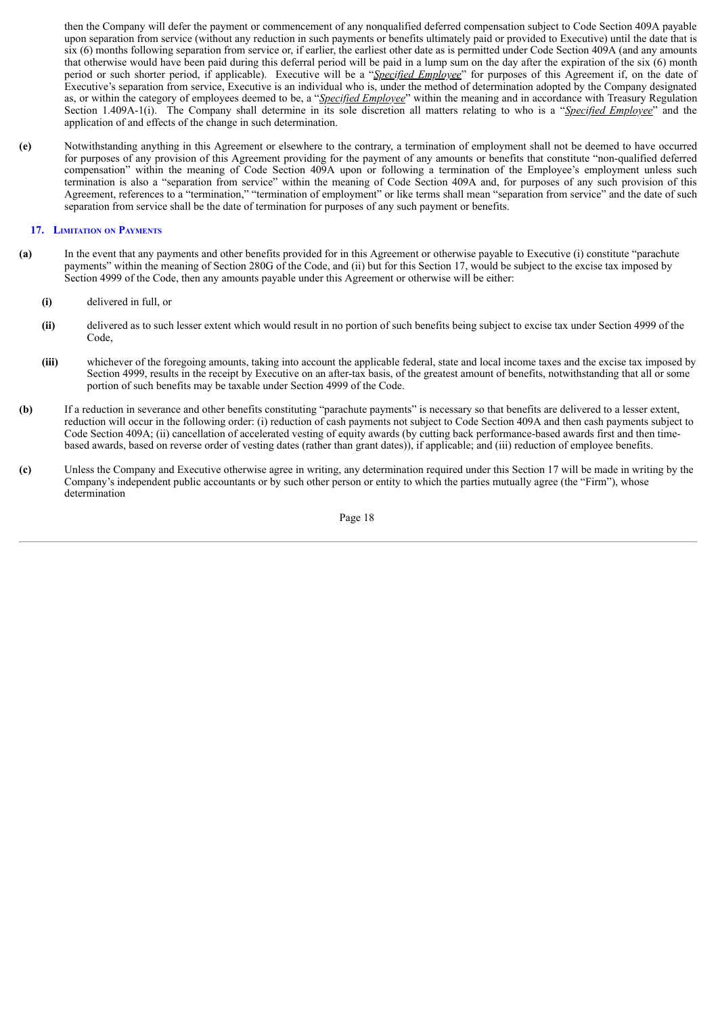then the Company will defer the payment or commencement of any nonqualified deferred compensation subject to Code Section 409A payable upon separation from service (without any reduction in such payments or benefits ultimately paid or provided to Executive) until the date that is six (6) months following separation from service or, if earlier, the earliest other date as is permitted under Code Section 409A (and any amounts that otherwise would have been paid during this deferral period will be paid in a lump sum on the day after the expiration of the six (6) month period or such shorter period, if applicable). Executive will be a "*Specified Employee*" for purposes of this Agreement if, on the date of Executive's separation from service, Executive is an individual who is, under the method of determination adopted by the Company designated as, or within the category of employees deemed to be, a "*Specified Employee*" within the meaning and in accordance with Treasury Regulation Section 1.409A-1(i). The Company shall determine in its sole discretion all matters relating to who is a "*Specified Employee*" and the application of and effects of the change in such determination.

**(e)** Notwithstanding anything in this Agreement or elsewhere to the contrary, a termination of employment shall not be deemed to have occurred for purposes of any provision of this Agreement providing for the payment of any amounts or benefits that constitute "non-qualified deferred compensation" within the meaning of Code Section 409A upon or following a termination of the Employee's employment unless such termination is also a "separation from service" within the meaning of Code Section 409A and, for purposes of any such provision of this Agreement, references to a "termination," "termination of employment" or like terms shall mean "separation from service" and the date of such separation from service shall be the date of termination for purposes of any such payment or benefits.

#### **17. LIMITATION ON PAYMENTS**

- **(a)** In the event that any payments and other benefits provided for in this Agreement or otherwise payable to Executive (i) constitute "parachute payments" within the meaning of Section 280G of the Code, and (ii) but for this Section 17, would be subject to the excise tax imposed by Section 4999 of the Code, then any amounts payable under this Agreement or otherwise will be either:
	- **(i)** delivered in full, or
	- **(ii)** delivered as to such lesser extent which would result in no portion of such benefits being subject to excise tax under Section 4999 of the Code,
	- **(iii)** whichever of the foregoing amounts, taking into account the applicable federal, state and local income taxes and the excise tax imposed by Section 4999, results in the receipt by Executive on an after-tax basis, of the greatest amount of benefits, notwithstanding that all or some portion of such benefits may be taxable under Section 4999 of the Code.
- **(b)** If a reduction in severance and other benefits constituting "parachute payments" is necessary so that benefits are delivered to a lesser extent, reduction will occur in the following order: (i) reduction of cash payments not subject to Code Section 409A and then cash payments subject to Code Section 409A; (ii) cancellation of accelerated vesting of equity awards (by cutting back performance-based awards first and then timebased awards, based on reverse order of vesting dates (rather than grant dates)), if applicable; and (iii) reduction of employee benefits.
- **(c)** Unless the Company and Executive otherwise agree in writing, any determination required under this Section 17 will be made in writing by the Company's independent public accountants or by such other person or entity to which the parties mutually agree (the "Firm"), whose determination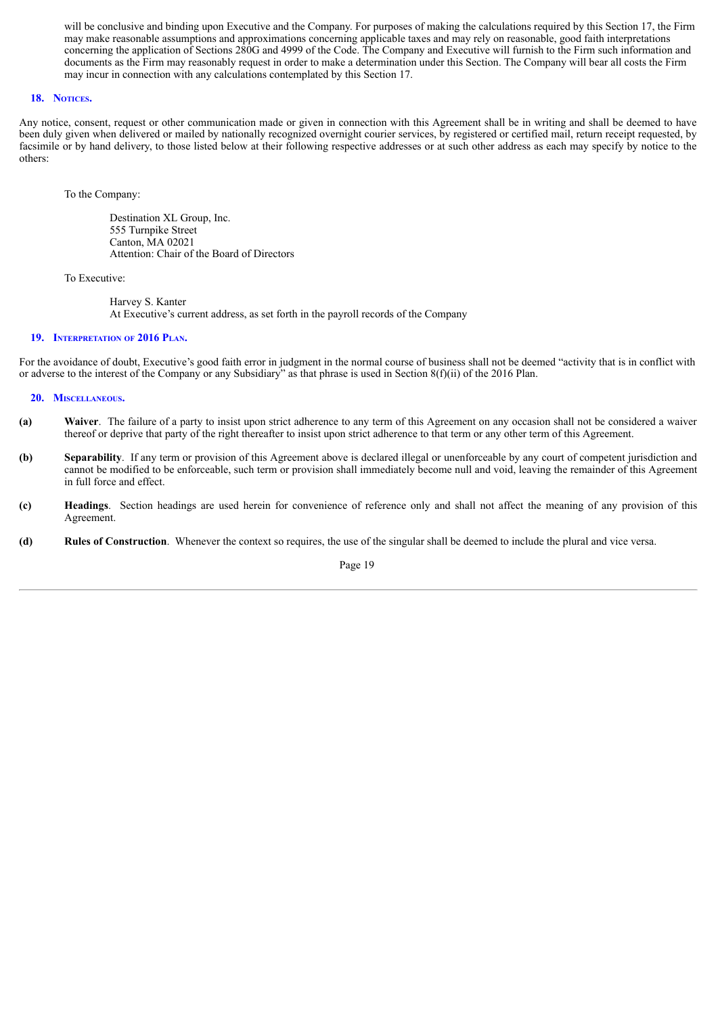will be conclusive and binding upon Executive and the Company. For purposes of making the calculations required by this Section 17, the Firm may make reasonable assumptions and approximations concerning applicable taxes and may rely on reasonable, good faith interpretations concerning the application of Sections 280G and 4999 of the Code. The Company and Executive will furnish to the Firm such information and documents as the Firm may reasonably request in order to make a determination under this Section. The Company will bear all costs the Firm may incur in connection with any calculations contemplated by this Section 17.

#### **18. NOTICES.**

Any notice, consent, request or other communication made or given in connection with this Agreement shall be in writing and shall be deemed to have been duly given when delivered or mailed by nationally recognized overnight courier services, by registered or certified mail, return receipt requested, by facsimile or by hand delivery, to those listed below at their following respective addresses or at such other address as each may specify by notice to the others:

To the Company:

Destination XL Group, Inc. 555 Turnpike Street Canton, MA 02021 Attention: Chair of the Board of Directors

To Executive:

Harvey S. Kanter At Executive's current address, as set forth in the payroll records of the Company

#### **19. INTERPRETATION OF 2016 PLAN.**

For the avoidance of doubt, Executive's good faith error in judgment in the normal course of business shall not be deemed "activity that is in conflict with or adverse to the interest of the Company or any Subsidiary" as that phrase is used in Section 8(f)(ii) of the 2016 Plan.

#### **20. MISCELLANEOUS.**

- **(a) Waiver**. The failure of a party to insist upon strict adherence to any term of this Agreement on any occasion shall not be considered a waiver thereof or deprive that party of the right thereafter to insist upon strict adherence to that term or any other term of this Agreement.
- **(b) Separability**. If any term or provision of this Agreement above is declared illegal or unenforceable by any court of competent jurisdiction and cannot be modified to be enforceable, such term or provision shall immediately become null and void, leaving the remainder of this Agreement in full force and effect.
- **(c) Headings**. Section headings are used herein for convenience of reference only and shall not affect the meaning of any provision of this Agreement.
- **(d) Rules of Construction**. Whenever the context so requires, the use of the singular shall be deemed to include the plural and vice versa.

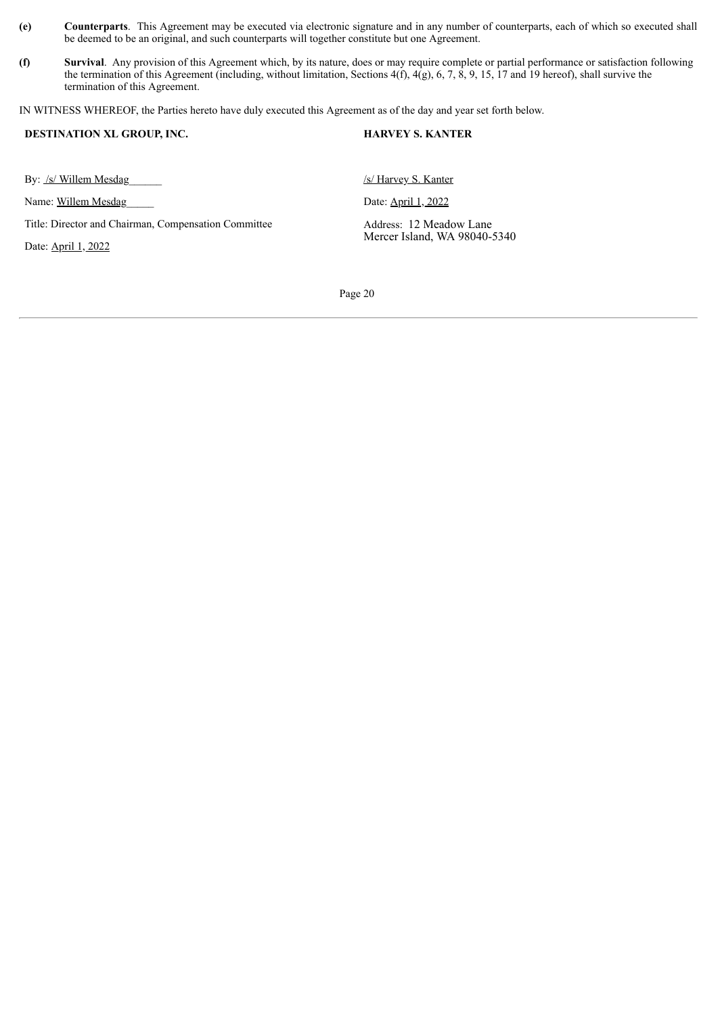- **(e) Counterparts**. This Agreement may be executed via electronic signature and in any number of counterparts, each of which so executed shall be deemed to be an original, and such counterparts will together constitute but one Agreement.
- **(f) Survival**. Any provision of this Agreement which, by its nature, does or may require complete or partial performance or satisfaction following the termination of this Agreement (including, without limitation, Sections  $4(f)$ ,  $4(g)$ ,  $6, 7, 8, 9, 15, 17$  and 19 hereof), shall survive the termination of this Agreement.

IN WITNESS WHEREOF, the Parties hereto have duly executed this Agreement as of the day and year set forth below.

| <b>DESTINATION XL GROUP, INC.</b>                                           | <b>HARVEY S. KANTER</b>                                 |
|-----------------------------------------------------------------------------|---------------------------------------------------------|
| By: /s/ Willem Mesdag                                                       | /s/ Harvey S. Kanter                                    |
| Name: Willem Mesdag                                                         | Date: <b>April 1, 2022</b>                              |
| Title: Director and Chairman, Compensation Committee<br>Date: April 1, 2022 | Address: 12 Meadow Lane<br>Mercer Island, WA 98040-5340 |
|                                                                             |                                                         |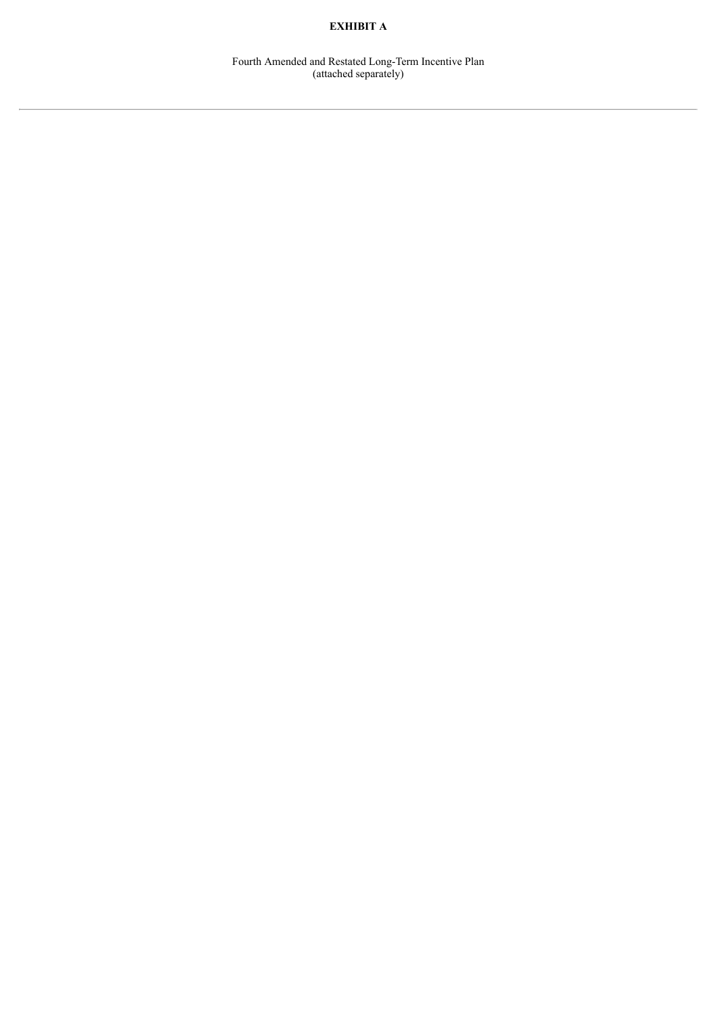# **EXHIBIT A**

Fourth Amended and Restated Long-Term Incentive Plan (attached separately)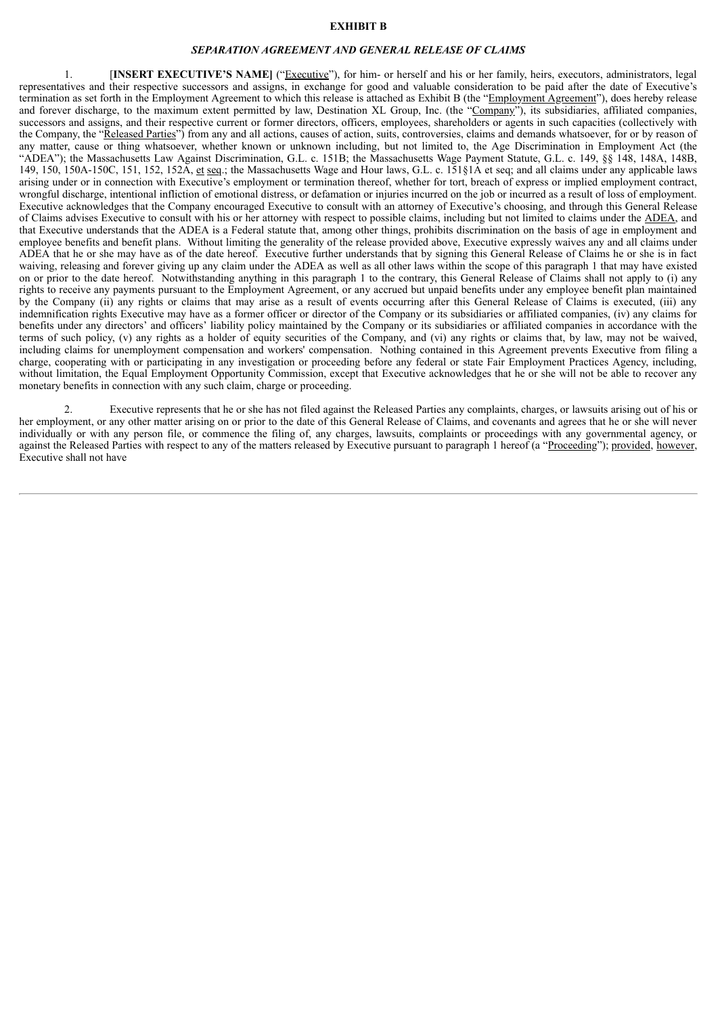#### **EXHIBIT B**

#### *SEPARATION AGREEMENT AND GENERAL RELEASE OF CLAIMS*

1. [**INSERT EXECUTIVE'S NAME]** ("Executive"), for him- or herself and his or her family, heirs, executors, administrators, legal representatives and their respective successors and assigns, in exchange for good and valuable consideration to be paid after the date of Executive's termination as set forth in the Employment Agreement to which this release is attached as Exhibit B (the "Employment Agreement"), does hereby release and forever discharge, to the maximum extent permitted by law, Destination XL Group, Inc. (the "Company"), its subsidiaries, affiliated companies, successors and assigns, and their respective current or former directors, officers, employees, shareholders or agents in such capacities (collectively with the Company, the "Released Parties") from any and all actions, causes of action, suits, controversies, claims and demands whatsoever, for or by reason of any matter, cause or thing whatsoever, whether known or unknown including, but not limited to, the Age Discrimination in Employment Act (the "ADEA"); the Massachusetts Law Against Discrimination, G.L. c. 151B; the Massachusetts Wage Payment Statute, G.L. c. 149, §§ 148, 148A, 148B, 149, 150, 150A-150C, 151, 152, 152A, et seq.; the Massachusetts Wage and Hour laws, G.L. c. 151§1A et seq; and all claims under any applicable laws arising under or in connection with Executive's employment or termination thereof, whether for tort, breach of express or implied employment contract, wrongful discharge, intentional infliction of emotional distress, or defamation or injuries incurred on the job or incurred as a result of loss of employment. Executive acknowledges that the Company encouraged Executive to consult with an attorney of Executive's choosing, and through this General Release of Claims advises Executive to consult with his or her attorney with respect to possible claims, including but not limited to claims under the ADEA, and that Executive understands that the ADEA is a Federal statute that, among other things, prohibits discrimination on the basis of age in employment and employee benefits and benefit plans. Without limiting the generality of the release provided above, Executive expressly waives any and all claims under ADEA that he or she may have as of the date hereof. Executive further understands that by signing this General Release of Claims he or she is in fact waiving, releasing and forever giving up any claim under the ADEA as well as all other laws within the scope of this paragraph 1 that may have existed on or prior to the date hereof. Notwithstanding anything in this paragraph 1 to the contrary, this General Release of Claims shall not apply to (i) any rights to receive any payments pursuant to the Employment Agreement, or any accrued but unpaid benefits under any employee benefit plan maintained by the Company (ii) any rights or claims that may arise as a result of events occurring after this General Release of Claims is executed, (iii) any indemnification rights Executive may have as a former officer or director of the Company or its subsidiaries or affiliated companies, (iv) any claims for benefits under any directors' and officers' liability policy maintained by the Company or its subsidiaries or affiliated companies in accordance with the terms of such policy, (v) any rights as a holder of equity securities of the Company, and (vi) any rights or claims that, by law, may not be waived, including claims for unemployment compensation and workers' compensation. Nothing contained in this Agreement prevents Executive from filing a charge, cooperating with or participating in any investigation or proceeding before any federal or state Fair Employment Practices Agency, including, without limitation, the Equal Employment Opportunity Commission, except that Executive acknowledges that he or she will not be able to recover any monetary benefits in connection with any such claim, charge or proceeding.

Executive represents that he or she has not filed against the Released Parties any complaints, charges, or lawsuits arising out of his or her employment, or any other matter arising on or prior to the date of this General Release of Claims, and covenants and agrees that he or she will never individually or with any person file, or commence the filing of, any charges, lawsuits, complaints or proceedings with any governmental agency, or against the Released Parties with respect to any of the matters released by Executive pursuant to paragraph 1 hereof (a "Proceeding"); provided, however, Executive shall not have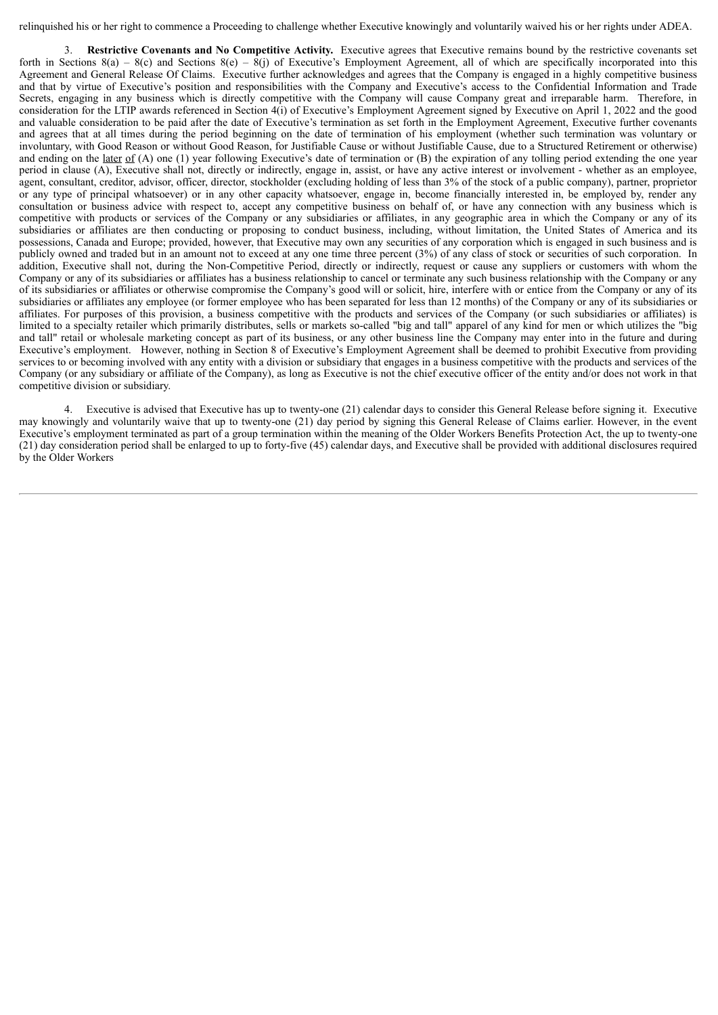relinquished his or her right to commence a Proceeding to challenge whether Executive knowingly and voluntarily waived his or her rights under ADEA.

3. **Restrictive Covenants and No Competitive Activity.** Executive agrees that Executive remains bound by the restrictive covenants set forth in Sections 8(a) – 8(c) and Sections 8(e) – 8(j) of Executive's Employment Agreement, all of which are specifically incorporated into this Agreement and General Release Of Claims. Executive further acknowledges and agrees that the Company is engaged in a highly competitive business and that by virtue of Executive's position and responsibilities with the Company and Executive's access to the Confidential Information and Trade Secrets, engaging in any business which is directly competitive with the Company will cause Company great and irreparable harm. Therefore, in consideration for the LTIP awards referenced in Section 4(i) of Executive's Employment Agreement signed by Executive on April 1, 2022 and the good and valuable consideration to be paid after the date of Executive's termination as set forth in the Employment Agreement, Executive further covenants and agrees that at all times during the period beginning on the date of termination of his employment (whether such termination was voluntary or involuntary, with Good Reason or without Good Reason, for Justifiable Cause or without Justifiable Cause, due to a Structured Retirement or otherwise) and ending on the <u>later of</u> (A) one (1) year following Executive's date of termination or (B) the expiration of any tolling period extending the one year period in clause (A), Executive shall not, directly or indirectly, engage in, assist, or have any active interest or involvement - whether as an employee, agent, consultant, creditor, advisor, officer, director, stockholder (excluding holding of less than 3% of the stock of a public company), partner, proprietor or any type of principal whatsoever) or in any other capacity whatsoever, engage in, become financially interested in, be employed by, render any consultation or business advice with respect to, accept any competitive business on behalf of, or have any connection with any business which is competitive with products or services of the Company or any subsidiaries or affiliates, in any geographic area in which the Company or any of its subsidiaries or affiliates are then conducting or proposing to conduct business, including, without limitation, the United States of America and its possessions, Canada and Europe; provided, however, that Executive may own any securities of any corporation which is engaged in such business and is publicly owned and traded but in an amount not to exceed at any one time three percent (3%) of any class of stock or securities of such corporation. In addition, Executive shall not, during the Non-Competitive Period, directly or indirectly, request or cause any suppliers or customers with whom the Company or any of its subsidiaries or affiliates has a business relationship to cancel or terminate any such business relationship with the Company or any of its subsidiaries or affiliates or otherwise compromise the Company's good will or solicit, hire, interfere with or entice from the Company or any of its subsidiaries or affiliates any employee (or former employee who has been separated for less than 12 months) of the Company or any of its subsidiaries or affiliates. For purposes of this provision, a business competitive with the products and services of the Company (or such subsidiaries or affiliates) is limited to a specialty retailer which primarily distributes, sells or markets so-called "big and tall" apparel of any kind for men or which utilizes the "big and tall" retail or wholesale marketing concept as part of its business, or any other business line the Company may enter into in the future and during Executive's employment. However, nothing in Section 8 of Executive's Employment Agreement shall be deemed to prohibit Executive from providing services to or becoming involved with any entity with a division or subsidiary that engages in a business competitive with the products and services of the Company (or any subsidiary or affiliate of the Company), as long as Executive is not the chief executive officer of the entity and/or does not work in that competitive division or subsidiary.

4. Executive is advised that Executive has up to twenty-one (21) calendar days to consider this General Release before signing it. Executive may knowingly and voluntarily waive that up to twenty-one (21) day period by signing this General Release of Claims earlier. However, in the event Executive's employment terminated as part of a group termination within the meaning of the Older Workers Benefits Protection Act, the up to twenty-one (21) day consideration period shall be enlarged to up to forty-five (45) calendar days, and Executive shall be provided with additional disclosures required by the Older Workers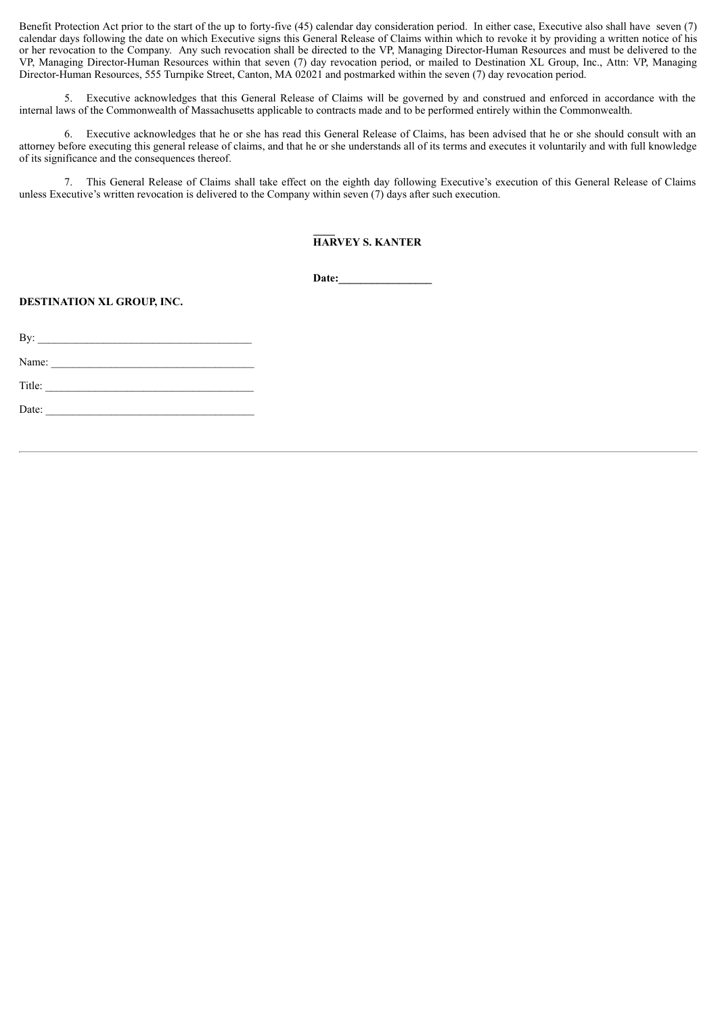Benefit Protection Act prior to the start of the up to forty-five (45) calendar day consideration period. In either case, Executive also shall have seven (7) calendar days following the date on which Executive signs this General Release of Claims within which to revoke it by providing a written notice of his or her revocation to the Company. Any such revocation shall be directed to the VP, Managing Director-Human Resources and must be delivered to the VP, Managing Director-Human Resources within that seven (7) day revocation period, or mailed to Destination XL Group, Inc., Attn: VP, Managing Director-Human Resources, 555 Turnpike Street, Canton, MA 02021 and postmarked within the seven (7) day revocation period.

5. Executive acknowledges that this General Release of Claims will be governed by and construed and enforced in accordance with the internal laws of the Commonwealth of Massachusetts applicable to contracts made and to be performed entirely within the Commonwealth.

6. Executive acknowledges that he or she has read this General Release of Claims, has been advised that he or she should consult with an attorney before executing this general release of claims, and that he or she understands all of its terms and executes it voluntarily and with full knowledge of its significance and the consequences thereof.

7. This General Release of Claims shall take effect on the eighth day following Executive's execution of this General Release of Claims unless Executive's written revocation is delivered to the Company within seven (7) days after such execution.

# **HARVEY S. KANTER**

**Date:\_\_\_\_\_\_\_\_\_\_\_\_\_\_\_\_\_**

**DESTINATION XL GROUP, INC.**

| Name: $\frac{1}{\sqrt{1-\frac{1}{2}} \cdot \frac{1}{2} \cdot \frac{1}{2} \cdot \frac{1}{2} \cdot \frac{1}{2} \cdot \frac{1}{2} \cdot \frac{1}{2} \cdot \frac{1}{2} \cdot \frac{1}{2} \cdot \frac{1}{2} \cdot \frac{1}{2} \cdot \frac{1}{2} \cdot \frac{1}{2} \cdot \frac{1}{2} \cdot \frac{1}{2} \cdot \frac{1}{2} \cdot \frac{1}{2} \cdot \frac{1}{2} \cdot \frac{1}{2} \cdot \frac{1}{2} \cdot \frac{1}{2} \cdot \frac{1}{2} \cdot \frac{1}{2}$ |  |  |  |
|---------------------------------------------------------------------------------------------------------------------------------------------------------------------------------------------------------------------------------------------------------------------------------------------------------------------------------------------------------------------------------------------------------------------------------------------------|--|--|--|
| $\text{Title:}$                                                                                                                                                                                                                                                                                                                                                                                                                                   |  |  |  |
| Date:                                                                                                                                                                                                                                                                                                                                                                                                                                             |  |  |  |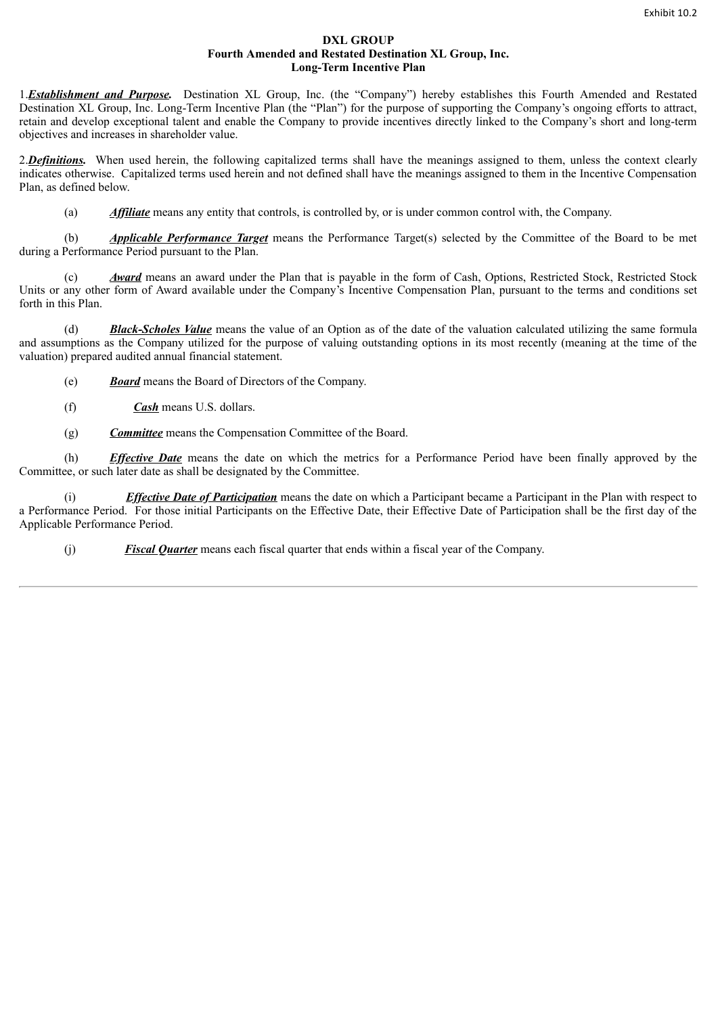#### **DXL GROUP Fourth Amended and Restated Destination XL Group, Inc. Long-Term Incentive Plan**

1.*Establishment and Purpose.* Destination XL Group, Inc. (the "Company") hereby establishes this Fourth Amended and Restated Destination XL Group, Inc. Long-Term Incentive Plan (the "Plan") for the purpose of supporting the Company's ongoing efforts to attract, retain and develop exceptional talent and enable the Company to provide incentives directly linked to the Company's short and long-term objectives and increases in shareholder value.

2. Definitions. When used herein, the following capitalized terms shall have the meanings assigned to them, unless the context clearly indicates otherwise. Capitalized terms used herein and not defined shall have the meanings assigned to them in the Incentive Compensation Plan, as defined below.

(a) *Affiliate* means any entity that controls, is controlled by, or is under common control with, the Company.

(b) *Applicable Performance Target* means the Performance Target(s) selected by the Committee of the Board to be met during a Performance Period pursuant to the Plan.

(c) *Award* means an award under the Plan that is payable in the form of Cash, Options, Restricted Stock, Restricted Stock Units or any other form of Award available under the Company's Incentive Compensation Plan, pursuant to the terms and conditions set forth in this Plan.

(d) *Black-Scholes Value* means the value of an Option as of the date of the valuation calculated utilizing the same formula and assumptions as the Company utilized for the purpose of valuing outstanding options in its most recently (meaning at the time of the valuation) prepared audited annual financial statement.

(e) *Board* means the Board of Directors of the Company.

- (f) *Cash* means U.S. dollars.
- (g) *Committee* means the Compensation Committee of the Board.

(h) *Effective Date* means the date on which the metrics for a Performance Period have been finally approved by the Committee, or such later date as shall be designated by the Committee.

(i) *Effective Date of Participation* means the date on which a Participant became a Participant in the Plan with respect to a Performance Period. For those initial Participants on the Effective Date, their Effective Date of Participation shall be the first day of the Applicable Performance Period.

(j) *Fiscal Quarter* means each fiscal quarter that ends within a fiscal year of the Company.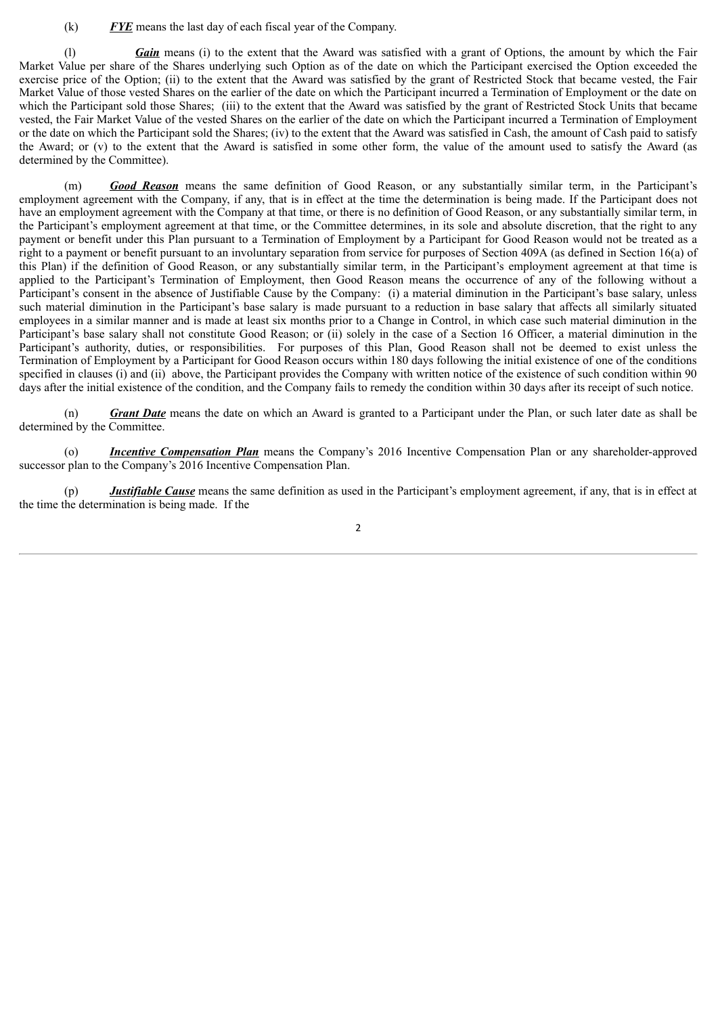(k) *FYE* means the last day of each fiscal year of the Company.

(l) *Gain* means (i) to the extent that the Award was satisfied with a grant of Options, the amount by which the Fair Market Value per share of the Shares underlying such Option as of the date on which the Participant exercised the Option exceeded the exercise price of the Option; (ii) to the extent that the Award was satisfied by the grant of Restricted Stock that became vested, the Fair Market Value of those vested Shares on the earlier of the date on which the Participant incurred a Termination of Employment or the date on which the Participant sold those Shares; (iii) to the extent that the Award was satisfied by the grant of Restricted Stock Units that became vested, the Fair Market Value of the vested Shares on the earlier of the date on which the Participant incurred a Termination of Employment or the date on which the Participant sold the Shares; (iv) to the extent that the Award was satisfied in Cash, the amount of Cash paid to satisfy the Award; or (v) to the extent that the Award is satisfied in some other form, the value of the amount used to satisfy the Award (as determined by the Committee).

(m) *Good Reason* means the same definition of Good Reason, or any substantially similar term, in the Participant's employment agreement with the Company, if any, that is in effect at the time the determination is being made. If the Participant does not have an employment agreement with the Company at that time, or there is no definition of Good Reason, or any substantially similar term, in the Participant's employment agreement at that time, or the Committee determines, in its sole and absolute discretion, that the right to any payment or benefit under this Plan pursuant to a Termination of Employment by a Participant for Good Reason would not be treated as a right to a payment or benefit pursuant to an involuntary separation from service for purposes of Section 409A (as defined in Section 16(a) of this Plan) if the definition of Good Reason, or any substantially similar term, in the Participant's employment agreement at that time is applied to the Participant's Termination of Employment, then Good Reason means the occurrence of any of the following without a Participant's consent in the absence of Justifiable Cause by the Company: (i) a material diminution in the Participant's base salary, unless such material diminution in the Participant's base salary is made pursuant to a reduction in base salary that affects all similarly situated employees in a similar manner and is made at least six months prior to a Change in Control, in which case such material diminution in the Participant's base salary shall not constitute Good Reason; or (ii) solely in the case of a Section 16 Officer, a material diminution in the Participant's authority, duties, or responsibilities. For purposes of this Plan, Good Reason shall not be deemed to exist unless the Termination of Employment by a Participant for Good Reason occurs within 180 days following the initial existence of one of the conditions specified in clauses (i) and (ii) above, the Participant provides the Company with written notice of the existence of such condition within 90 days after the initial existence of the condition, and the Company fails to remedy the condition within 30 days after its receipt of such notice.

(n) *Grant Date* means the date on which an Award is granted to a Participant under the Plan, or such later date as shall be determined by the Committee.

(o) *Incentive Compensation Plan* means the Company's 2016 Incentive Compensation Plan or any shareholder-approved successor plan to the Company's 2016 Incentive Compensation Plan.

(p) *Justifiable Cause* means the same definition as used in the Participant's employment agreement, if any, that is in effect at the time the determination is being made. If the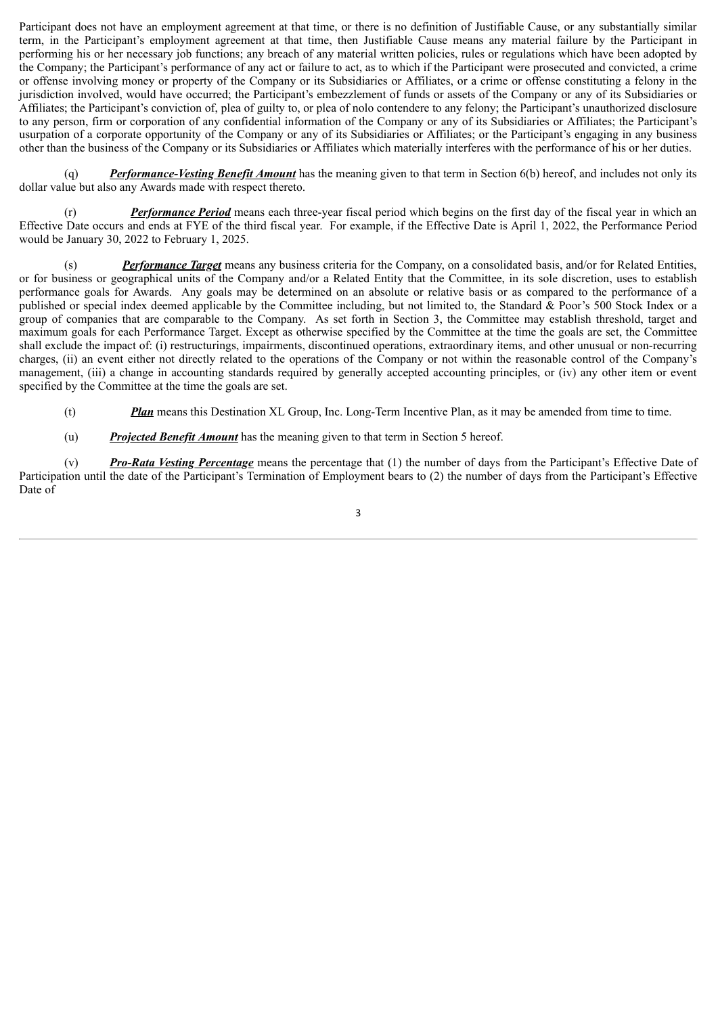Participant does not have an employment agreement at that time, or there is no definition of Justifiable Cause, or any substantially similar term, in the Participant's employment agreement at that time, then Justifiable Cause means any material failure by the Participant in performing his or her necessary job functions; any breach of any material written policies, rules or regulations which have been adopted by the Company; the Participant's performance of any act or failure to act, as to which if the Participant were prosecuted and convicted, a crime or offense involving money or property of the Company or its Subsidiaries or Affiliates, or a crime or offense constituting a felony in the jurisdiction involved, would have occurred; the Participant's embezzlement of funds or assets of the Company or any of its Subsidiaries or Affiliates; the Participant's conviction of, plea of guilty to, or plea of nolo contendere to any felony; the Participant's unauthorized disclosure to any person, firm or corporation of any confidential information of the Company or any of its Subsidiaries or Affiliates; the Participant's usurpation of a corporate opportunity of the Company or any of its Subsidiaries or Affiliates; or the Participant's engaging in any business other than the business of the Company or its Subsidiaries or Affiliates which materially interferes with the performance of his or her duties.

(q) *Performance-Vesting Benefit Amount* has the meaning given to that term in Section 6(b) hereof, and includes not only its dollar value but also any Awards made with respect thereto.

(r) *Performance Period* means each three-year fiscal period which begins on the first day of the fiscal year in which an Effective Date occurs and ends at FYE of the third fiscal year. For example, if the Effective Date is April 1, 2022, the Performance Period would be January 30, 2022 to February 1, 2025.

(s) *Performance Target* means any business criteria for the Company, on a consolidated basis, and/or for Related Entities, or for business or geographical units of the Company and/or a Related Entity that the Committee, in its sole discretion, uses to establish performance goals for Awards. Any goals may be determined on an absolute or relative basis or as compared to the performance of a published or special index deemed applicable by the Committee including, but not limited to, the Standard & Poor's 500 Stock Index or a group of companies that are comparable to the Company. As set forth in Section 3, the Committee may establish threshold, target and maximum goals for each Performance Target. Except as otherwise specified by the Committee at the time the goals are set, the Committee shall exclude the impact of: (i) restructurings, impairments, discontinued operations, extraordinary items, and other unusual or non-recurring charges, (ii) an event either not directly related to the operations of the Company or not within the reasonable control of the Company's management, (iii) a change in accounting standards required by generally accepted accounting principles, or (iv) any other item or event specified by the Committee at the time the goals are set.

- (t) *Plan* means this Destination XL Group, Inc. Long-Term Incentive Plan, as it may be amended from time to time.
- (u) *Projected Benefit Amount* has the meaning given to that term in Section 5 hereof.

(v) *Pro-Rata Vesting Percentage* means the percentage that (1) the number of days from the Participant's Effective Date of Participation until the date of the Participant's Termination of Employment bears to (2) the number of days from the Participant's Effective Date of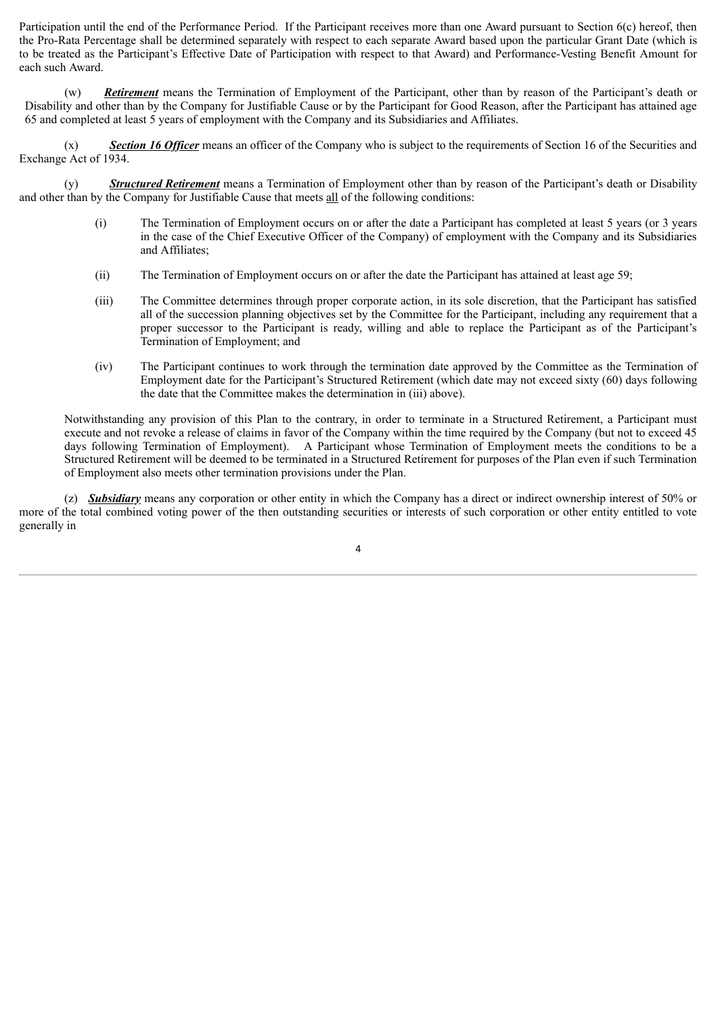Participation until the end of the Performance Period. If the Participant receives more than one Award pursuant to Section 6(c) hereof, then the Pro-Rata Percentage shall be determined separately with respect to each separate Award based upon the particular Grant Date (which is to be treated as the Participant's Effective Date of Participation with respect to that Award) and Performance-Vesting Benefit Amount for each such Award.

(w) *Retirement* means the Termination of Employment of the Participant, other than by reason of the Participant's death or Disability and other than by the Company for Justifiable Cause or by the Participant for Good Reason, after the Participant has attained age 65 and completed at least 5 years of employment with the Company and its Subsidiaries and Affiliates.

(x) *Section 16 Officer* means an officer of the Company who is subject to the requirements of Section 16 of the Securities and Exchange Act of 1934.

(y) *Structured Retirement* means a Termination of Employment other than by reason of the Participant's death or Disability and other than by the Company for Justifiable Cause that meets all of the following conditions:

- (i) The Termination of Employment occurs on or after the date a Participant has completed at least 5 years (or 3 years in the case of the Chief Executive Officer of the Company) of employment with the Company and its Subsidiaries and Affiliates;
- (ii) The Termination of Employment occurs on or after the date the Participant has attained at least age 59;
- (iii) The Committee determines through proper corporate action, in its sole discretion, that the Participant has satisfied all of the succession planning objectives set by the Committee for the Participant, including any requirement that a proper successor to the Participant is ready, willing and able to replace the Participant as of the Participant's Termination of Employment; and
- (iv) The Participant continues to work through the termination date approved by the Committee as the Termination of Employment date for the Participant's Structured Retirement (which date may not exceed sixty (60) days following the date that the Committee makes the determination in (iii) above).

Notwithstanding any provision of this Plan to the contrary, in order to terminate in a Structured Retirement, a Participant must execute and not revoke a release of claims in favor of the Company within the time required by the Company (but not to exceed 45 days following Termination of Employment). A Participant whose Termination of Employment meets the conditions to be a Structured Retirement will be deemed to be terminated in a Structured Retirement for purposes of the Plan even if such Termination of Employment also meets other termination provisions under the Plan.

(z) *Subsidiary* means any corporation or other entity in which the Company has a direct or indirect ownership interest of 50% or more of the total combined voting power of the then outstanding securities or interests of such corporation or other entity entitled to vote generally in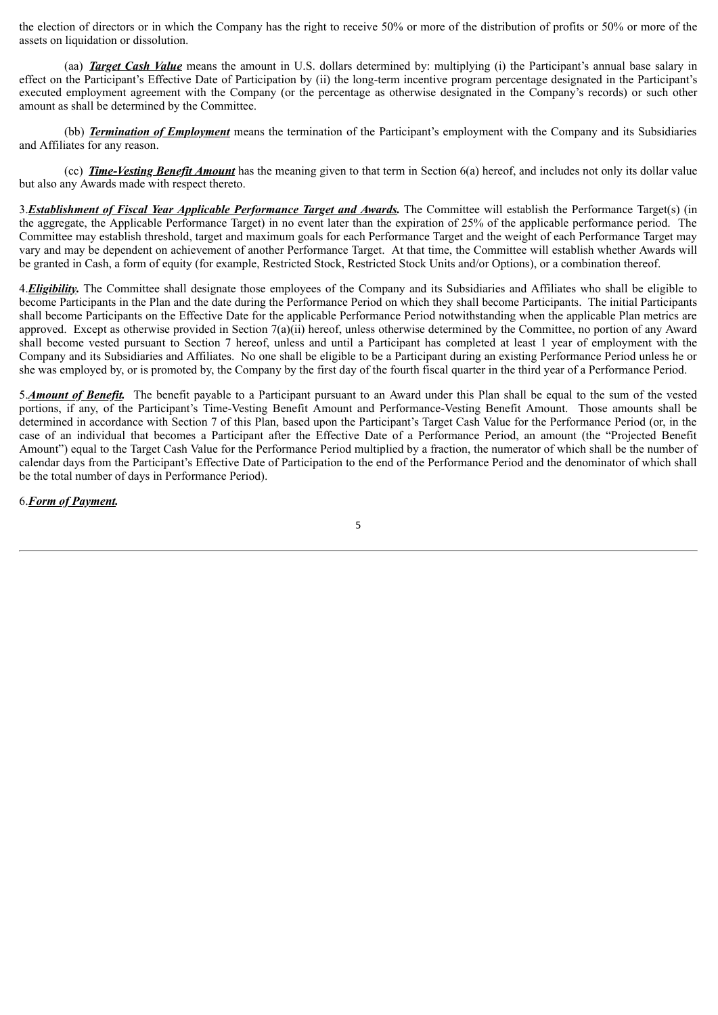the election of directors or in which the Company has the right to receive 50% or more of the distribution of profits or 50% or more of the assets on liquidation or dissolution.

(aa) *Target Cash Value* means the amount in U.S. dollars determined by: multiplying (i) the Participant's annual base salary in effect on the Participant's Effective Date of Participation by (ii) the long-term incentive program percentage designated in the Participant's executed employment agreement with the Company (or the percentage as otherwise designated in the Company's records) or such other amount as shall be determined by the Committee.

(bb) *Termination of Employment* means the termination of the Participant's employment with the Company and its Subsidiaries and Affiliates for any reason.

(cc) *Time-Vesting Benefit Amount* has the meaning given to that term in Section 6(a) hereof, and includes not only its dollar value but also any Awards made with respect thereto.

3.*Establishment of Fiscal Year Applicable Performance Target and Awards.* The Committee will establish the Performance Target(s) (in the aggregate, the Applicable Performance Target) in no event later than the expiration of 25% of the applicable performance period. The Committee may establish threshold, target and maximum goals for each Performance Target and the weight of each Performance Target may vary and may be dependent on achievement of another Performance Target. At that time, the Committee will establish whether Awards will be granted in Cash, a form of equity (for example, Restricted Stock, Restricted Stock Units and/or Options), or a combination thereof.

4. **Eligibility**. The Committee shall designate those employees of the Company and its Subsidiaries and Affiliates who shall be eligible to become Participants in the Plan and the date during the Performance Period on which they shall become Participants. The initial Participants shall become Participants on the Effective Date for the applicable Performance Period notwithstanding when the applicable Plan metrics are approved. Except as otherwise provided in Section 7(a)(ii) hereof, unless otherwise determined by the Committee, no portion of any Award shall become vested pursuant to Section 7 hereof, unless and until a Participant has completed at least 1 year of employment with the Company and its Subsidiaries and Affiliates. No one shall be eligible to be a Participant during an existing Performance Period unless he or she was employed by, or is promoted by, the Company by the first day of the fourth fiscal quarter in the third year of a Performance Period.

5.*Amount of Benefit.* The benefit payable to a Participant pursuant to an Award under this Plan shall be equal to the sum of the vested portions, if any, of the Participant's Time-Vesting Benefit Amount and Performance-Vesting Benefit Amount. Those amounts shall be determined in accordance with Section 7 of this Plan, based upon the Participant's Target Cash Value for the Performance Period (or, in the case of an individual that becomes a Participant after the Effective Date of a Performance Period, an amount (the "Projected Benefit Amount") equal to the Target Cash Value for the Performance Period multiplied by a fraction, the numerator of which shall be the number of calendar days from the Participant's Effective Date of Participation to the end of the Performance Period and the denominator of which shall be the total number of days in Performance Period).

6.*Form of Payment.*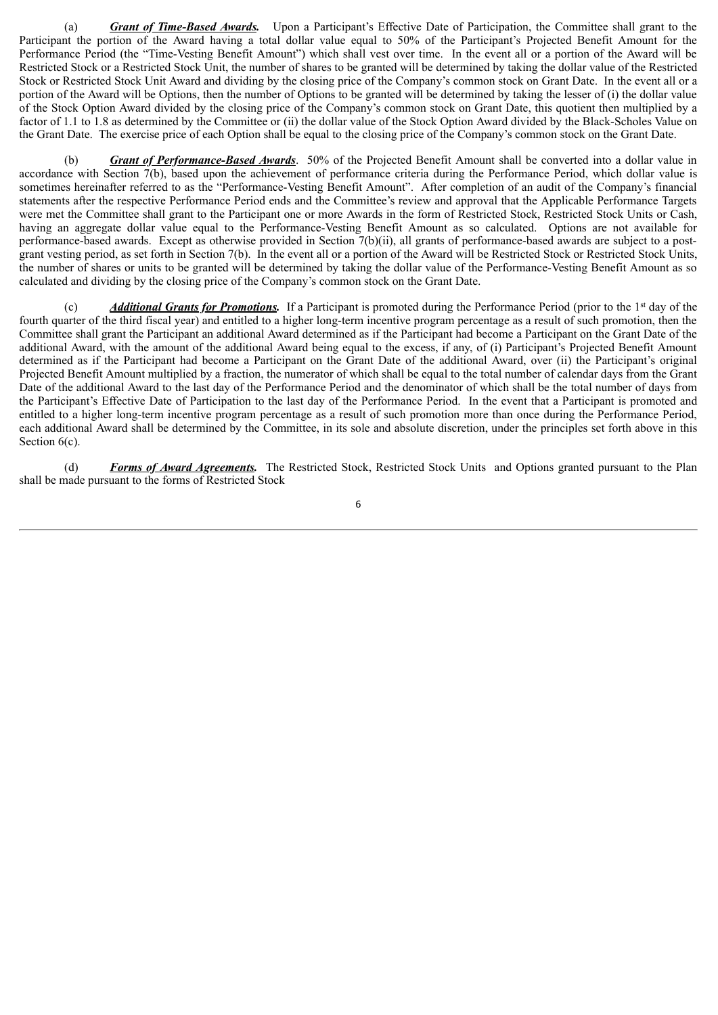(a) *Grant of Time-Based Awards.* Upon a Participant's Effective Date of Participation, the Committee shall grant to the Participant the portion of the Award having a total dollar value equal to 50% of the Participant's Projected Benefit Amount for the Performance Period (the "Time-Vesting Benefit Amount") which shall vest over time. In the event all or a portion of the Award will be Restricted Stock or a Restricted Stock Unit, the number of shares to be granted will be determined by taking the dollar value of the Restricted Stock or Restricted Stock Unit Award and dividing by the closing price of the Company's common stock on Grant Date. In the event all or a portion of the Award will be Options, then the number of Options to be granted will be determined by taking the lesser of (i) the dollar value of the Stock Option Award divided by the closing price of the Company's common stock on Grant Date, this quotient then multiplied by a factor of 1.1 to 1.8 as determined by the Committee or (ii) the dollar value of the Stock Option Award divided by the Black-Scholes Value on the Grant Date. The exercise price of each Option shall be equal to the closing price of the Company's common stock on the Grant Date.

Grant of Performance-Based Awards. 50% of the Projected Benefit Amount shall be converted into a dollar value in accordance with Section 7(b), based upon the achievement of performance criteria during the Performance Period, which dollar value is sometimes hereinafter referred to as the "Performance-Vesting Benefit Amount". After completion of an audit of the Company's financial statements after the respective Performance Period ends and the Committee's review and approval that the Applicable Performance Targets were met the Committee shall grant to the Participant one or more Awards in the form of Restricted Stock, Restricted Stock Units or Cash, having an aggregate dollar value equal to the Performance-Vesting Benefit Amount as so calculated. Options are not available for performance-based awards. Except as otherwise provided in Section 7(b)(ii), all grants of performance-based awards are subject to a postgrant vesting period, as set forth in Section 7(b). In the event all or a portion of the Award will be Restricted Stock or Restricted Stock Units, the number of shares or units to be granted will be determined by taking the dollar value of the Performance-Vesting Benefit Amount as so calculated and dividing by the closing price of the Company's common stock on the Grant Date.

(c) *Additional Grants for Promotions*. If a Participant is promoted during the Performance Period (prior to the 1<sup>st</sup> day of the fourth quarter of the third fiscal year) and entitled to a higher long-term incentive program percentage as a result of such promotion, then the Committee shall grant the Participant an additional Award determined as if the Participant had become a Participant on the Grant Date of the additional Award, with the amount of the additional Award being equal to the excess, if any, of (i) Participant's Projected Benefit Amount determined as if the Participant had become a Participant on the Grant Date of the additional Award, over (ii) the Participant's original Projected Benefit Amount multiplied by a fraction, the numerator of which shall be equal to the total number of calendar days from the Grant Date of the additional Award to the last day of the Performance Period and the denominator of which shall be the total number of days from the Participant's Effective Date of Participation to the last day of the Performance Period. In the event that a Participant is promoted and entitled to a higher long-term incentive program percentage as a result of such promotion more than once during the Performance Period, each additional Award shall be determined by the Committee, in its sole and absolute discretion, under the principles set forth above in this Section  $6(c)$ .

(d) *Forms of Award Agreements.* The Restricted Stock, Restricted Stock Units and Options granted pursuant to the Plan shall be made pursuant to the forms of Restricted Stock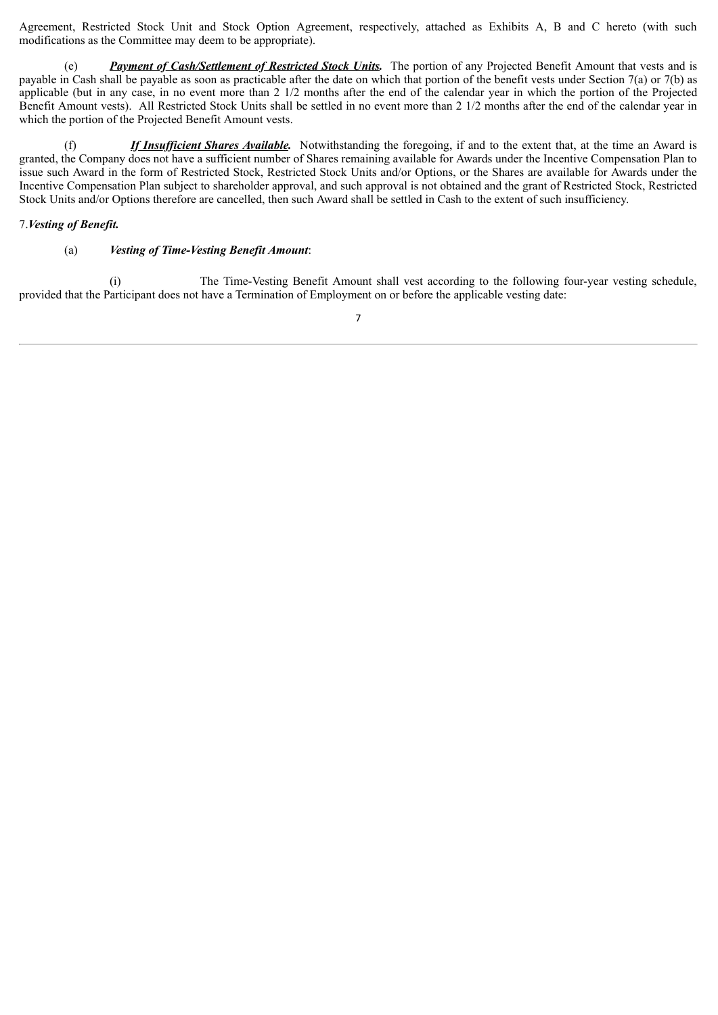Agreement, Restricted Stock Unit and Stock Option Agreement, respectively, attached as Exhibits A, B and C hereto (with such modifications as the Committee may deem to be appropriate).

(e) *Payment of Cash/Settlement of Restricted Stock Units.* The portion of any Projected Benefit Amount that vests and is payable in Cash shall be payable as soon as practicable after the date on which that portion of the benefit vests under Section 7(a) or 7(b) as applicable (but in any case, in no event more than 2 1/2 months after the end of the calendar year in which the portion of the Projected Benefit Amount vests). All Restricted Stock Units shall be settled in no event more than 2 1/2 months after the end of the calendar year in which the portion of the Projected Benefit Amount vests.

(f) *If Insufficient Shares Available.* Notwithstanding the foregoing, if and to the extent that, at the time an Award is granted, the Company does not have a sufficient number of Shares remaining available for Awards under the Incentive Compensation Plan to issue such Award in the form of Restricted Stock, Restricted Stock Units and/or Options, or the Shares are available for Awards under the Incentive Compensation Plan subject to shareholder approval, and such approval is not obtained and the grant of Restricted Stock, Restricted Stock Units and/or Options therefore are cancelled, then such Award shall be settled in Cash to the extent of such insufficiency.

# 7.*Vesting of Benefit.*

#### (a) *Vesting of Time-Vesting Benefit Amount*:

(i) The Time-Vesting Benefit Amount shall vest according to the following four-year vesting schedule, provided that the Participant does not have a Termination of Employment on or before the applicable vesting date: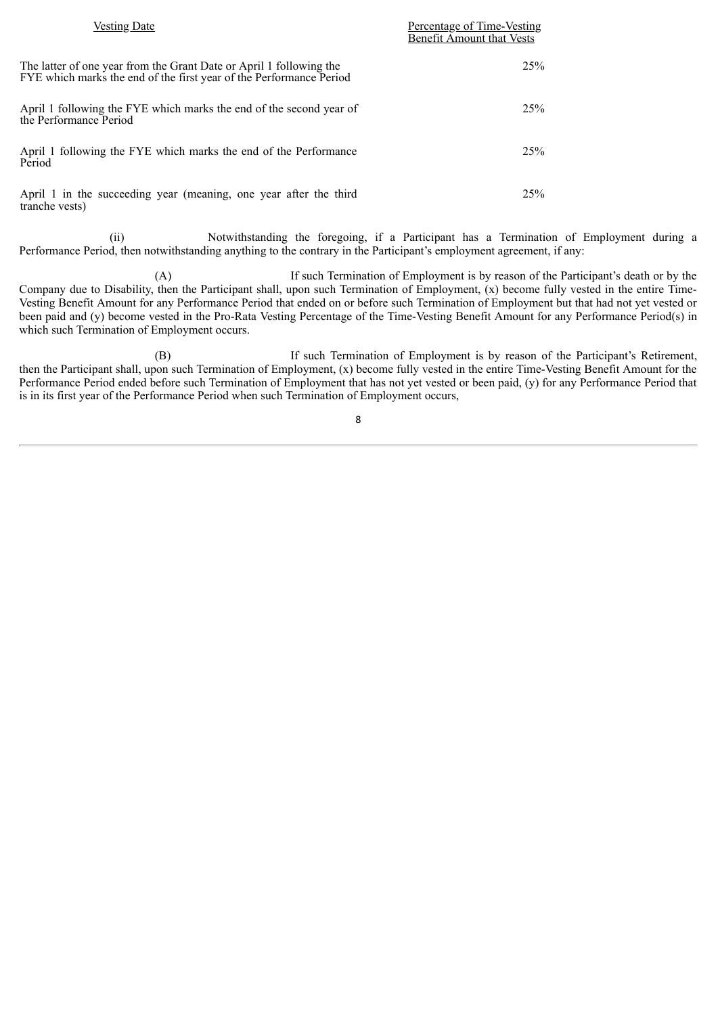| <b>Vesting Date</b>                                                                                                                        | Percentage of Time-Vesting<br><b>Benefit Amount that Vests</b> |
|--------------------------------------------------------------------------------------------------------------------------------------------|----------------------------------------------------------------|
| The latter of one year from the Grant Date or April 1 following the<br>FYE which marks the end of the first year of the Performance Period | 25%                                                            |
| April 1 following the FYE which marks the end of the second year of<br>the Performance Period                                              | 25%                                                            |
| April 1 following the FYE which marks the end of the Performance<br>Period                                                                 | 25%                                                            |
| April 1 in the succeeding year (meaning, one year after the third<br>tranche vests)                                                        | 25%                                                            |

(ii) Notwithstanding the foregoing, if a Participant has a Termination of Employment during a Performance Period, then notwithstanding anything to the contrary in the Participant's employment agreement, if any:

(A) If such Termination of Employment is by reason of the Participant's death or by the Company due to Disability, then the Participant shall, upon such Termination of Employment, (x) become fully vested in the entire Time-Vesting Benefit Amount for any Performance Period that ended on or before such Termination of Employment but that had not yet vested or been paid and (y) become vested in the Pro-Rata Vesting Percentage of the Time-Vesting Benefit Amount for any Performance Period(s) in which such Termination of Employment occurs.

(B) If such Termination of Employment is by reason of the Participant's Retirement, then the Participant shall, upon such Termination of Employment, (x) become fully vested in the entire Time-Vesting Benefit Amount for the Performance Period ended before such Termination of Employment that has not yet vested or been paid, (y) for any Performance Period that is in its first year of the Performance Period when such Termination of Employment occurs,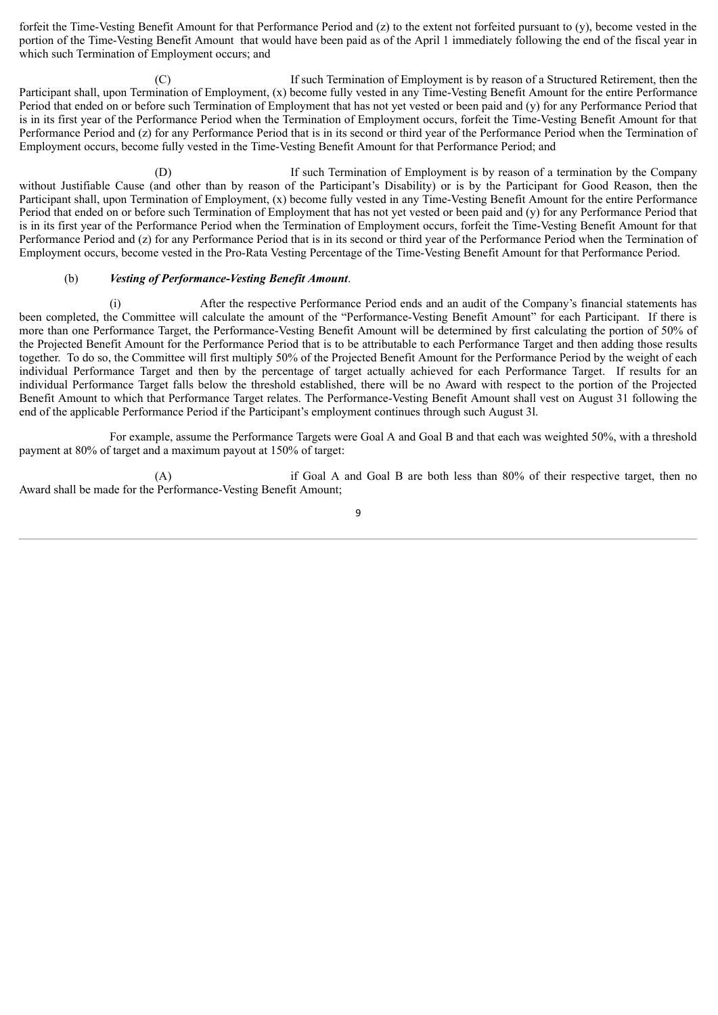forfeit the Time-Vesting Benefit Amount for that Performance Period and (z) to the extent not forfeited pursuant to (y), become vested in the portion of the Time-Vesting Benefit Amount that would have been paid as of the April 1 immediately following the end of the fiscal year in which such Termination of Employment occurs; and

(C) If such Termination of Employment is by reason of a Structured Retirement, then the Participant shall, upon Termination of Employment, (x) become fully vested in any Time-Vesting Benefit Amount for the entire Performance Period that ended on or before such Termination of Employment that has not yet vested or been paid and (y) for any Performance Period that is in its first year of the Performance Period when the Termination of Employment occurs, forfeit the Time-Vesting Benefit Amount for that Performance Period and (z) for any Performance Period that is in its second or third year of the Performance Period when the Termination of Employment occurs, become fully vested in the Time-Vesting Benefit Amount for that Performance Period; and

(D) If such Termination of Employment is by reason of a termination by the Company without Justifiable Cause (and other than by reason of the Participant's Disability) or is by the Participant for Good Reason, then the Participant shall, upon Termination of Employment, (x) become fully vested in any Time-Vesting Benefit Amount for the entire Performance Period that ended on or before such Termination of Employment that has not yet vested or been paid and (y) for any Performance Period that is in its first year of the Performance Period when the Termination of Employment occurs, forfeit the Time-Vesting Benefit Amount for that Performance Period and (z) for any Performance Period that is in its second or third year of the Performance Period when the Termination of Employment occurs, become vested in the Pro-Rata Vesting Percentage of the Time-Vesting Benefit Amount for that Performance Period.

#### (b) *Vesting of Performance-Vesting Benefit Amount*.

(i) After the respective Performance Period ends and an audit of the Company's financial statements has been completed, the Committee will calculate the amount of the "Performance-Vesting Benefit Amount" for each Participant. If there is more than one Performance Target, the Performance-Vesting Benefit Amount will be determined by first calculating the portion of 50% of the Projected Benefit Amount for the Performance Period that is to be attributable to each Performance Target and then adding those results together. To do so, the Committee will first multiply 50% of the Projected Benefit Amount for the Performance Period by the weight of each individual Performance Target and then by the percentage of target actually achieved for each Performance Target. If results for an individual Performance Target falls below the threshold established, there will be no Award with respect to the portion of the Projected Benefit Amount to which that Performance Target relates. The Performance-Vesting Benefit Amount shall vest on August 31 following the end of the applicable Performance Period if the Participant's employment continues through such August 3l.

For example, assume the Performance Targets were Goal A and Goal B and that each was weighted 50%, with a threshold payment at 80% of target and a maximum payout at 150% of target:

(A) if Goal A and Goal B are both less than 80% of their respective target, then no Award shall be made for the Performance-Vesting Benefit Amount;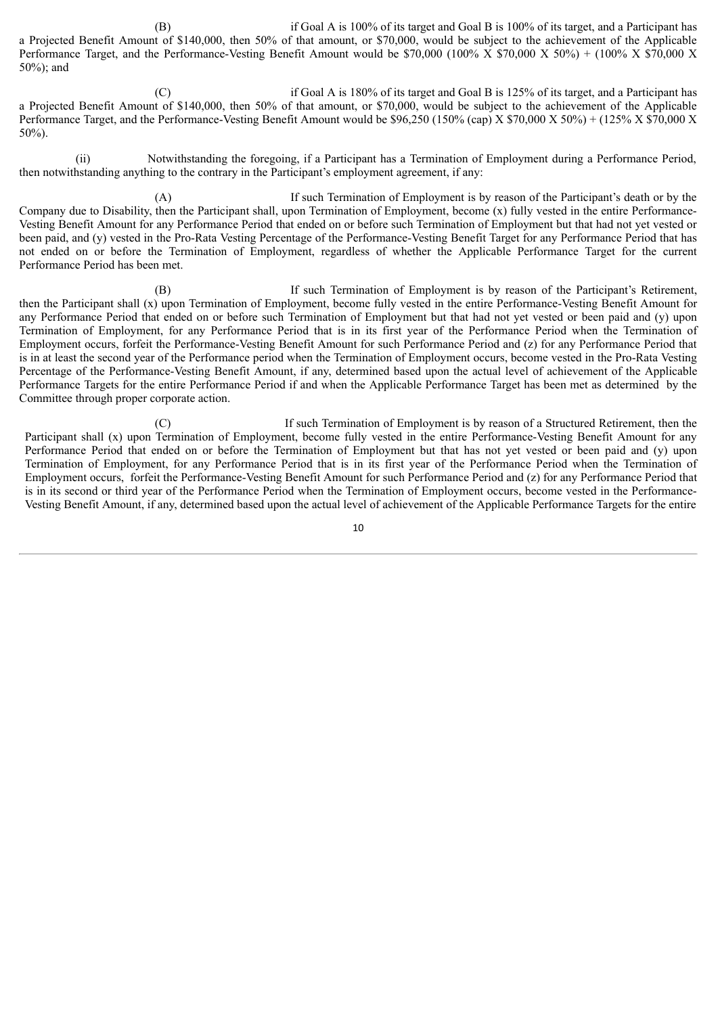(B) if Goal A is 100% of its target and Goal B is 100% of its target, and a Participant has a Projected Benefit Amount of \$140,000, then 50% of that amount, or \$70,000, would be subject to the achievement of the Applicable Performance Target, and the Performance-Vesting Benefit Amount would be \$70,000 (100% X \$70,000 X 50%) + (100% X \$70,000 X 50%); and

(C) if Goal A is 180% of its target and Goal B is 125% of its target, and a Participant has a Projected Benefit Amount of \$140,000, then 50% of that amount, or \$70,000, would be subject to the achievement of the Applicable Performance Target, and the Performance-Vesting Benefit Amount would be \$96,250 (150% (cap) X \$70,000 X 50%) + (125% X \$70,000 X 50%).

(ii) Notwithstanding the foregoing, if a Participant has a Termination of Employment during a Performance Period, then notwithstanding anything to the contrary in the Participant's employment agreement, if any:

(A) If such Termination of Employment is by reason of the Participant's death or by the Company due to Disability, then the Participant shall, upon Termination of Employment, become (x) fully vested in the entire Performance-Vesting Benefit Amount for any Performance Period that ended on or before such Termination of Employment but that had not yet vested or been paid, and (y) vested in the Pro-Rata Vesting Percentage of the Performance-Vesting Benefit Target for any Performance Period that has not ended on or before the Termination of Employment, regardless of whether the Applicable Performance Target for the current Performance Period has been met.

(B) If such Termination of Employment is by reason of the Participant's Retirement, then the Participant shall (x) upon Termination of Employment, become fully vested in the entire Performance-Vesting Benefit Amount for any Performance Period that ended on or before such Termination of Employment but that had not yet vested or been paid and (y) upon Termination of Employment, for any Performance Period that is in its first year of the Performance Period when the Termination of Employment occurs, forfeit the Performance-Vesting Benefit Amount for such Performance Period and (z) for any Performance Period that is in at least the second year of the Performance period when the Termination of Employment occurs, become vested in the Pro-Rata Vesting Percentage of the Performance-Vesting Benefit Amount, if any, determined based upon the actual level of achievement of the Applicable Performance Targets for the entire Performance Period if and when the Applicable Performance Target has been met as determined by the Committee through proper corporate action.

(C) If such Termination of Employment is by reason of a Structured Retirement, then the Participant shall (x) upon Termination of Employment, become fully vested in the entire Performance-Vesting Benefit Amount for any Performance Period that ended on or before the Termination of Employment but that has not yet vested or been paid and (y) upon Termination of Employment, for any Performance Period that is in its first year of the Performance Period when the Termination of Employment occurs, forfeit the Performance-Vesting Benefit Amount for such Performance Period and (z) for any Performance Period that is in its second or third year of the Performance Period when the Termination of Employment occurs, become vested in the Performance-Vesting Benefit Amount, if any, determined based upon the actual level of achievement of the Applicable Performance Targets for the entire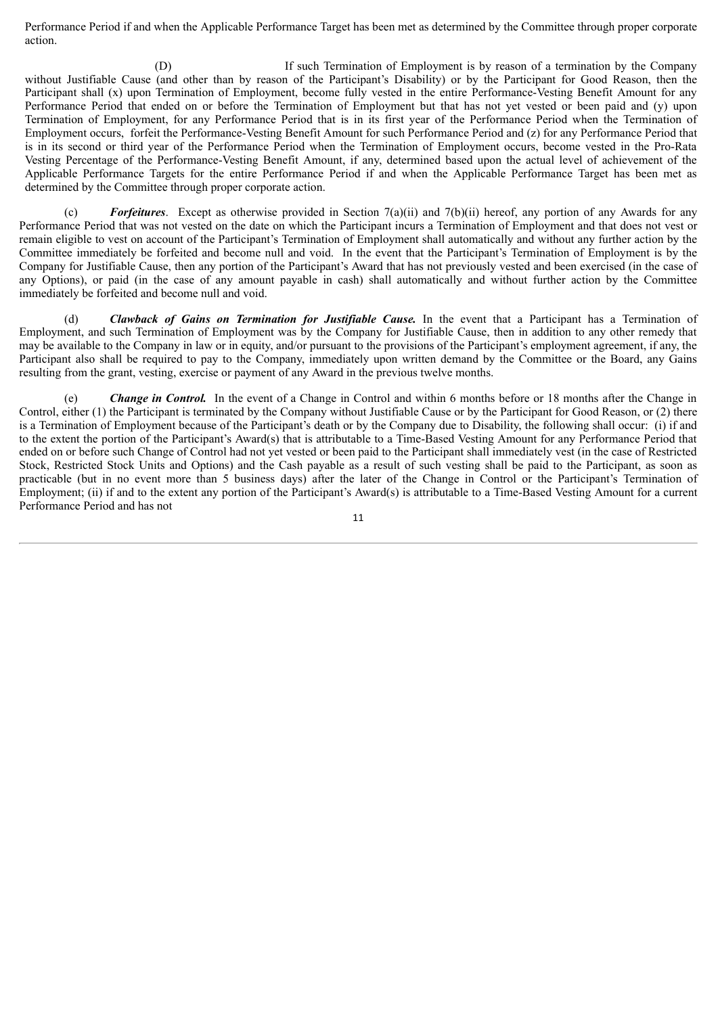Performance Period if and when the Applicable Performance Target has been met as determined by the Committee through proper corporate action.

(D) If such Termination of Employment is by reason of a termination by the Company without Justifiable Cause (and other than by reason of the Participant's Disability) or by the Participant for Good Reason, then the Participant shall (x) upon Termination of Employment, become fully vested in the entire Performance-Vesting Benefit Amount for any Performance Period that ended on or before the Termination of Employment but that has not yet vested or been paid and (y) upon Termination of Employment, for any Performance Period that is in its first year of the Performance Period when the Termination of Employment occurs, forfeit the Performance-Vesting Benefit Amount for such Performance Period and (z) for any Performance Period that is in its second or third year of the Performance Period when the Termination of Employment occurs, become vested in the Pro-Rata Vesting Percentage of the Performance-Vesting Benefit Amount, if any, determined based upon the actual level of achievement of the Applicable Performance Targets for the entire Performance Period if and when the Applicable Performance Target has been met as determined by the Committee through proper corporate action.

(c) *Forfeitures*. Except as otherwise provided in Section 7(a)(ii) and 7(b)(ii) hereof, any portion of any Awards for any Performance Period that was not vested on the date on which the Participant incurs a Termination of Employment and that does not vest or remain eligible to vest on account of the Participant's Termination of Employment shall automatically and without any further action by the Committee immediately be forfeited and become null and void. In the event that the Participant's Termination of Employment is by the Company for Justifiable Cause, then any portion of the Participant's Award that has not previously vested and been exercised (in the case of any Options), or paid (in the case of any amount payable in cash) shall automatically and without further action by the Committee immediately be forfeited and become null and void.

(d) *Clawback of Gains on Termination for Justifiable Cause.* In the event that a Participant has a Termination of Employment, and such Termination of Employment was by the Company for Justifiable Cause, then in addition to any other remedy that may be available to the Company in law or in equity, and/or pursuant to the provisions of the Participant's employment agreement, if any, the Participant also shall be required to pay to the Company, immediately upon written demand by the Committee or the Board, any Gains resulting from the grant, vesting, exercise or payment of any Award in the previous twelve months.

**Change in Control.** In the event of a Change in Control and within 6 months before or 18 months after the Change in Control, either (1) the Participant is terminated by the Company without Justifiable Cause or by the Participant for Good Reason, or (2) there is a Termination of Employment because of the Participant's death or by the Company due to Disability, the following shall occur: (i) if and to the extent the portion of the Participant's Award(s) that is attributable to a Time-Based Vesting Amount for any Performance Period that ended on or before such Change of Control had not yet vested or been paid to the Participant shall immediately vest (in the case of Restricted Stock, Restricted Stock Units and Options) and the Cash payable as a result of such vesting shall be paid to the Participant, as soon as practicable (but in no event more than 5 business days) after the later of the Change in Control or the Participant's Termination of Employment; (ii) if and to the extent any portion of the Participant's Award(s) is attributable to a Time-Based Vesting Amount for a current Performance Period and has not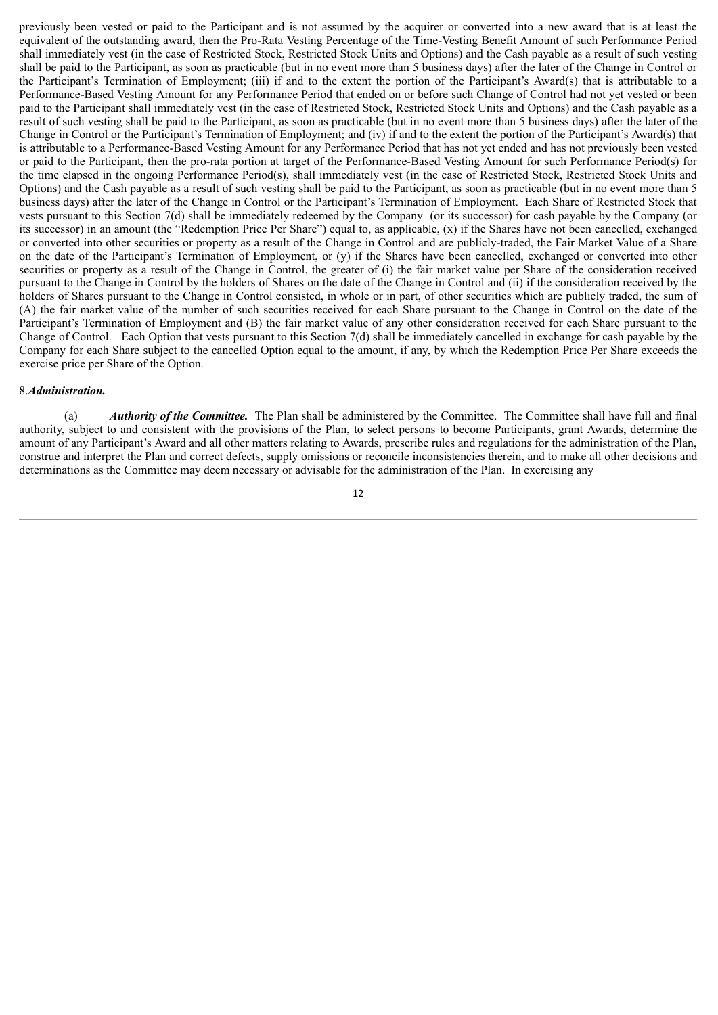previously been vested or paid to the Participant and is not assumed by the acquirer or converted into a new award that is at least the equivalent of the outstanding award, then the Pro-Rata Vesting Percentage of the Time-Vesting Benefit Amount of such Performance Period shall immediately vest (in the case of Restricted Stock, Restricted Stock Units and Options) and the Cash payable as a result of such vesting shall be paid to the Participant, as soon as practicable (but in no event more than 5 business days) after the later of the Change in Control or the Participant's Termination of Employment; (iii) if and to the extent the portion of the Participant's Award(s) that is attributable to a Performance-Based Vesting Amount for any Performance Period that ended on or before such Change of Control had not yet vested or been paid to the Participant shall immediately vest (in the case of Restricted Stock, Restricted Stock Units and Options) and the Cash payable as a result of such vesting shall be paid to the Participant, as soon as practicable (but in no event more than 5 business days) after the later of the Change in Control or the Participant's Termination of Employment; and (iv) if and to the extent the portion of the Participant's Award(s) that is attributable to a Performance-Based Vesting Amount for any Performance Period that has not yet ended and has not previously been vested or paid to the Participant, then the pro-rata portion at target of the Performance-Based Vesting Amount for such Performance Period(s) for the time elapsed in the ongoing Performance Period(s), shall immediately vest (in the case of Restricted Stock, Restricted Stock Units and Options) and the Cash payable as a result of such vesting shall be paid to the Participant, as soon as practicable (but in no event more than 5 business days) after the later of the Change in Control or the Participant's Termination of Employment. Each Share of Restricted Stock that vests pursuant to this Section 7(d) shall be immediately redeemed by the Company (or its successor) for cash payable by the Company (or its successor) in an amount (the "Redemption Price Per Share") equal to, as applicable, (x) if the Shares have not been cancelled, exchanged or converted into other securities or property as a result of the Change in Control and are publicly-traded, the Fair Market Value of a Share on the date of the Participant's Termination of Employment, or (y) if the Shares have been cancelled, exchanged or converted into other securities or property as a result of the Change in Control, the greater of (i) the fair market value per Share of the consideration received pursuant to the Change in Control by the holders of Shares on the date of the Change in Control and (ii) if the consideration received by the holders of Shares pursuant to the Change in Control consisted, in whole or in part, of other securities which are publicly traded, the sum of (A) the fair market value of the number of such securities received for each Share pursuant to the Change in Control on the date of the Participant's Termination of Employment and (B) the fair market value of any other consideration received for each Share pursuant to the Change of Control. Each Option that vests pursuant to this Section 7(d) shall be immediately cancelled in exchange for cash payable by the Company for each Share subject to the cancelled Option equal to the amount, if any, by which the Redemption Price Per Share exceeds the exercise price per Share of the Option.

#### 8.*Administration.*

(a) *Authority of the Committee.* The Plan shall be administered by the Committee. The Committee shall have full and final authority, subject to and consistent with the provisions of the Plan, to select persons to become Participants, grant Awards, determine the amount of any Participant's Award and all other matters relating to Awards, prescribe rules and regulations for the administration of the Plan, construe and interpret the Plan and correct defects, supply omissions or reconcile inconsistencies therein, and to make all other decisions and determinations as the Committee may deem necessary or advisable for the administration of the Plan. In exercising any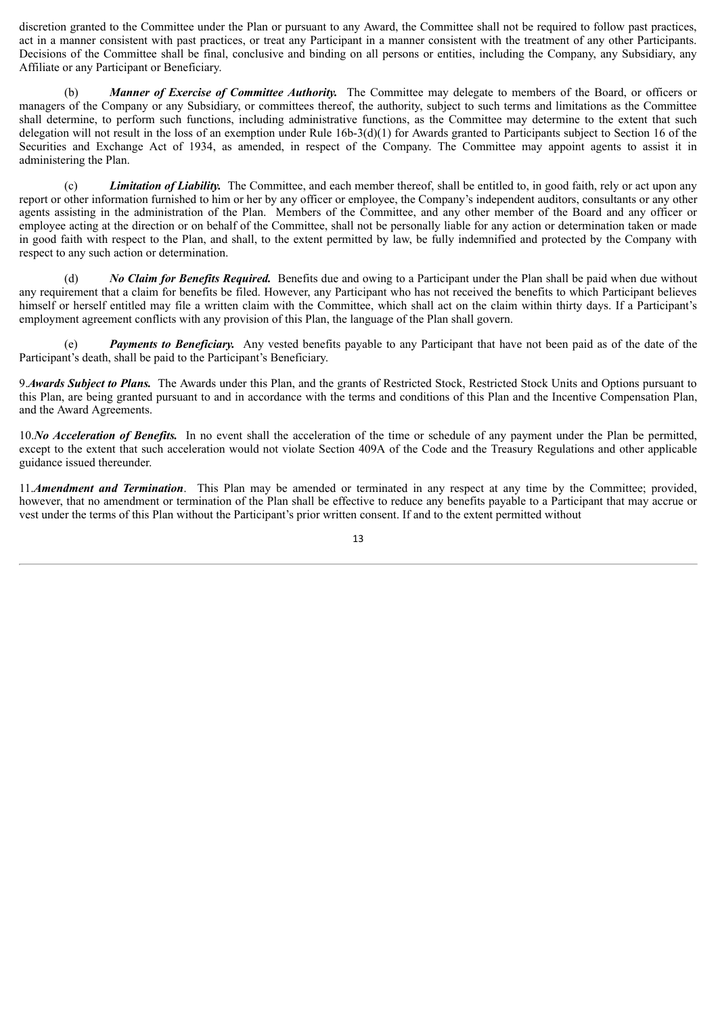discretion granted to the Committee under the Plan or pursuant to any Award, the Committee shall not be required to follow past practices, act in a manner consistent with past practices, or treat any Participant in a manner consistent with the treatment of any other Participants. Decisions of the Committee shall be final, conclusive and binding on all persons or entities, including the Company, any Subsidiary, any Affiliate or any Participant or Beneficiary.

(b) *Manner of Exercise of Committee Authority.* The Committee may delegate to members of the Board, or officers or managers of the Company or any Subsidiary, or committees thereof, the authority, subject to such terms and limitations as the Committee shall determine, to perform such functions, including administrative functions, as the Committee may determine to the extent that such delegation will not result in the loss of an exemption under Rule 16b-3(d)(1) for Awards granted to Participants subject to Section 16 of the Securities and Exchange Act of 1934, as amended, in respect of the Company. The Committee may appoint agents to assist it in administering the Plan.

(c) *Limitation of Liability.* The Committee, and each member thereof, shall be entitled to, in good faith, rely or act upon any report or other information furnished to him or her by any officer or employee, the Company's independent auditors, consultants or any other agents assisting in the administration of the Plan. Members of the Committee, and any other member of the Board and any officer or employee acting at the direction or on behalf of the Committee, shall not be personally liable for any action or determination taken or made in good faith with respect to the Plan, and shall, to the extent permitted by law, be fully indemnified and protected by the Company with respect to any such action or determination.

(d) *No Claim for Benefits Required.* Benefits due and owing to a Participant under the Plan shall be paid when due without any requirement that a claim for benefits be filed. However, any Participant who has not received the benefits to which Participant believes himself or herself entitled may file a written claim with the Committee, which shall act on the claim within thirty days. If a Participant's employment agreement conflicts with any provision of this Plan, the language of the Plan shall govern.

(e) *Payments to Beneficiary.* Any vested benefits payable to any Participant that have not been paid as of the date of the Participant's death, shall be paid to the Participant's Beneficiary.

9.*Awards Subject to Plans.* The Awards under this Plan, and the grants of Restricted Stock, Restricted Stock Units and Options pursuant to this Plan, are being granted pursuant to and in accordance with the terms and conditions of this Plan and the Incentive Compensation Plan, and the Award Agreements.

10.*No Acceleration of Benefits.* In no event shall the acceleration of the time or schedule of any payment under the Plan be permitted, except to the extent that such acceleration would not violate Section 409A of the Code and the Treasury Regulations and other applicable guidance issued thereunder.

11.*Amendment and Termination*. This Plan may be amended or terminated in any respect at any time by the Committee; provided, however, that no amendment or termination of the Plan shall be effective to reduce any benefits payable to a Participant that may accrue or vest under the terms of this Plan without the Participant's prior written consent. If and to the extent permitted without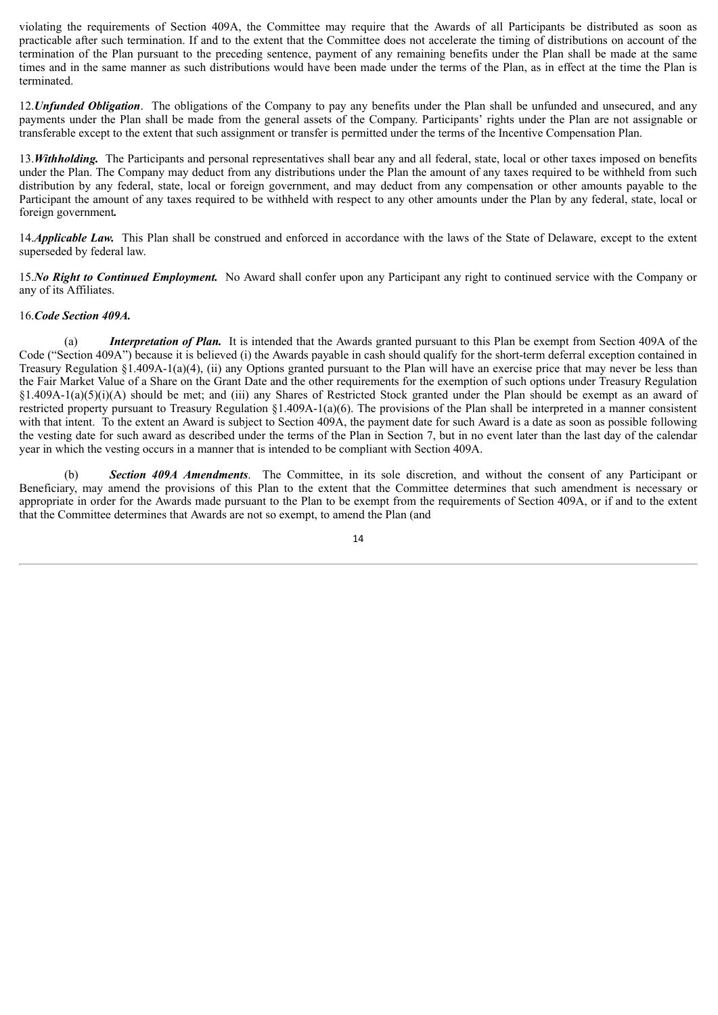violating the requirements of Section 409A, the Committee may require that the Awards of all Participants be distributed as soon as practicable after such termination. If and to the extent that the Committee does not accelerate the timing of distributions on account of the termination of the Plan pursuant to the preceding sentence, payment of any remaining benefits under the Plan shall be made at the same times and in the same manner as such distributions would have been made under the terms of the Plan, as in effect at the time the Plan is terminated.

12.*Unfunded Obligation*. The obligations of the Company to pay any benefits under the Plan shall be unfunded and unsecured, and any payments under the Plan shall be made from the general assets of the Company. Participants' rights under the Plan are not assignable or transferable except to the extent that such assignment or transfer is permitted under the terms of the Incentive Compensation Plan.

13.*Withholding.* The Participants and personal representatives shall bear any and all federal, state, local or other taxes imposed on benefits under the Plan. The Company may deduct from any distributions under the Plan the amount of any taxes required to be withheld from such distribution by any federal, state, local or foreign government, and may deduct from any compensation or other amounts payable to the Participant the amount of any taxes required to be withheld with respect to any other amounts under the Plan by any federal, state, local or foreign government*.*

14.*Applicable Law.* This Plan shall be construed and enforced in accordance with the laws of the State of Delaware, except to the extent superseded by federal law.

15.*No Right to Continued Employment.* No Award shall confer upon any Participant any right to continued service with the Company or any of its Affiliates.

#### 16.*Code Section 409A.*

(a) *Interpretation of Plan.* It is intended that the Awards granted pursuant to this Plan be exempt from Section 409A of the Code ("Section 409A") because it is believed (i) the Awards payable in cash should qualify for the short-term deferral exception contained in Treasury Regulation §1.409A-1(a)(4), (ii) any Options granted pursuant to the Plan will have an exercise price that may never be less than the Fair Market Value of a Share on the Grant Date and the other requirements for the exemption of such options under Treasury Regulation  $\S1.409A-1(a)(5)(i)(A)$  should be met; and (iii) any Shares of Restricted Stock granted under the Plan should be exempt as an award of restricted property pursuant to Treasury Regulation §1.409A-1(a)(6). The provisions of the Plan shall be interpreted in a manner consistent with that intent. To the extent an Award is subject to Section 409A, the payment date for such Award is a date as soon as possible following the vesting date for such award as described under the terms of the Plan in Section 7, but in no event later than the last day of the calendar year in which the vesting occurs in a manner that is intended to be compliant with Section 409A.

(b) *Section 409A Amendments*. The Committee, in its sole discretion, and without the consent of any Participant or Beneficiary, may amend the provisions of this Plan to the extent that the Committee determines that such amendment is necessary or appropriate in order for the Awards made pursuant to the Plan to be exempt from the requirements of Section 409A, or if and to the extent that the Committee determines that Awards are not so exempt, to amend the Plan (and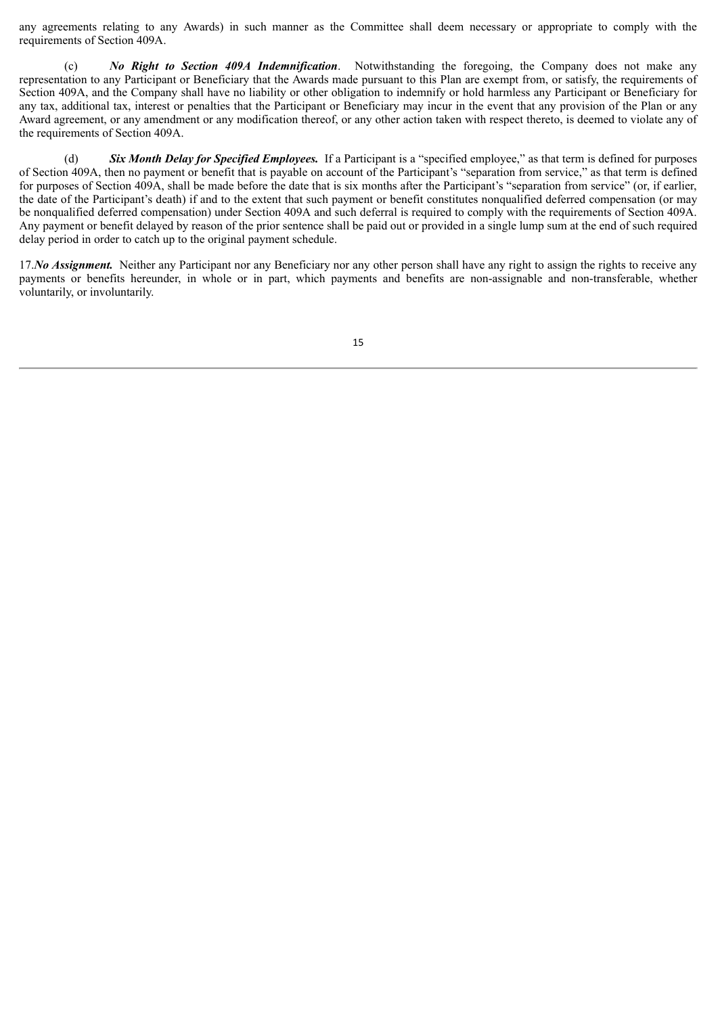any agreements relating to any Awards) in such manner as the Committee shall deem necessary or appropriate to comply with the requirements of Section 409A.

(c) *No Right to Section 409A Indemnification*. Notwithstanding the foregoing, the Company does not make any representation to any Participant or Beneficiary that the Awards made pursuant to this Plan are exempt from, or satisfy, the requirements of Section 409A, and the Company shall have no liability or other obligation to indemnify or hold harmless any Participant or Beneficiary for any tax, additional tax, interest or penalties that the Participant or Beneficiary may incur in the event that any provision of the Plan or any Award agreement, or any amendment or any modification thereof, or any other action taken with respect thereto, is deemed to violate any of the requirements of Section 409A.

(d) *Six Month Delay for Specified Employees.* If a Participant is a "specified employee," as that term is defined for purposes of Section 409A, then no payment or benefit that is payable on account of the Participant's "separation from service," as that term is defined for purposes of Section 409A, shall be made before the date that is six months after the Participant's "separation from service" (or, if earlier, the date of the Participant's death) if and to the extent that such payment or benefit constitutes nonqualified deferred compensation (or may be nonqualified deferred compensation) under Section 409A and such deferral is required to comply with the requirements of Section 409A. Any payment or benefit delayed by reason of the prior sentence shall be paid out or provided in a single lump sum at the end of such required delay period in order to catch up to the original payment schedule.

17.*No Assignment*. Neither any Participant nor any Beneficiary nor any other person shall have any right to assign the rights to receive any payments or benefits hereunder, in whole or in part, which payments and benefits are non-assignable and non-transferable, whether voluntarily, or involuntarily.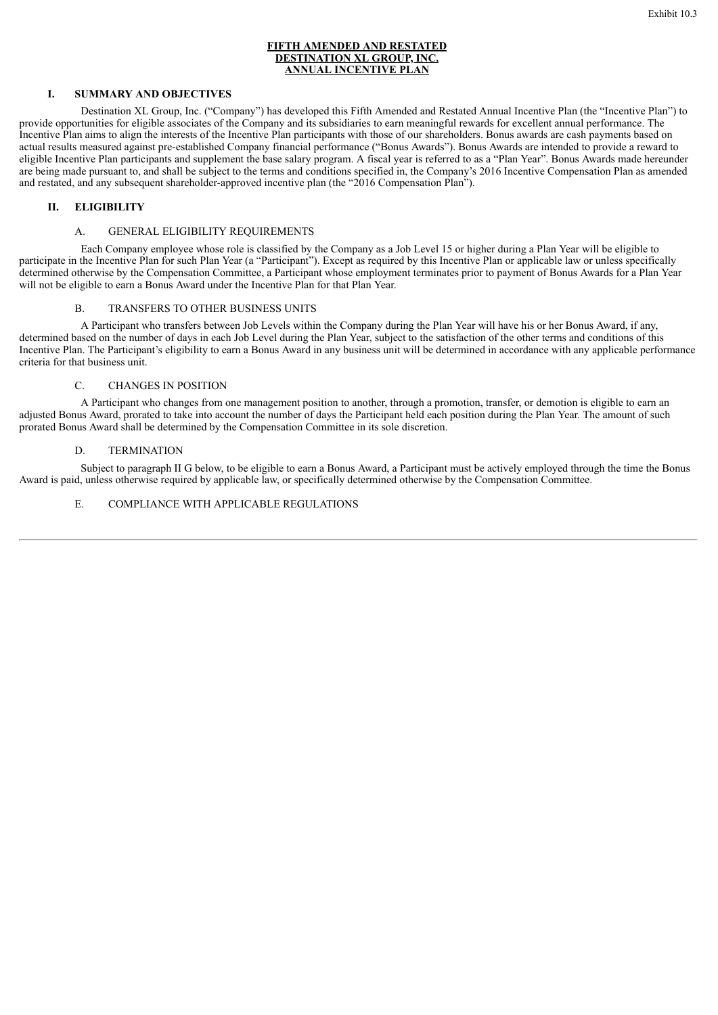#### **FIFTH AMENDED AND RESTATED DESTINATION XL GROUP, INC. ANNUAL INCENTIVE PLAN**

#### **I. SUMMARY AND OBJECTIVES**

Destination XL Group, Inc. ("Company") has developed this Fifth Amended and Restated Annual Incentive Plan (the "Incentive Plan") to provide opportunities for eligible associates of the Company and its subsidiaries to earn meaningful rewards for excellent annual performance. The Incentive Plan aims to align the interests of the Incentive Plan participants with those of our shareholders. Bonus awards are cash payments based on actual results measured against pre-established Company financial performance ("Bonus Awards"). Bonus Awards are intended to provide a reward to eligible Incentive Plan participants and supplement the base salary program. A fiscal year is referred to as a "Plan Year". Bonus Awards made hereunder are being made pursuant to, and shall be subject to the terms and conditions specified in, the Company's 2016 Incentive Compensation Plan as amended and restated, and any subsequent shareholder-approved incentive plan (the "2016 Compensation Plan").

# **II. ELIGIBILITY**

# A. GENERAL ELIGIBILITY REQUIREMENTS

Each Company employee whose role is classified by the Company as a Job Level 15 or higher during a Plan Year will be eligible to participate in the Incentive Plan for such Plan Year (a "Participant"). Except as required by this Incentive Plan or applicable law or unless specifically determined otherwise by the Compensation Committee, a Participant whose employment terminates prior to payment of Bonus Awards for a Plan Year will not be eligible to earn a Bonus Award under the Incentive Plan for that Plan Year.

#### B. TRANSFERS TO OTHER BUSINESS UNITS

A Participant who transfers between Job Levels within the Company during the Plan Year will have his or her Bonus Award, if any, determined based on the number of days in each Job Level during the Plan Year, subject to the satisfaction of the other terms and conditions of this Incentive Plan. The Participant's eligibility to earn a Bonus Award in any business unit will be determined in accordance with any applicable performance criteria for that business unit.

#### C. CHANGES IN POSITION

A Participant who changes from one management position to another, through a promotion, transfer, or demotion is eligible to earn an adjusted Bonus Award, prorated to take into account the number of days the Participant held each position during the Plan Year. The amount of such prorated Bonus Award shall be determined by the Compensation Committee in its sole discretion.

#### D. TERMINATION

Subject to paragraph II G below, to be eligible to earn a Bonus Award, a Participant must be actively employed through the time the Bonus Award is paid, unless otherwise required by applicable law, or specifically determined otherwise by the Compensation Committee.

#### E. COMPLIANCE WITH APPLICABLE REGULATIONS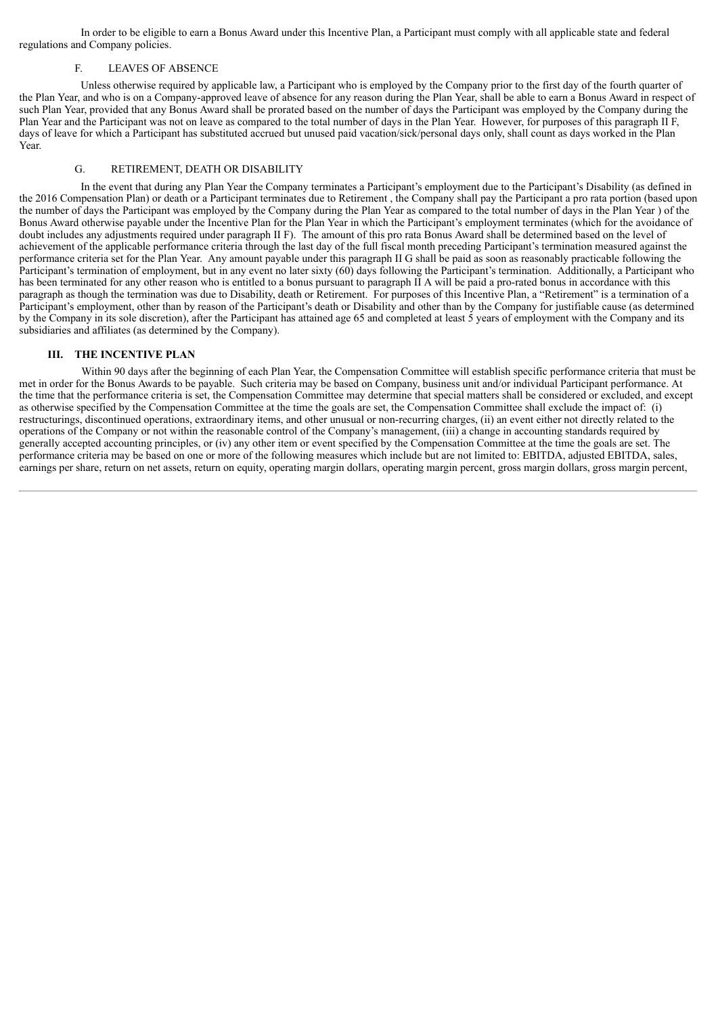In order to be eligible to earn a Bonus Award under this Incentive Plan, a Participant must comply with all applicable state and federal regulations and Company policies.

#### F. LEAVES OF ABSENCE

Unless otherwise required by applicable law, a Participant who is employed by the Company prior to the first day of the fourth quarter of the Plan Year, and who is on a Company-approved leave of absence for any reason during the Plan Year, shall be able to earn a Bonus Award in respect of such Plan Year, provided that any Bonus Award shall be prorated based on the number of days the Participant was employed by the Company during the Plan Year and the Participant was not on leave as compared to the total number of days in the Plan Year. However, for purposes of this paragraph II F, days of leave for which a Participant has substituted accrued but unused paid vacation/sick/personal days only, shall count as days worked in the Plan Year.

#### G. RETIREMENT, DEATH OR DISABILITY

In the event that during any Plan Year the Company terminates a Participant's employment due to the Participant's Disability (as defined in the 2016 Compensation Plan) or death or a Participant terminates due to Retirement , the Company shall pay the Participant a pro rata portion (based upon the number of days the Participant was employed by the Company during the Plan Year as compared to the total number of days in the Plan Year ) of the Bonus Award otherwise payable under the Incentive Plan for the Plan Year in which the Participant's employment terminates (which for the avoidance of doubt includes any adjustments required under paragraph II F). The amount of this pro rata Bonus Award shall be determined based on the level of achievement of the applicable performance criteria through the last day of the full fiscal month preceding Participant's termination measured against the performance criteria set for the Plan Year. Any amount payable under this paragraph II G shall be paid as soon as reasonably practicable following the Participant's termination of employment, but in any event no later sixty (60) days following the Participant's termination. Additionally, a Participant who has been terminated for any other reason who is entitled to a bonus pursuant to paragraph II A will be paid a pro-rated bonus in accordance with this paragraph as though the termination was due to Disability, death or Retirement. For purposes of this Incentive Plan, a "Retirement" is a termination of a Participant's employment, other than by reason of the Participant's death or Disability and other than by the Company for justifiable cause (as determined by the Company in its sole discretion), after the Participant has attained age 65 and completed at least 5 years of employment with the Company and its subsidiaries and affiliates (as determined by the Company).

#### **III. THE INCENTIVE PLAN**

Within 90 days after the beginning of each Plan Year, the Compensation Committee will establish specific performance criteria that must be met in order for the Bonus Awards to be payable. Such criteria may be based on Company, business unit and/or individual Participant performance. At the time that the performance criteria is set, the Compensation Committee may determine that special matters shall be considered or excluded, and except as otherwise specified by the Compensation Committee at the time the goals are set, the Compensation Committee shall exclude the impact of: (i) restructurings, discontinued operations, extraordinary items, and other unusual or non-recurring charges, (ii) an event either not directly related to the operations of the Company or not within the reasonable control of the Company's management, (iii) a change in accounting standards required by generally accepted accounting principles, or (iv) any other item or event specified by the Compensation Committee at the time the goals are set. The performance criteria may be based on one or more of the following measures which include but are not limited to: EBITDA, adjusted EBITDA, sales, earnings per share, return on net assets, return on equity, operating margin dollars, operating margin percent, gross margin dollars, gross margin percent,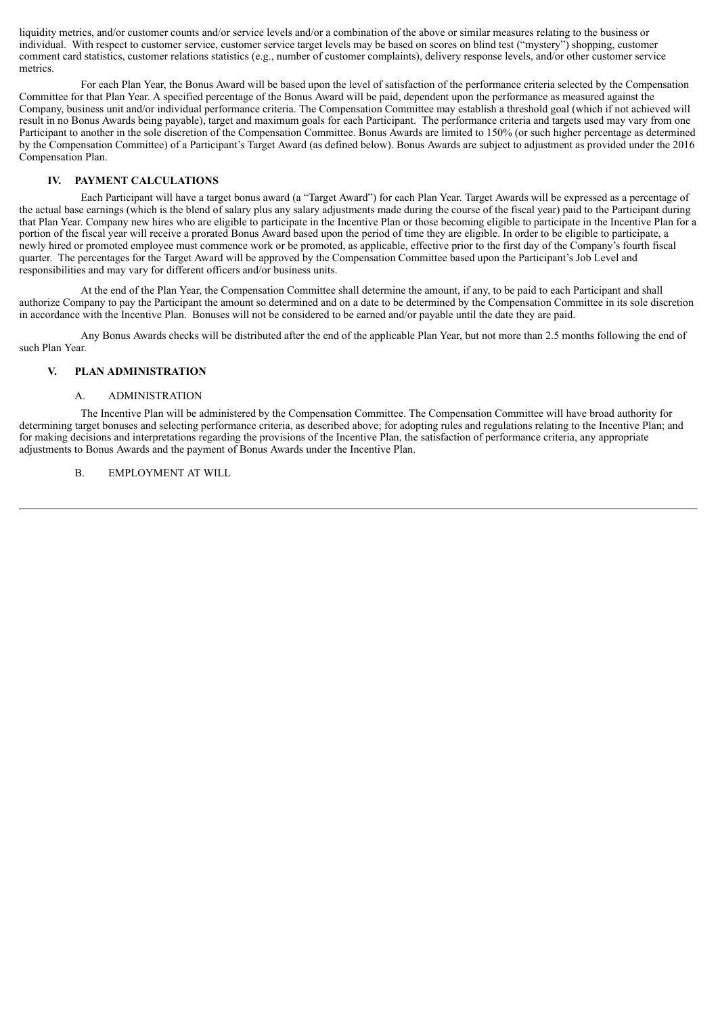liquidity metrics, and/or customer counts and/or service levels and/or a combination of the above or similar measures relating to the business or individual. With respect to customer service, customer service target levels may be based on scores on blind test ("mystery") shopping, customer comment card statistics, customer relations statistics (e.g., number of customer complaints), delivery response levels, and/or other customer service metrics.

For each Plan Year, the Bonus Award will be based upon the level of satisfaction of the performance criteria selected by the Compensation Committee for that Plan Year. A specified percentage of the Bonus Award will be paid, dependent upon the performance as measured against the Company, business unit and/or individual performance criteria. The Compensation Committee may establish a threshold goal (which if not achieved will result in no Bonus Awards being payable), target and maximum goals for each Participant. The performance criteria and targets used may vary from one Participant to another in the sole discretion of the Compensation Committee. Bonus Awards are limited to 150% (or such higher percentage as determined by the Compensation Committee) of a Participant's Target Award (as defined below). Bonus Awards are subject to adjustment as provided under the 2016 Compensation Plan.

#### **IV. PAYMENT CALCULATIONS**

Each Participant will have a target bonus award (a "Target Award") for each Plan Year. Target Awards will be expressed as a percentage of the actual base earnings (which is the blend of salary plus any salary adjustments made during the course of the fiscal year) paid to the Participant during that Plan Year. Company new hires who are eligible to participate in the Incentive Plan or those becoming eligible to participate in the Incentive Plan for a portion of the fiscal year will receive a prorated Bonus Award based upon the period of time they are eligible. In order to be eligible to participate, a newly hired or promoted employee must commence work or be promoted, as applicable, effective prior to the first day of the Company's fourth fiscal quarter. The percentages for the Target Award will be approved by the Compensation Committee based upon the Participant's Job Level and responsibilities and may vary for different officers and/or business units.

At the end of the Plan Year, the Compensation Committee shall determine the amount, if any, to be paid to each Participant and shall authorize Company to pay the Participant the amount so determined and on a date to be determined by the Compensation Committee in its sole discretion in accordance with the Incentive Plan. Bonuses will not be considered to be earned and/or payable until the date they are paid.

Any Bonus Awards checks will be distributed after the end of the applicable Plan Year, but not more than 2.5 months following the end of such Plan Year.

#### **V. PLAN ADMINISTRATION**

#### A. ADMINISTRATION

The Incentive Plan will be administered by the Compensation Committee. The Compensation Committee will have broad authority for determining target bonuses and selecting performance criteria, as described above; for adopting rules and regulations relating to the Incentive Plan; and for making decisions and interpretations regarding the provisions of the Incentive Plan, the satisfaction of performance criteria, any appropriate adjustments to Bonus Awards and the payment of Bonus Awards under the Incentive Plan.

#### B. EMPLOYMENT AT WILL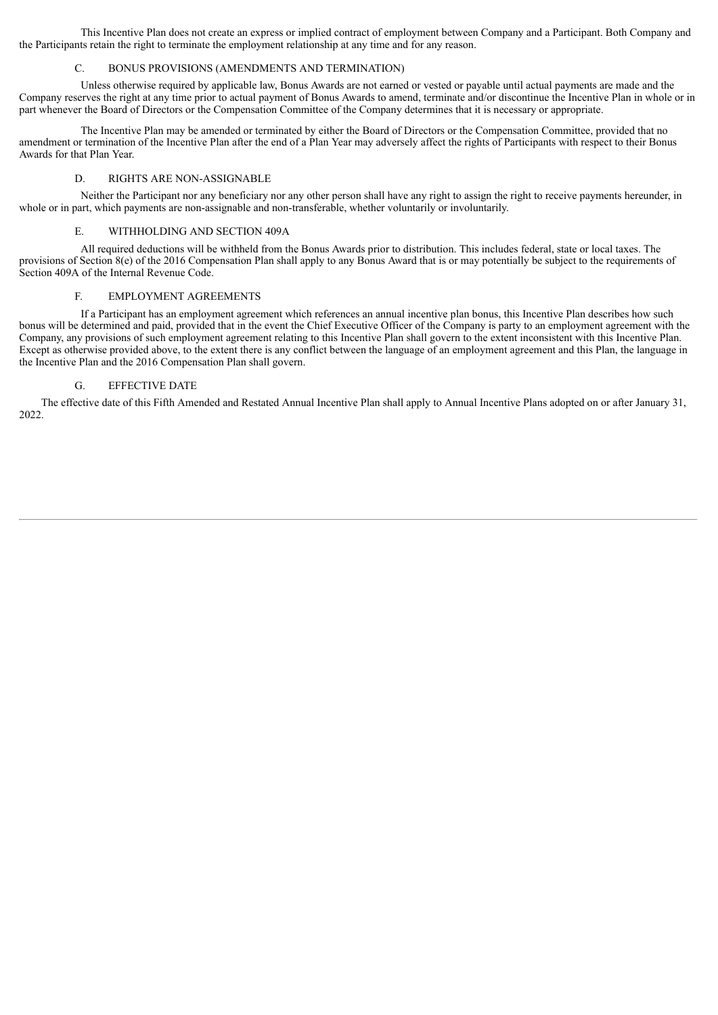This Incentive Plan does not create an express or implied contract of employment between Company and a Participant. Both Company and the Participants retain the right to terminate the employment relationship at any time and for any reason.

#### C. BONUS PROVISIONS (AMENDMENTS AND TERMINATION)

Unless otherwise required by applicable law, Bonus Awards are not earned or vested or payable until actual payments are made and the Company reserves the right at any time prior to actual payment of Bonus Awards to amend, terminate and/or discontinue the Incentive Plan in whole or in part whenever the Board of Directors or the Compensation Committee of the Company determines that it is necessary or appropriate.

The Incentive Plan may be amended or terminated by either the Board of Directors or the Compensation Committee, provided that no amendment or termination of the Incentive Plan after the end of a Plan Year may adversely affect the rights of Participants with respect to their Bonus Awards for that Plan Year.

#### D. RIGHTS ARE NON-ASSIGNABLE

Neither the Participant nor any beneficiary nor any other person shall have any right to assign the right to receive payments hereunder, in whole or in part, which payments are non-assignable and non-transferable, whether voluntarily or involuntarily.

# E. WITHHOLDING AND SECTION 409A

All required deductions will be withheld from the Bonus Awards prior to distribution. This includes federal, state or local taxes. The provisions of Section  $8(e)$  of the 2016 Compensation Plan shall apply to any Bonus Award that is or may potentially be subject to the requirements of Section 409A of the Internal Revenue Code.

#### F. EMPLOYMENT AGREEMENTS

If a Participant has an employment agreement which references an annual incentive plan bonus, this Incentive Plan describes how such bonus will be determined and paid, provided that in the event the Chief Executive Officer of the Company is party to an employment agreement with the Company, any provisions of such employment agreement relating to this Incentive Plan shall govern to the extent inconsistent with this Incentive Plan. Except as otherwise provided above, to the extent there is any conflict between the language of an employment agreement and this Plan, the language in the Incentive Plan and the 2016 Compensation Plan shall govern.

# G. EFFECTIVE DATE

The effective date of this Fifth Amended and Restated Annual Incentive Plan shall apply to Annual Incentive Plans adopted on or after January 31, 2022.